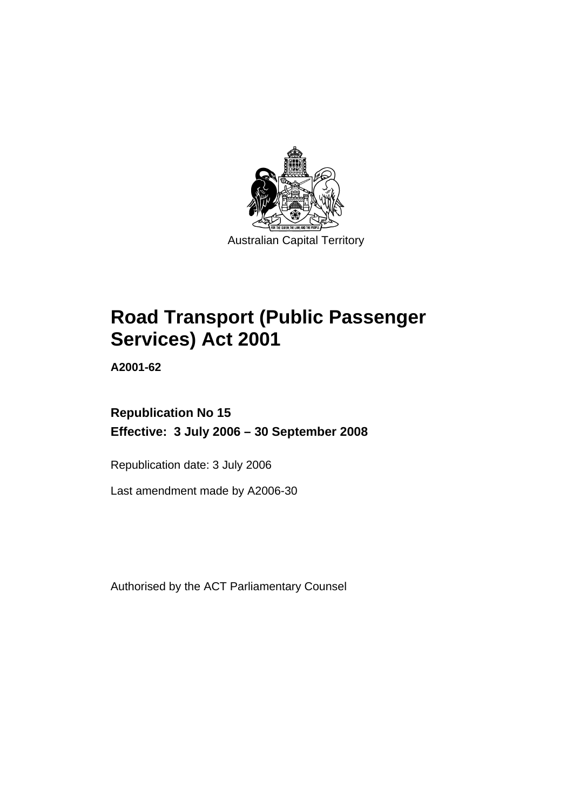

Australian Capital Territory

# **[Road Transport \(Public Passenger](#page-8-0)  [Services\) Act 2001](#page-8-0)**

**A2001-62** 

# **Republication No 15 Effective: 3 July 2006 – 30 September 2008**

Republication date: 3 July 2006

Last amendment made by A2006-30

Authorised by the ACT Parliamentary Counsel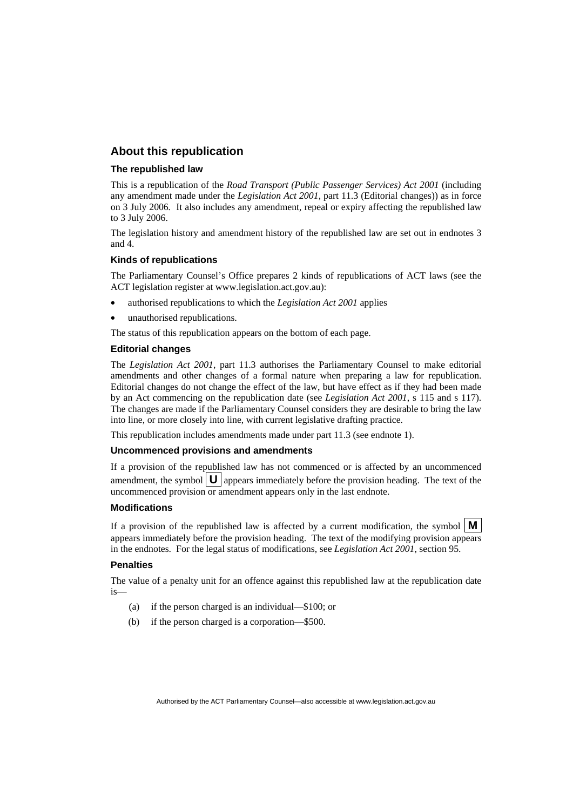#### **About this republication**

#### **The republished law**

This is a republication of the *Road Transport (Public Passenger Services) Act 2001* (including any amendment made under the *Legislation Act 2001*, part 11.3 (Editorial changes)) as in force on 3 July 2006*.* It also includes any amendment, repeal or expiry affecting the republished law to 3 July 2006.

The legislation history and amendment history of the republished law are set out in endnotes 3 and 4.

#### **Kinds of republications**

The Parliamentary Counsel's Office prepares 2 kinds of republications of ACT laws (see the ACT legislation register at www.legislation.act.gov.au):

- authorised republications to which the *Legislation Act 2001* applies
- unauthorised republications.

The status of this republication appears on the bottom of each page.

#### **Editorial changes**

The *Legislation Act 2001*, part 11.3 authorises the Parliamentary Counsel to make editorial amendments and other changes of a formal nature when preparing a law for republication. Editorial changes do not change the effect of the law, but have effect as if they had been made by an Act commencing on the republication date (see *Legislation Act 2001*, s 115 and s 117). The changes are made if the Parliamentary Counsel considers they are desirable to bring the law into line, or more closely into line, with current legislative drafting practice.

This republication includes amendments made under part 11.3 (see endnote 1).

#### **Uncommenced provisions and amendments**

If a provision of the republished law has not commenced or is affected by an uncommenced amendment, the symbol  $\mathbf{U}$  appears immediately before the provision heading. The text of the uncommenced provision  $\overline{or}$  amendment appears only in the last endnote.

#### **Modifications**

If a provision of the republished law is affected by a current modification, the symbol  $\mathbf{M}$ appears immediately before the provision heading. The text of the modifying provision appears in the endnotes. For the legal status of modifications, see *Legislation Act 2001*, section 95.

#### **Penalties**

The value of a penalty unit for an offence against this republished law at the republication date is—

- (a) if the person charged is an individual—\$100; or
- (b) if the person charged is a corporation—\$500.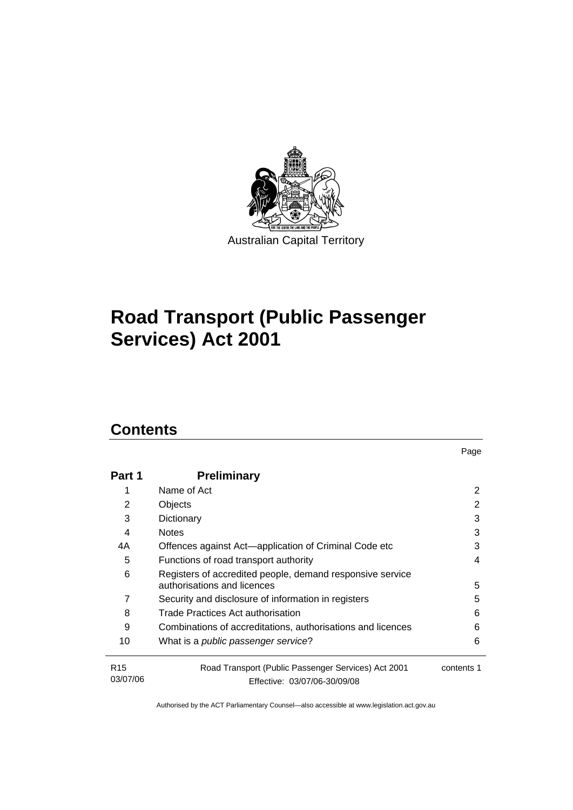

# **[Road Transport \(Public Passenger](#page-8-0)  [Services\) Act 2001](#page-8-0)**

# **Contents**

| Part 1                      | <b>Preliminary</b>                                                                       |            |
|-----------------------------|------------------------------------------------------------------------------------------|------------|
| 1                           | Name of Act                                                                              | 2          |
| 2                           | Objects                                                                                  | 2          |
| 3                           | Dictionary                                                                               | 3          |
| 4                           | <b>Notes</b>                                                                             | 3          |
| 4A                          | Offences against Act—application of Criminal Code etc                                    | 3          |
| 5                           | Functions of road transport authority                                                    | 4          |
| 6                           | Registers of accredited people, demand responsive service<br>authorisations and licences | 5          |
| 7                           | Security and disclosure of information in registers                                      | 5          |
| 8                           | Trade Practices Act authorisation                                                        | 6          |
| 9                           | Combinations of accreditations, authorisations and licences                              | 6          |
| 10                          | What is a public passenger service?                                                      | 6          |
| R <sub>15</sub><br>03/07/06 | Road Transport (Public Passenger Services) Act 2001<br>Effective: 03/07/06-30/09/08      | contents 1 |

Page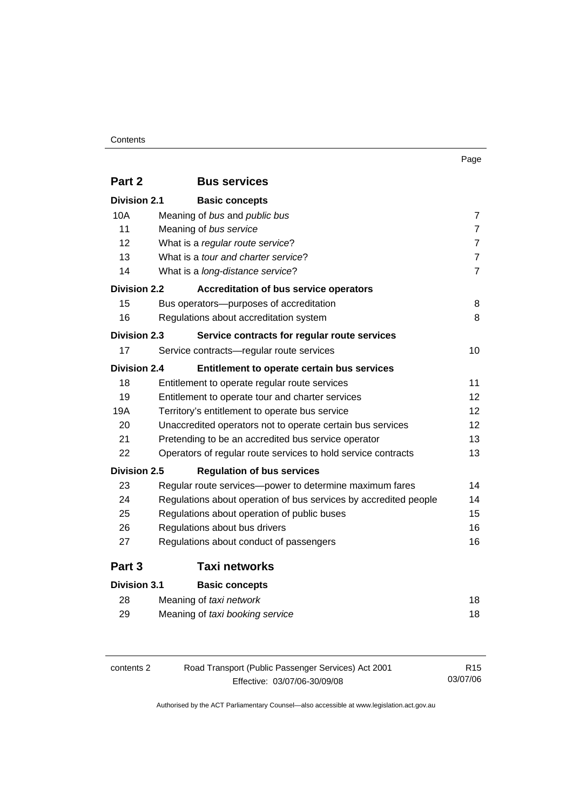#### Contents

| Part 2              | <b>Bus services</b>                                              |                |
|---------------------|------------------------------------------------------------------|----------------|
| <b>Division 2.1</b> | <b>Basic concepts</b>                                            |                |
| <b>10A</b>          | Meaning of bus and public bus                                    | $\overline{7}$ |
| 11                  | Meaning of bus service                                           | $\overline{7}$ |
| 12                  | What is a regular route service?                                 | $\overline{7}$ |
| 13                  | What is a <i>tour and charter service</i> ?                      | $\overline{7}$ |
| 14                  | What is a long-distance service?                                 | $\overline{7}$ |
| <b>Division 2.2</b> | Accreditation of bus service operators                           |                |
| 15                  | Bus operators-purposes of accreditation                          | 8              |
| 16                  | Regulations about accreditation system                           | 8              |
| <b>Division 2.3</b> | Service contracts for regular route services                     |                |
| 17                  | Service contracts-regular route services                         | 10             |
| <b>Division 2.4</b> | Entitlement to operate certain bus services                      |                |
| 18                  | Entitlement to operate regular route services                    | 11             |
| 19                  | Entitlement to operate tour and charter services                 | 12             |
| 19A                 | Territory's entitlement to operate bus service                   | 12             |
| 20                  | Unaccredited operators not to operate certain bus services       |                |
| 21                  | Pretending to be an accredited bus service operator              | 13             |
| 22                  | Operators of regular route services to hold service contracts    | 13             |
| <b>Division 2.5</b> | <b>Regulation of bus services</b>                                |                |
| 23                  | Regular route services-power to determine maximum fares          | 14             |
| 24                  | Regulations about operation of bus services by accredited people | 14             |
| 25                  | Regulations about operation of public buses                      | 15             |
| 26                  | Regulations about bus drivers                                    | 16             |
| 27                  | Regulations about conduct of passengers                          | 16             |
| Part 3              | <b>Taxi networks</b>                                             |                |
| <b>Division 3.1</b> | <b>Basic concepts</b>                                            |                |
| 28                  | Meaning of taxi network                                          | 18             |
| 29                  | Meaning of taxi booking service                                  | 18             |
|                     |                                                                  |                |

| contents 2 | Road Transport (Public Passenger Services) Act 2001 | R <sub>15</sub> |
|------------|-----------------------------------------------------|-----------------|
|            | Effective: 03/07/06-30/09/08                        | 03/07/06        |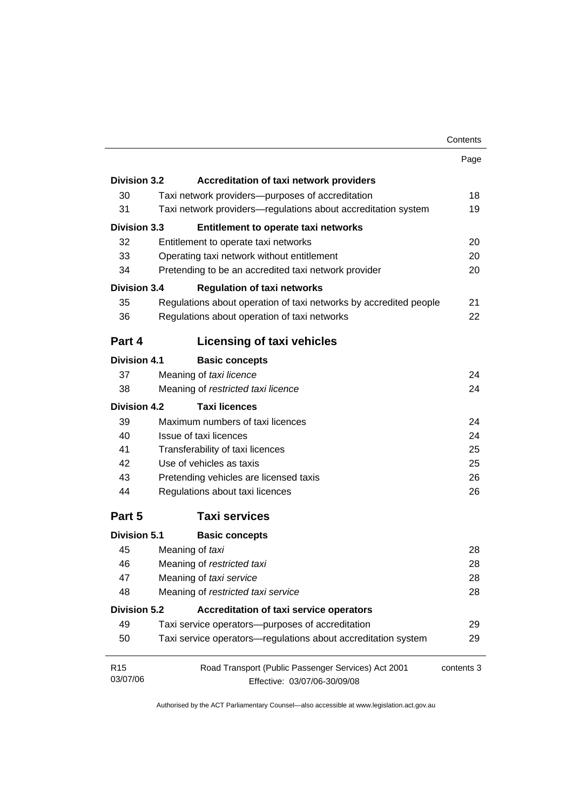| Contents |
|----------|
|----------|

|                     |                                                                   | Contents   |
|---------------------|-------------------------------------------------------------------|------------|
|                     |                                                                   | Page       |
| <b>Division 3.2</b> | <b>Accreditation of taxi network providers</b>                    |            |
| 30                  | Taxi network providers—purposes of accreditation                  | 18         |
| 31                  | Taxi network providers-regulations about accreditation system     | 19         |
| Division 3.3        | <b>Entitlement to operate taxi networks</b>                       |            |
| 32                  | Entitlement to operate taxi networks                              | 20         |
| 33                  | Operating taxi network without entitlement                        | 20         |
| 34                  | Pretending to be an accredited taxi network provider              | 20         |
| Division 3.4        | <b>Regulation of taxi networks</b>                                |            |
| 35                  | Regulations about operation of taxi networks by accredited people | 21         |
| 36                  | Regulations about operation of taxi networks                      | 22         |
| Part 4              | <b>Licensing of taxi vehicles</b>                                 |            |
| <b>Division 4.1</b> | <b>Basic concepts</b>                                             |            |
| 37                  | Meaning of taxi licence                                           | 24         |
| 38                  | Meaning of restricted taxi licence                                | 24         |
| <b>Division 4.2</b> | <b>Taxi licences</b>                                              |            |
| 39                  | Maximum numbers of taxi licences                                  | 24         |
| 40                  | Issue of taxi licences                                            | 24         |
| 41                  | Transferability of taxi licences                                  | 25         |
| 42                  | Use of vehicles as taxis                                          | 25         |
| 43                  | Pretending vehicles are licensed taxis                            | 26         |
| 44                  | Regulations about taxi licences                                   | 26         |
| Part 5              | <b>Taxi services</b>                                              |            |
| <b>Division 5.1</b> | <b>Basic concepts</b>                                             |            |
| 45                  | Meaning of taxi                                                   | 28         |
| 46                  | Meaning of restricted taxi                                        | 28         |
| 47                  | Meaning of taxi service                                           | 28         |
| 48                  | Meaning of restricted taxi service                                | 28         |
| <b>Division 5.2</b> | <b>Accreditation of taxi service operators</b>                    |            |
| 49                  | Taxi service operators-purposes of accreditation                  | 29         |
| 50                  | Taxi service operators-regulations about accreditation system     | 29         |
| R <sub>15</sub>     | Road Transport (Public Passenger Services) Act 2001               | contents 3 |
| 03/07/06            | Effective: 03/07/06-30/09/08                                      |            |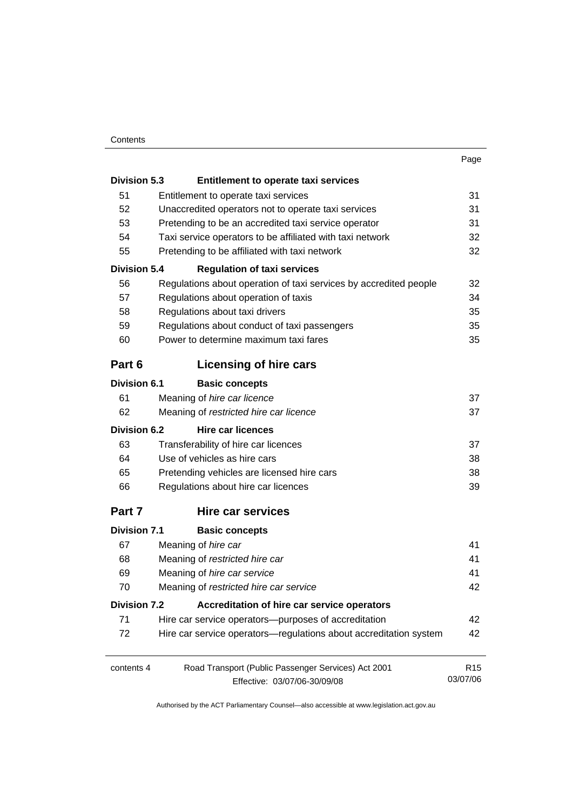#### **Contents**

| I<br>. .<br>٧ |
|---------------|
|---------------|

| <b>Division 5.3</b> | <b>Entitlement to operate taxi services</b>                       |                 |  |
|---------------------|-------------------------------------------------------------------|-----------------|--|
| 51                  | Entitlement to operate taxi services                              | 31              |  |
| 52                  | Unaccredited operators not to operate taxi services               | 31              |  |
| 53                  | Pretending to be an accredited taxi service operator              |                 |  |
| 54                  | Taxi service operators to be affiliated with taxi network         |                 |  |
| 55                  | Pretending to be affiliated with taxi network                     | 32              |  |
| <b>Division 5.4</b> | <b>Regulation of taxi services</b>                                |                 |  |
| 56                  | Regulations about operation of taxi services by accredited people | 32              |  |
| 57                  | Regulations about operation of taxis                              | 34              |  |
| 58                  | Regulations about taxi drivers                                    | 35              |  |
| 59                  | Regulations about conduct of taxi passengers                      | 35              |  |
| 60                  | Power to determine maximum taxi fares                             | 35              |  |
| Part 6              | <b>Licensing of hire cars</b>                                     |                 |  |
| <b>Division 6.1</b> | <b>Basic concepts</b>                                             |                 |  |
| 61                  | Meaning of hire car licence                                       | 37              |  |
| 62                  | Meaning of restricted hire car licence                            | 37              |  |
| <b>Division 6.2</b> | <b>Hire car licences</b>                                          |                 |  |
| 63                  | Transferability of hire car licences                              | 37              |  |
| 64                  | Use of vehicles as hire cars                                      | 38              |  |
| 65                  | Pretending vehicles are licensed hire cars                        | 38              |  |
| 66                  | Regulations about hire car licences                               | 39              |  |
| Part 7              | <b>Hire car services</b>                                          |                 |  |
| <b>Division 7.1</b> | <b>Basic concepts</b>                                             |                 |  |
| 67                  | Meaning of hire car                                               | 41              |  |
| 68                  | Meaning of restricted hire car                                    | 41              |  |
| 69                  | Meaning of hire car service                                       | 41              |  |
| 70                  | Meaning of restricted hire car service                            | 42              |  |
| Division 7.2        | Accreditation of hire car service operators                       |                 |  |
| 71                  | Hire car service operators—purposes of accreditation              | 42              |  |
| 72                  | Hire car service operators-regulations about accreditation system | 42              |  |
| contents 4          | Road Transport (Public Passenger Services) Act 2001               | R <sub>15</sub> |  |
|                     | Effective: 03/07/06-30/09/08                                      | 03/07/06        |  |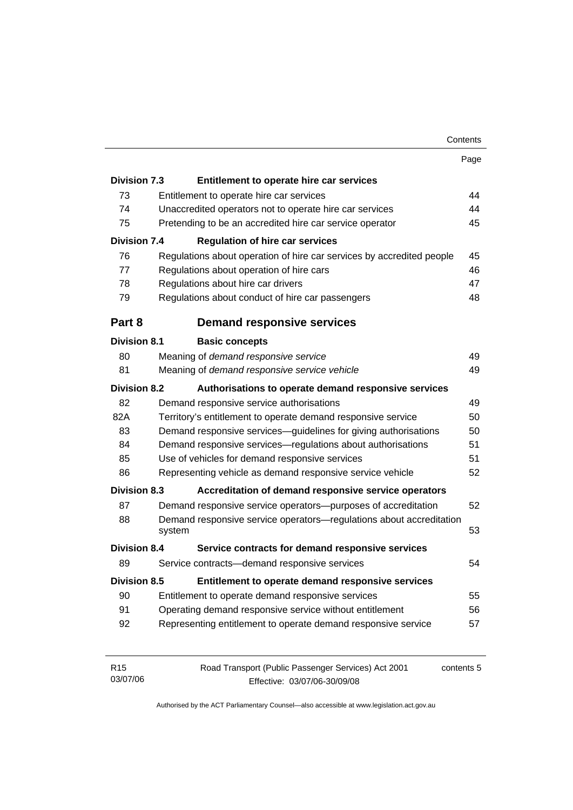| Contents |
|----------|
|----------|

|                     |                                                                       | Page       |
|---------------------|-----------------------------------------------------------------------|------------|
| <b>Division 7.3</b> | Entitlement to operate hire car services                              |            |
| 73                  | Entitlement to operate hire car services                              | 44         |
| 74                  | Unaccredited operators not to operate hire car services               | 44         |
| 75                  | Pretending to be an accredited hire car service operator              | 45         |
| <b>Division 7.4</b> | <b>Regulation of hire car services</b>                                |            |
| 76                  | Regulations about operation of hire car services by accredited people | 45         |
| 77                  | Regulations about operation of hire cars                              | 46         |
| 78                  | Regulations about hire car drivers                                    | 47         |
| 79                  | Regulations about conduct of hire car passengers                      | 48         |
| Part 8              | <b>Demand responsive services</b>                                     |            |
| <b>Division 8.1</b> | <b>Basic concepts</b>                                                 |            |
| 80                  | Meaning of demand responsive service                                  | 49         |
| 81                  | Meaning of demand responsive service vehicle                          | 49         |
| <b>Division 8.2</b> | Authorisations to operate demand responsive services                  |            |
| 82                  | Demand responsive service authorisations                              | 49         |
| 82A                 | Territory's entitlement to operate demand responsive service          | 50         |
| 83                  | Demand responsive services-guidelines for giving authorisations       | 50         |
| 84                  | Demand responsive services-regulations about authorisations           | 51         |
| 85                  | Use of vehicles for demand responsive services                        | 51         |
| 86                  | Representing vehicle as demand responsive service vehicle             | 52         |
| <b>Division 8.3</b> | Accreditation of demand responsive service operators                  |            |
| 87                  | Demand responsive service operators-purposes of accreditation         | 52         |
| 88                  | Demand responsive service operators-regulations about accreditation   |            |
|                     | system                                                                | 53         |
| Division 8.4        | Service contracts for demand responsive services                      |            |
| 89                  | Service contracts-demand responsive services                          | 54         |
| <b>Division 8.5</b> | Entitlement to operate demand responsive services                     |            |
| 90                  | Entitlement to operate demand responsive services                     | 55         |
| 91                  | Operating demand responsive service without entitlement               | 56         |
| 92                  | Representing entitlement to operate demand responsive service         | 57         |
| R <sub>15</sub>     | Road Transport (Public Passenger Services) Act 2001                   | contents 5 |

Authorised by the ACT Parliamentary Counsel—also accessible at www.legislation.act.gov.au

Effective: 03/07/06-30/09/08

03/07/06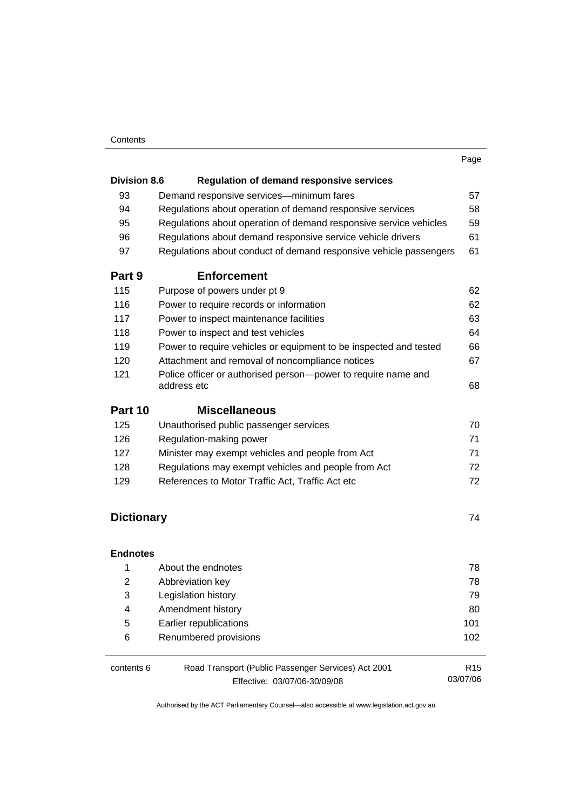#### **Contents**

|                     |                                                                              | Page |
|---------------------|------------------------------------------------------------------------------|------|
| <b>Division 8.6</b> | <b>Regulation of demand responsive services</b>                              |      |
| 93                  | Demand responsive services-minimum fares                                     | 57   |
| 94                  | Regulations about operation of demand responsive services                    | 58   |
| 95                  | Regulations about operation of demand responsive service vehicles            | 59   |
| 96                  | Regulations about demand responsive service vehicle drivers                  | 61   |
| 97                  | Regulations about conduct of demand responsive vehicle passengers            | 61   |
| Part 9              | <b>Enforcement</b>                                                           |      |
| 115                 | Purpose of powers under pt 9                                                 | 62   |
| 116                 | Power to require records or information                                      | 62   |
| 117                 | Power to inspect maintenance facilities                                      | 63   |
| 118                 | Power to inspect and test vehicles                                           | 64   |
| 119                 | Power to require vehicles or equipment to be inspected and tested            | 66   |
| 120                 | Attachment and removal of noncompliance notices                              | 67   |
| 121                 | Police officer or authorised person-power to require name and<br>address etc | 68   |
| Part 10             | <b>Miscellaneous</b>                                                         |      |
| 125                 | Unauthorised public passenger services                                       | 70   |
| 126                 | Regulation-making power                                                      | 71   |
| 127                 | Minister may exempt vehicles and people from Act                             | 71   |
| 128                 | Regulations may exempt vehicles and people from Act                          | 72   |
| 129                 | References to Motor Traffic Act, Traffic Act etc                             | 72   |
| <b>Dictionary</b>   |                                                                              | 74   |

#### **Endnotes**

| 1          | About the endnotes                                  | 78              |
|------------|-----------------------------------------------------|-----------------|
| 2          | Abbreviation key                                    | 78              |
| 3          | Legislation history                                 | 79              |
| 4          | Amendment history                                   | 80              |
| 5          | Earlier republications                              | 101             |
| 6          | Renumbered provisions                               | 102             |
|            |                                                     |                 |
| contents 6 | Road Transport (Public Passenger Services) Act 2001 | R <sub>15</sub> |

Effective: 03/07/06-30/09/08

03/07/06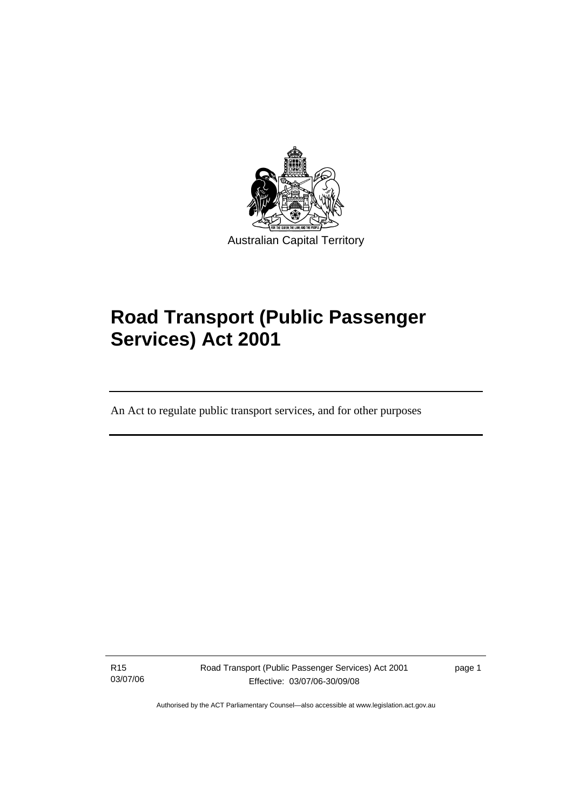<span id="page-8-0"></span>

# **Road Transport (Public Passenger Services) Act 2001**

An Act to regulate public transport services, and for other purposes

R15 03/07/06

I

Road Transport (Public Passenger Services) Act 2001 Effective: 03/07/06-30/09/08

page 1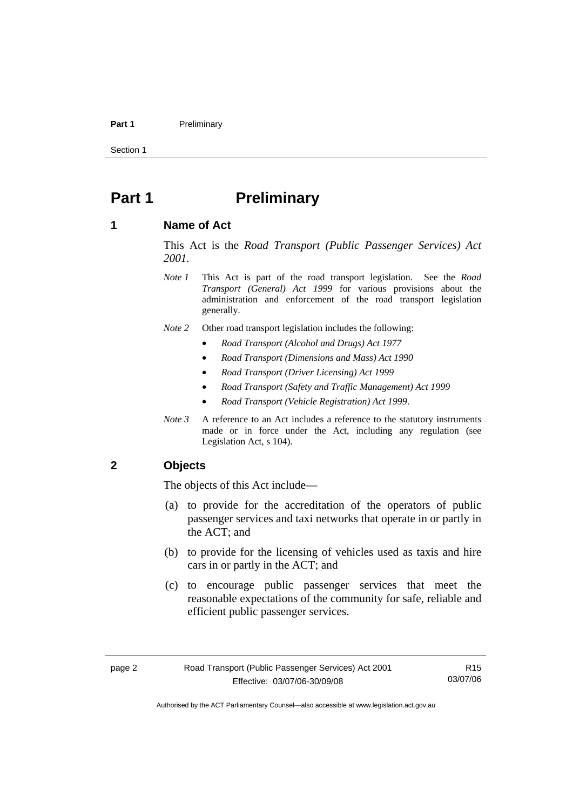#### <span id="page-9-0"></span>Part 1 **Preliminary**

Section 1

# **Part 1** Preliminary

#### **1 Name of Act**

This Act is the *Road Transport (Public Passenger Services) Act 2001.* 

- *Note 1* This Act is part of the road transport legislation. See the *Road Transport (General) Act 1999* for various provisions about the administration and enforcement of the road transport legislation generally.
- *Note 2* Other road transport legislation includes the following:
	- *Road Transport (Alcohol and Drugs) Act 1977*
	- *Road Transport (Dimensions and Mass) Act 1990*
	- *Road Transport (Driver Licensing) Act 1999*
	- *Road Transport (Safety and Traffic Management) Act 1999*
	- *Road Transport (Vehicle Registration) Act 1999*.
- *Note 3* A reference to an Act includes a reference to the statutory instruments made or in force under the Act, including any regulation (see Legislation Act, s 104).

#### **2 Objects**

The objects of this Act include—

- (a) to provide for the accreditation of the operators of public passenger services and taxi networks that operate in or partly in the ACT; and
- (b) to provide for the licensing of vehicles used as taxis and hire cars in or partly in the ACT; and
- (c) to encourage public passenger services that meet the reasonable expectations of the community for safe, reliable and efficient public passenger services.

R15 03/07/06

Authorised by the ACT Parliamentary Counsel—also accessible at www.legislation.act.gov.au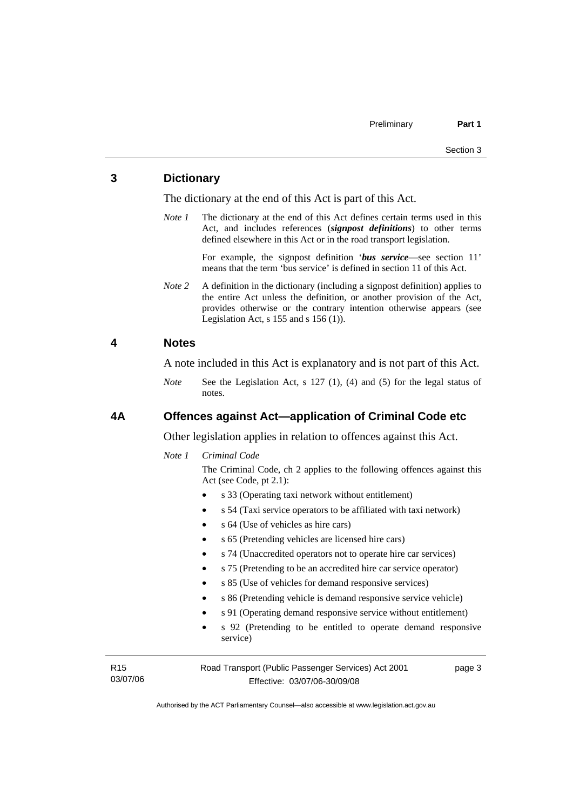#### <span id="page-10-0"></span>**3 Dictionary**

The dictionary at the end of this Act is part of this Act.

*Note 1* The dictionary at the end of this Act defines certain terms used in this Act, and includes references (*signpost definitions*) to other terms defined elsewhere in this Act or in the road transport legislation.

> For example, the signpost definition '*bus service*—see section 11' means that the term 'bus service' is defined in section 11 of this Act.

*Note 2* A definition in the dictionary (including a signpost definition) applies to the entire Act unless the definition, or another provision of the Act, provides otherwise or the contrary intention otherwise appears (see Legislation Act,  $s$  155 and  $s$  156 (1)).

#### **4 Notes**

A note included in this Act is explanatory and is not part of this Act.

*Note* See the Legislation Act, s 127 (1), (4) and (5) for the legal status of notes.

#### **4A Offences against Act—application of Criminal Code etc**

Other legislation applies in relation to offences against this Act.

*Note 1 Criminal Code*

The Criminal Code, ch 2 applies to the following offences against this Act (see Code, pt 2.1):

- s 33 (Operating taxi network without entitlement)
- s 54 (Taxi service operators to be affiliated with taxi network)
- s 64 (Use of vehicles as hire cars)
- s 65 (Pretending vehicles are licensed hire cars)
- s 74 (Unaccredited operators not to operate hire car services)
- s 75 (Pretending to be an accredited hire car service operator)
	- s 85 (Use of vehicles for demand responsive services)
	- s 86 (Pretending vehicle is demand responsive service vehicle)
	- s 91 (Operating demand responsive service without entitlement)
	- s 92 (Pretending to be entitled to operate demand responsive service)

R15 03/07/06 Road Transport (Public Passenger Services) Act 2001 Effective: 03/07/06-30/09/08

page 3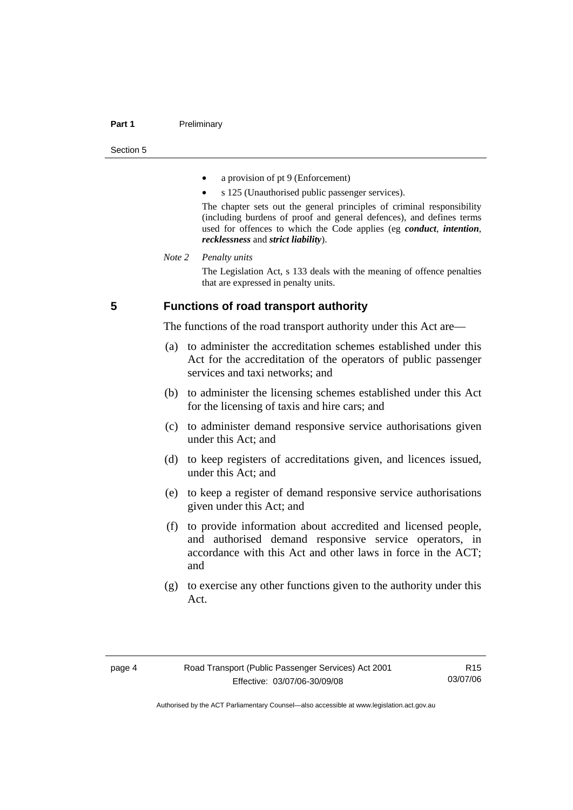#### <span id="page-11-0"></span>**Part 1** Preliminary

Section 5

- a provision of pt 9 (Enforcement)
- s 125 (Unauthorised public passenger services).

The chapter sets out the general principles of criminal responsibility (including burdens of proof and general defences), and defines terms used for offences to which the Code applies (eg *conduct*, *intention*, *recklessness* and *strict liability*).

#### *Note 2 Penalty units*

The Legislation Act, s 133 deals with the meaning of offence penalties that are expressed in penalty units.

#### **5 Functions of road transport authority**

The functions of the road transport authority under this Act are—

- (a) to administer the accreditation schemes established under this Act for the accreditation of the operators of public passenger services and taxi networks; and
- (b) to administer the licensing schemes established under this Act for the licensing of taxis and hire cars; and
- (c) to administer demand responsive service authorisations given under this Act; and
- (d) to keep registers of accreditations given, and licences issued, under this Act; and
- (e) to keep a register of demand responsive service authorisations given under this Act; and
- (f) to provide information about accredited and licensed people, and authorised demand responsive service operators, in accordance with this Act and other laws in force in the ACT; and
- (g) to exercise any other functions given to the authority under this Act.

R15 03/07/06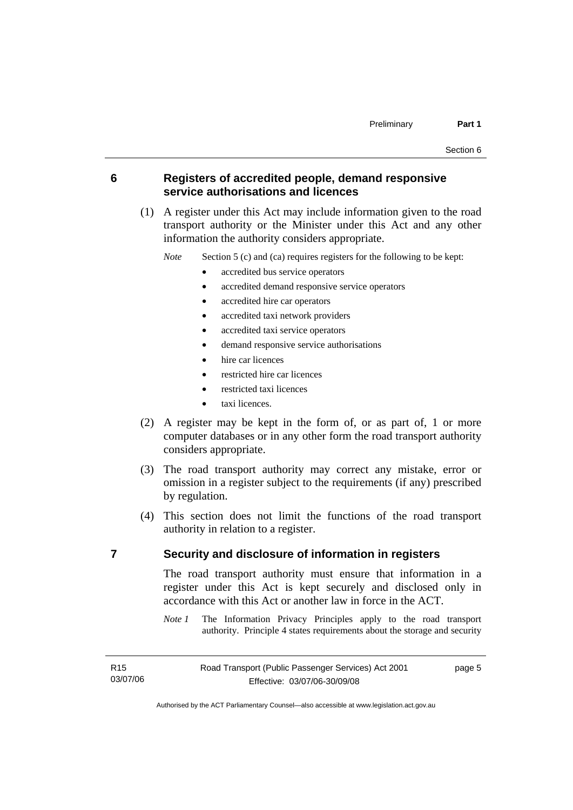#### <span id="page-12-0"></span>**6 Registers of accredited people, demand responsive service authorisations and licences**

 (1) A register under this Act may include information given to the road transport authority or the Minister under this Act and any other information the authority considers appropriate.

*Note* Section 5 (c) and (ca) requires registers for the following to be kept:

- accredited bus service operators
- accredited demand responsive service operators
- accredited hire car operators
- accredited taxi network providers
- accredited taxi service operators
- demand responsive service authorisations
- hire car licences
- restricted hire car licences
- restricted taxi licences
- taxi licences.
- (2) A register may be kept in the form of, or as part of, 1 or more computer databases or in any other form the road transport authority considers appropriate.
- (3) The road transport authority may correct any mistake, error or omission in a register subject to the requirements (if any) prescribed by regulation.
- (4) This section does not limit the functions of the road transport authority in relation to a register.

#### **7 Security and disclosure of information in registers**

The road transport authority must ensure that information in a register under this Act is kept securely and disclosed only in accordance with this Act or another law in force in the ACT.

*Note 1* The Information Privacy Principles apply to the road transport authority. Principle 4 states requirements about the storage and security

page 5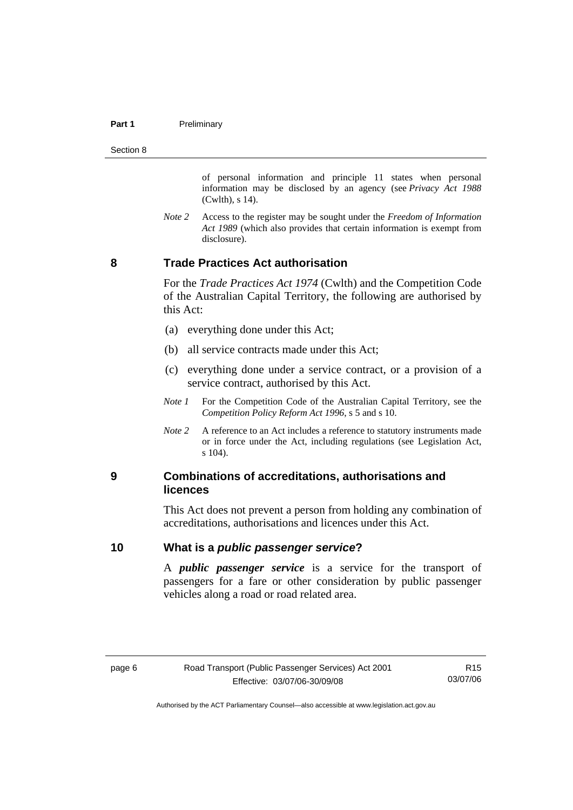#### <span id="page-13-0"></span>**Part 1** Preliminary

Section 8

of personal information and principle 11 states when personal information may be disclosed by an agency (see *Privacy Act 1988* (Cwlth), s 14).

*Note 2* Access to the register may be sought under the *Freedom of Information Act 1989* (which also provides that certain information is exempt from disclosure).

## **8 Trade Practices Act authorisation**

For the *Trade Practices Act 1974* (Cwlth) and the Competition Code of the Australian Capital Territory, the following are authorised by this Act:

- (a) everything done under this Act;
- (b) all service contracts made under this Act;
- (c) everything done under a service contract, or a provision of a service contract, authorised by this Act.
- *Note 1* For the Competition Code of the Australian Capital Territory, see the *Competition Policy Reform Act 1996*, s 5 and s 10.
- *Note 2* A reference to an Act includes a reference to statutory instruments made or in force under the Act, including regulations (see Legislation Act, s 104).

#### **9 Combinations of accreditations, authorisations and licences**

This Act does not prevent a person from holding any combination of accreditations, authorisations and licences under this Act.

#### **10 What is a** *public passenger service***?**

A *public passenger service* is a service for the transport of passengers for a fare or other consideration by public passenger vehicles along a road or road related area.

R15 03/07/06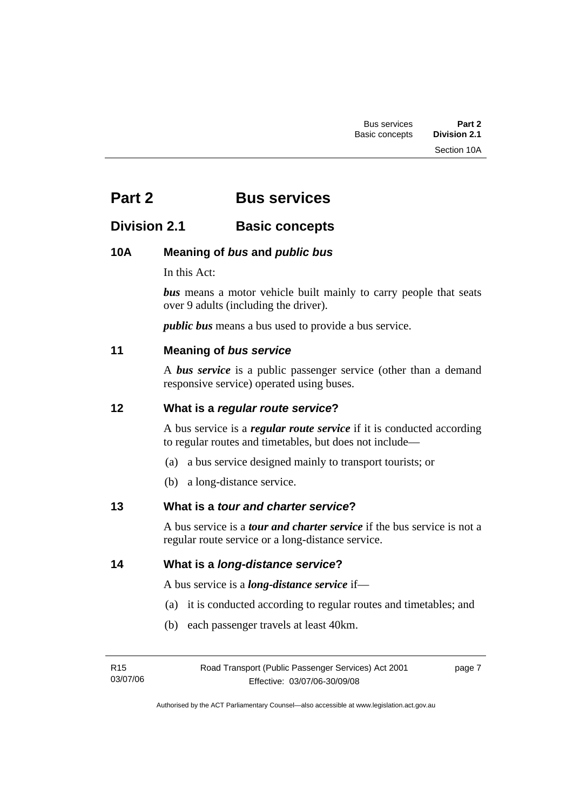# <span id="page-14-0"></span>**Part 2 Bus services**

# **Division 2.1 Basic concepts**

## **10A Meaning of** *bus* **and** *public bus*

In this Act:

**bus** means a motor vehicle built mainly to carry people that seats over 9 adults (including the driver).

*public bus* means a bus used to provide a bus service.

## **11 Meaning of** *bus service*

A *bus service* is a public passenger service (other than a demand responsive service) operated using buses.

#### **12 What is a** *regular route service***?**

A bus service is a *regular route service* if it is conducted according to regular routes and timetables, but does not include—

- (a) a bus service designed mainly to transport tourists; or
- (b) a long-distance service.

## **13 What is a** *tour and charter service***?**

A bus service is a *tour and charter service* if the bus service is not a regular route service or a long-distance service.

**14 What is a** *long-distance service***?**

A bus service is a *long-distance service* if—

- (a) it is conducted according to regular routes and timetables; and
- (b) each passenger travels at least 40km.

| R15      | Road Transport (Public Passenger Services) Act 2001 | page 7 |
|----------|-----------------------------------------------------|--------|
| 03/07/06 | Effective: 03/07/06-30/09/08                        |        |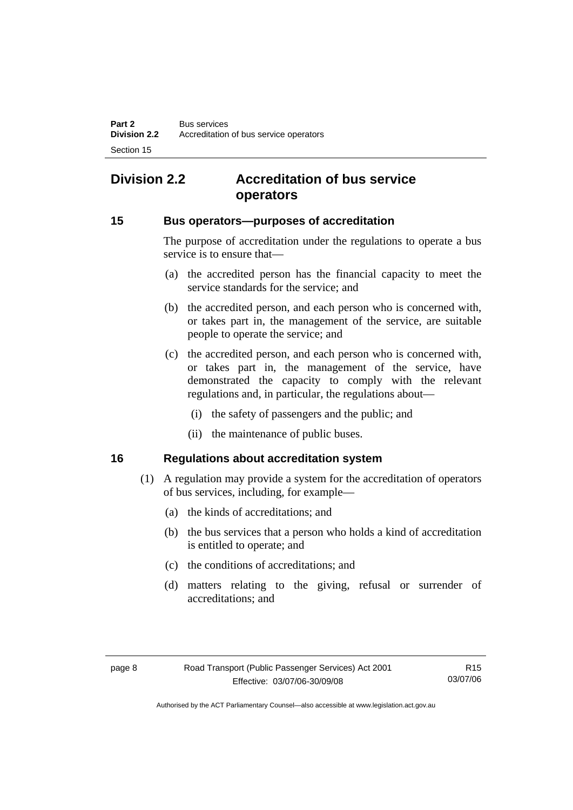# <span id="page-15-0"></span>**Division 2.2 Accreditation of bus service operators**

#### **15 Bus operators—purposes of accreditation**

The purpose of accreditation under the regulations to operate a bus service is to ensure that—

- (a) the accredited person has the financial capacity to meet the service standards for the service; and
- (b) the accredited person, and each person who is concerned with, or takes part in, the management of the service, are suitable people to operate the service; and
- (c) the accredited person, and each person who is concerned with, or takes part in, the management of the service, have demonstrated the capacity to comply with the relevant regulations and, in particular, the regulations about—
	- (i) the safety of passengers and the public; and
	- (ii) the maintenance of public buses.

#### **16 Regulations about accreditation system**

- (1) A regulation may provide a system for the accreditation of operators of bus services, including, for example—
	- (a) the kinds of accreditations; and
	- (b) the bus services that a person who holds a kind of accreditation is entitled to operate; and
	- (c) the conditions of accreditations; and
	- (d) matters relating to the giving, refusal or surrender of accreditations; and

R15 03/07/06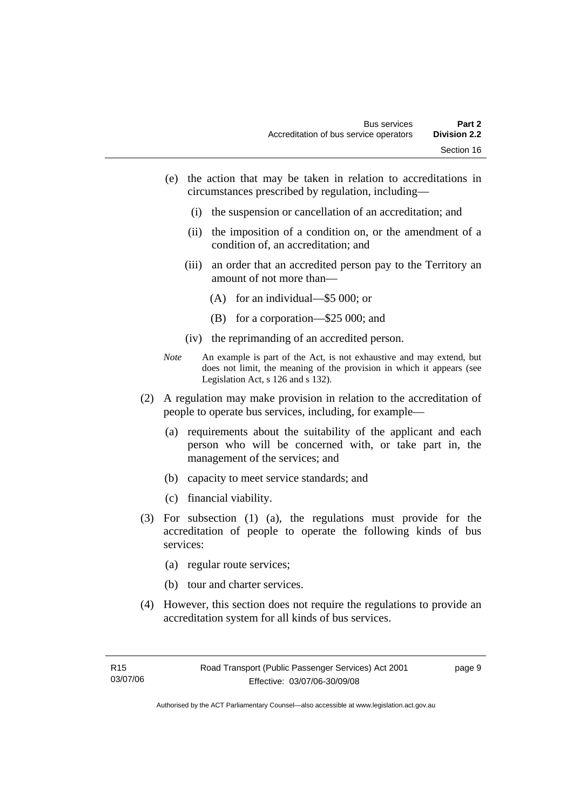- (e) the action that may be taken in relation to accreditations in circumstances prescribed by regulation, including—
	- (i) the suspension or cancellation of an accreditation; and
	- (ii) the imposition of a condition on, or the amendment of a condition of, an accreditation; and
	- (iii) an order that an accredited person pay to the Territory an amount of not more than—
		- (A) for an individual—\$5 000; or
		- (B) for a corporation—\$25 000; and
	- (iv) the reprimanding of an accredited person.
- *Note* An example is part of the Act, is not exhaustive and may extend, but does not limit, the meaning of the provision in which it appears (see Legislation Act, s 126 and s 132).
- (2) A regulation may make provision in relation to the accreditation of people to operate bus services, including, for example—
	- (a) requirements about the suitability of the applicant and each person who will be concerned with, or take part in, the management of the services; and
	- (b) capacity to meet service standards; and
	- (c) financial viability.
- (3) For subsection (1) (a), the regulations must provide for the accreditation of people to operate the following kinds of bus services:
	- (a) regular route services;
	- (b) tour and charter services.
- (4) However, this section does not require the regulations to provide an accreditation system for all kinds of bus services.

page 9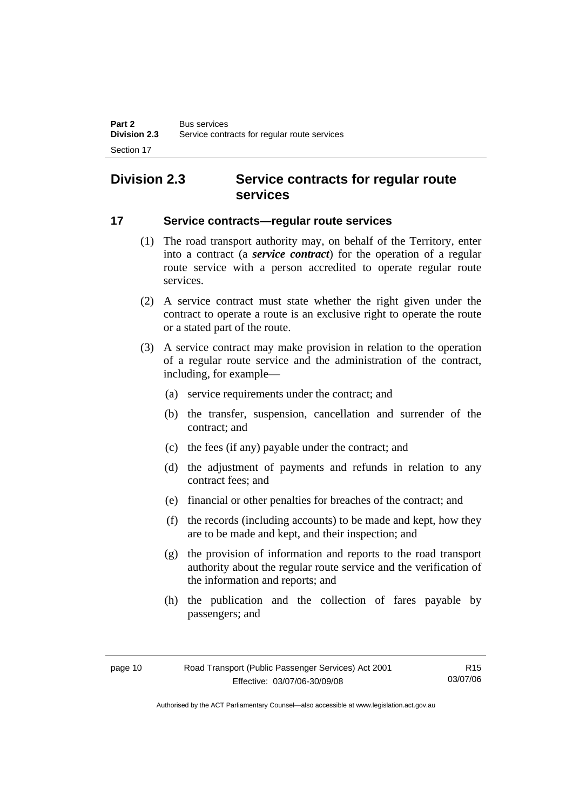# <span id="page-17-0"></span>**Division 2.3 Service contracts for regular route services**

#### **17 Service contracts—regular route services**

- (1) The road transport authority may, on behalf of the Territory, enter into a contract (a *service contract*) for the operation of a regular route service with a person accredited to operate regular route services.
- (2) A service contract must state whether the right given under the contract to operate a route is an exclusive right to operate the route or a stated part of the route.
- (3) A service contract may make provision in relation to the operation of a regular route service and the administration of the contract, including, for example—
	- (a) service requirements under the contract; and
	- (b) the transfer, suspension, cancellation and surrender of the contract; and
	- (c) the fees (if any) payable under the contract; and
	- (d) the adjustment of payments and refunds in relation to any contract fees; and
	- (e) financial or other penalties for breaches of the contract; and
	- (f) the records (including accounts) to be made and kept, how they are to be made and kept, and their inspection; and
	- (g) the provision of information and reports to the road transport authority about the regular route service and the verification of the information and reports; and
	- (h) the publication and the collection of fares payable by passengers; and

R15 03/07/06

Authorised by the ACT Parliamentary Counsel—also accessible at www.legislation.act.gov.au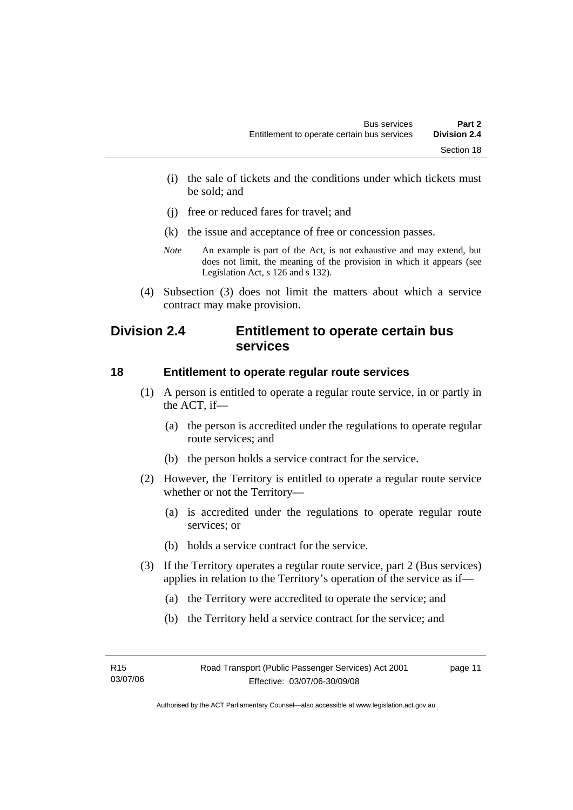- <span id="page-18-0"></span> (i) the sale of tickets and the conditions under which tickets must be sold; and
- (j) free or reduced fares for travel; and
- (k) the issue and acceptance of free or concession passes.
- *Note* An example is part of the Act, is not exhaustive and may extend, but does not limit, the meaning of the provision in which it appears (see Legislation Act, s 126 and s 132).
- (4) Subsection (3) does not limit the matters about which a service contract may make provision.

## **Division 2.4 Entitlement to operate certain bus services**

#### **18 Entitlement to operate regular route services**

- (1) A person is entitled to operate a regular route service, in or partly in the ACT, if—
	- (a) the person is accredited under the regulations to operate regular route services; and
	- (b) the person holds a service contract for the service.
- (2) However, the Territory is entitled to operate a regular route service whether or not the Territory—
	- (a) is accredited under the regulations to operate regular route services; or
	- (b) holds a service contract for the service.
- (3) If the Territory operates a regular route service, part 2 (Bus services) applies in relation to the Territory's operation of the service as if—
	- (a) the Territory were accredited to operate the service; and
	- (b) the Territory held a service contract for the service; and

page 11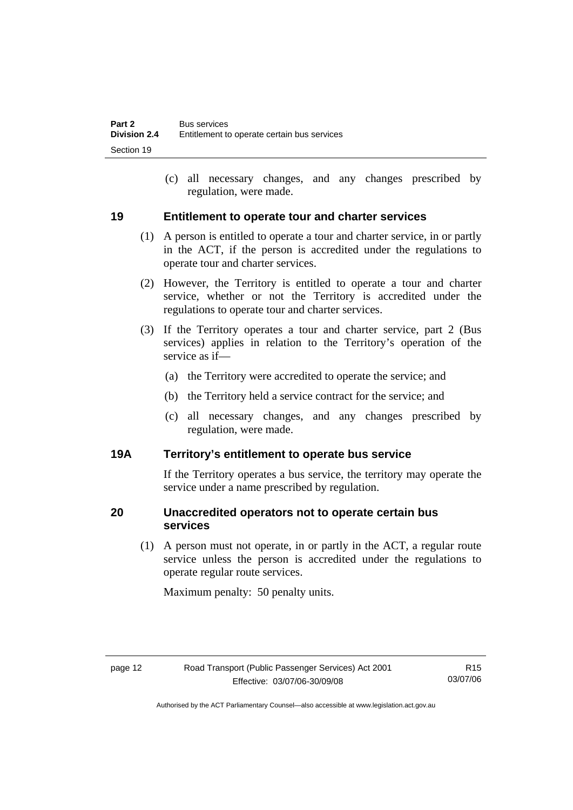(c) all necessary changes, and any changes prescribed by regulation, were made.

#### <span id="page-19-0"></span>**19 Entitlement to operate tour and charter services**

- (1) A person is entitled to operate a tour and charter service, in or partly in the ACT, if the person is accredited under the regulations to operate tour and charter services.
- (2) However, the Territory is entitled to operate a tour and charter service, whether or not the Territory is accredited under the regulations to operate tour and charter services.
- (3) If the Territory operates a tour and charter service, part 2 (Bus services) applies in relation to the Territory's operation of the service as if—
	- (a) the Territory were accredited to operate the service; and
	- (b) the Territory held a service contract for the service; and
	- (c) all necessary changes, and any changes prescribed by regulation, were made.

#### **19A Territory's entitlement to operate bus service**

If the Territory operates a bus service, the territory may operate the service under a name prescribed by regulation.

## **20 Unaccredited operators not to operate certain bus services**

 (1) A person must not operate, in or partly in the ACT, a regular route service unless the person is accredited under the regulations to operate regular route services.

Maximum penalty: 50 penalty units.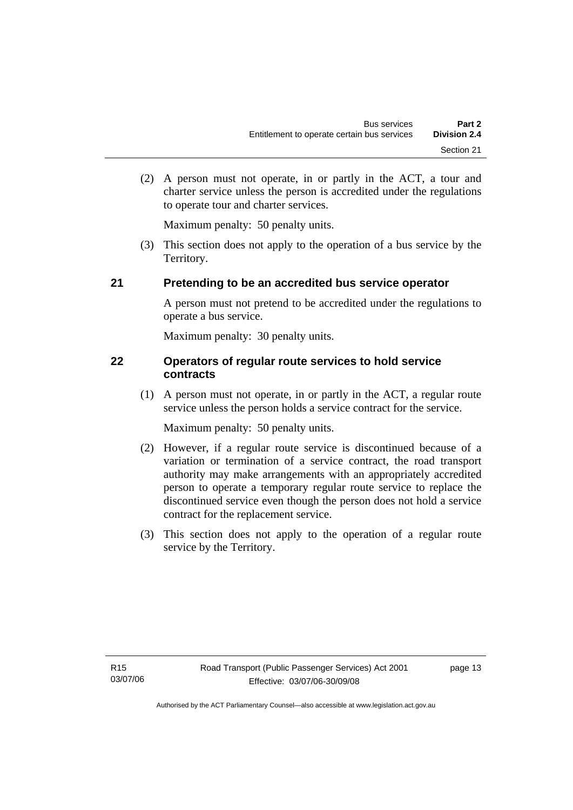<span id="page-20-0"></span> (2) A person must not operate, in or partly in the ACT, a tour and charter service unless the person is accredited under the regulations to operate tour and charter services.

Maximum penalty: 50 penalty units.

 (3) This section does not apply to the operation of a bus service by the Territory.

## **21 Pretending to be an accredited bus service operator**

A person must not pretend to be accredited under the regulations to operate a bus service.

Maximum penalty: 30 penalty units.

## **22 Operators of regular route services to hold service contracts**

 (1) A person must not operate, in or partly in the ACT, a regular route service unless the person holds a service contract for the service.

Maximum penalty: 50 penalty units.

- (2) However, if a regular route service is discontinued because of a variation or termination of a service contract, the road transport authority may make arrangements with an appropriately accredited person to operate a temporary regular route service to replace the discontinued service even though the person does not hold a service contract for the replacement service.
- (3) This section does not apply to the operation of a regular route service by the Territory.

page 13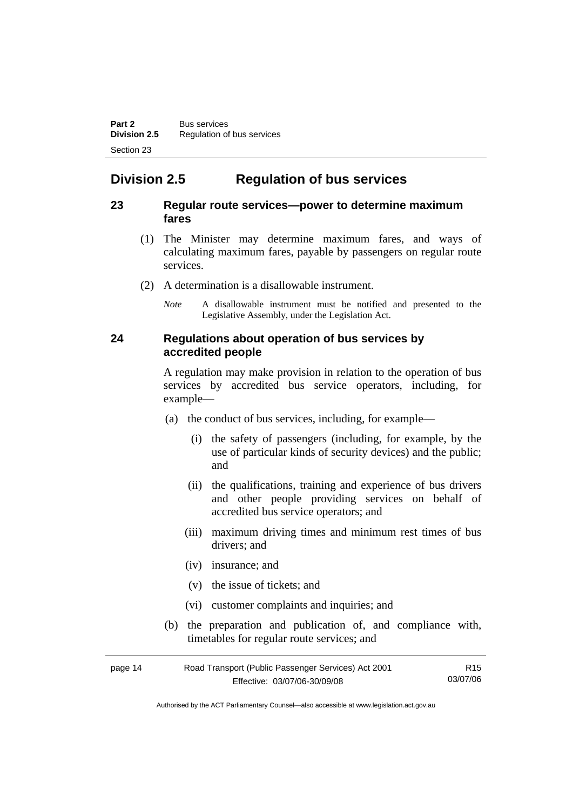# <span id="page-21-0"></span>**Division 2.5 Regulation of bus services**

#### **23 Regular route services—power to determine maximum fares**

- (1) The Minister may determine maximum fares, and ways of calculating maximum fares, payable by passengers on regular route services.
- (2) A determination is a disallowable instrument.
	- *Note* A disallowable instrument must be notified and presented to the Legislative Assembly, under the Legislation Act.

#### **24 Regulations about operation of bus services by accredited people**

A regulation may make provision in relation to the operation of bus services by accredited bus service operators, including, for example—

- (a) the conduct of bus services, including, for example—
	- (i) the safety of passengers (including, for example, by the use of particular kinds of security devices) and the public; and
	- (ii) the qualifications, training and experience of bus drivers and other people providing services on behalf of accredited bus service operators; and
	- (iii) maximum driving times and minimum rest times of bus drivers; and
	- (iv) insurance; and
	- (v) the issue of tickets; and
	- (vi) customer complaints and inquiries; and
- (b) the preparation and publication of, and compliance with, timetables for regular route services; and

| page 14 | Road Transport (Public Passenger Services) Act 2001 | R15      |
|---------|-----------------------------------------------------|----------|
|         | Effective: 03/07/06-30/09/08                        | 03/07/06 |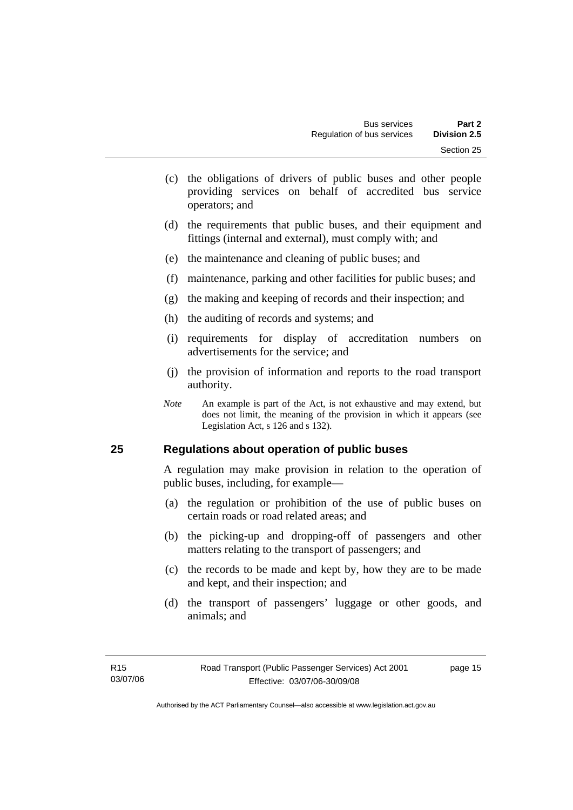- <span id="page-22-0"></span> (c) the obligations of drivers of public buses and other people providing services on behalf of accredited bus service operators; and
- (d) the requirements that public buses, and their equipment and fittings (internal and external), must comply with; and
- (e) the maintenance and cleaning of public buses; and
- (f) maintenance, parking and other facilities for public buses; and
- (g) the making and keeping of records and their inspection; and
- (h) the auditing of records and systems; and
- (i) requirements for display of accreditation numbers on advertisements for the service; and
- (j) the provision of information and reports to the road transport authority.
- *Note* An example is part of the Act, is not exhaustive and may extend, but does not limit, the meaning of the provision in which it appears (see Legislation Act, s 126 and s 132).

#### **25 Regulations about operation of public buses**

A regulation may make provision in relation to the operation of public buses, including, for example—

- (a) the regulation or prohibition of the use of public buses on certain roads or road related areas; and
- (b) the picking-up and dropping-off of passengers and other matters relating to the transport of passengers; and
- (c) the records to be made and kept by, how they are to be made and kept, and their inspection; and
- (d) the transport of passengers' luggage or other goods, and animals; and

page 15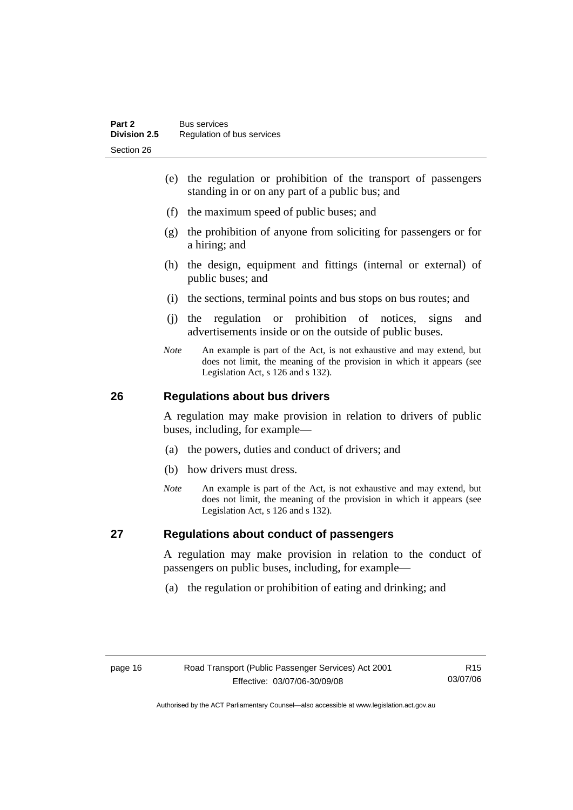- <span id="page-23-0"></span> (e) the regulation or prohibition of the transport of passengers standing in or on any part of a public bus; and
- (f) the maximum speed of public buses; and
- (g) the prohibition of anyone from soliciting for passengers or for a hiring; and
- (h) the design, equipment and fittings (internal or external) of public buses; and
- (i) the sections, terminal points and bus stops on bus routes; and
- (j) the regulation or prohibition of notices, signs and advertisements inside or on the outside of public buses.
- *Note* An example is part of the Act, is not exhaustive and may extend, but does not limit, the meaning of the provision in which it appears (see Legislation Act, s 126 and s 132).

## **26 Regulations about bus drivers**

A regulation may make provision in relation to drivers of public buses, including, for example—

- (a) the powers, duties and conduct of drivers; and
- (b) how drivers must dress.
- *Note* An example is part of the Act, is not exhaustive and may extend, but does not limit, the meaning of the provision in which it appears (see Legislation Act, s 126 and s 132).

## **27 Regulations about conduct of passengers**

A regulation may make provision in relation to the conduct of passengers on public buses, including, for example—

(a) the regulation or prohibition of eating and drinking; and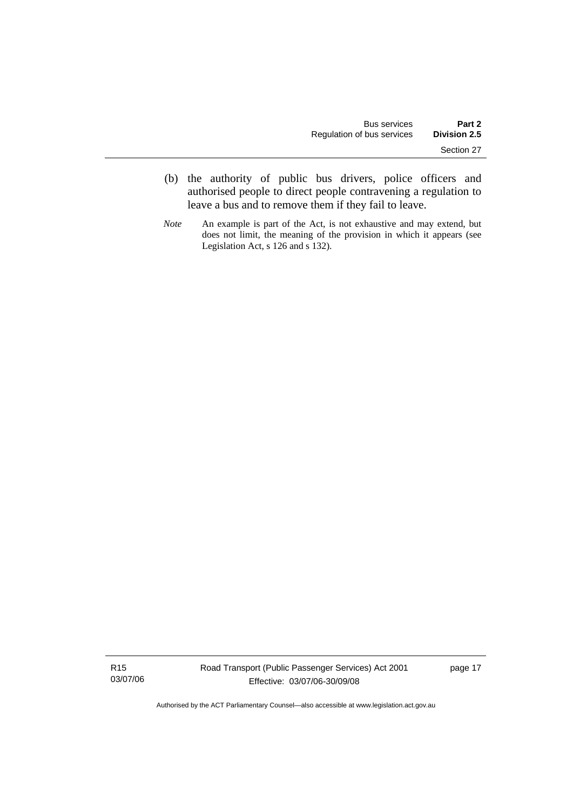- (b) the authority of public bus drivers, police officers and authorised people to direct people contravening a regulation to leave a bus and to remove them if they fail to leave.
- *Note* An example is part of the Act, is not exhaustive and may extend, but does not limit, the meaning of the provision in which it appears (see Legislation Act, s 126 and s 132).

R15 03/07/06 page 17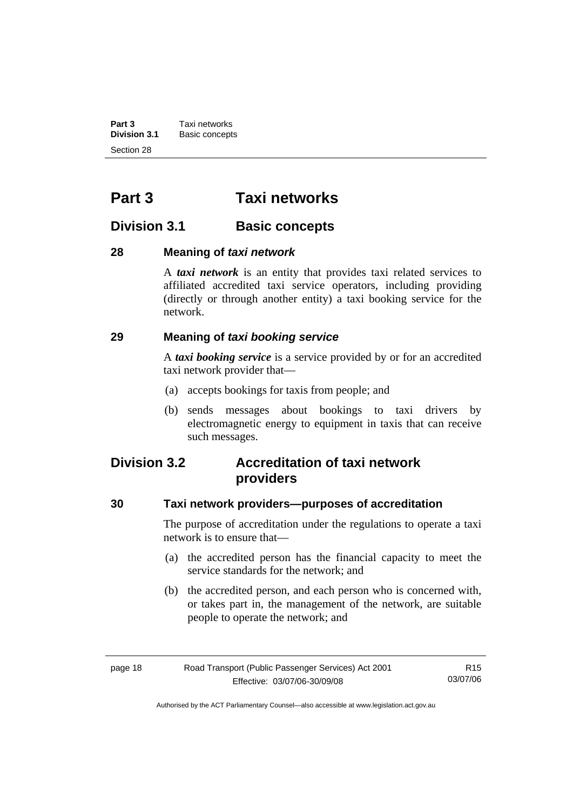<span id="page-25-0"></span>**Part 3 Taxi networks**<br>**Division 3.1 Basic concept Division 3.1** Basic concepts Section 28

# **Part 3 Taxi networks**

## **Division 3.1** Basic concepts

## **28 Meaning of** *taxi network*

A *taxi network* is an entity that provides taxi related services to affiliated accredited taxi service operators, including providing (directly or through another entity) a taxi booking service for the network.

## **29 Meaning of** *taxi booking service*

A *taxi booking service* is a service provided by or for an accredited taxi network provider that—

- (a) accepts bookings for taxis from people; and
- (b) sends messages about bookings to taxi drivers by electromagnetic energy to equipment in taxis that can receive such messages.

## **Division 3.2 Accreditation of taxi network providers**

#### **30 Taxi network providers—purposes of accreditation**

The purpose of accreditation under the regulations to operate a taxi network is to ensure that—

- (a) the accredited person has the financial capacity to meet the service standards for the network; and
- (b) the accredited person, and each person who is concerned with, or takes part in, the management of the network, are suitable people to operate the network; and

| page 18 | Road Transport (Public Passenger Services) Act 2001 | R15      |
|---------|-----------------------------------------------------|----------|
|         | Effective: 03/07/06-30/09/08                        | 03/07/06 |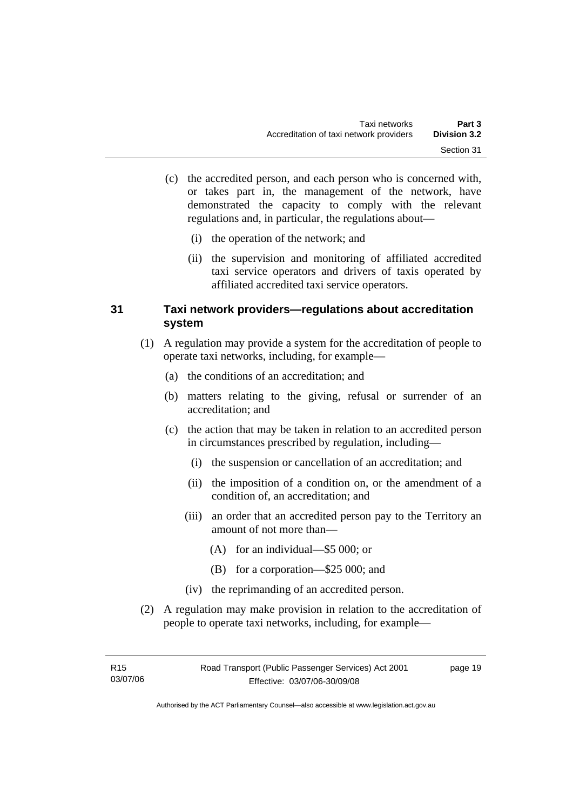- <span id="page-26-0"></span> (c) the accredited person, and each person who is concerned with, or takes part in, the management of the network, have demonstrated the capacity to comply with the relevant regulations and, in particular, the regulations about—
	- (i) the operation of the network; and
	- (ii) the supervision and monitoring of affiliated accredited taxi service operators and drivers of taxis operated by affiliated accredited taxi service operators.

#### **31 Taxi network providers—regulations about accreditation system**

- (1) A regulation may provide a system for the accreditation of people to operate taxi networks, including, for example—
	- (a) the conditions of an accreditation; and
	- (b) matters relating to the giving, refusal or surrender of an accreditation; and
	- (c) the action that may be taken in relation to an accredited person in circumstances prescribed by regulation, including—
		- (i) the suspension or cancellation of an accreditation; and
		- (ii) the imposition of a condition on, or the amendment of a condition of, an accreditation; and
		- (iii) an order that an accredited person pay to the Territory an amount of not more than—
			- (A) for an individual—\$5 000; or
			- (B) for a corporation—\$25 000; and
		- (iv) the reprimanding of an accredited person.
- (2) A regulation may make provision in relation to the accreditation of people to operate taxi networks, including, for example—

page 19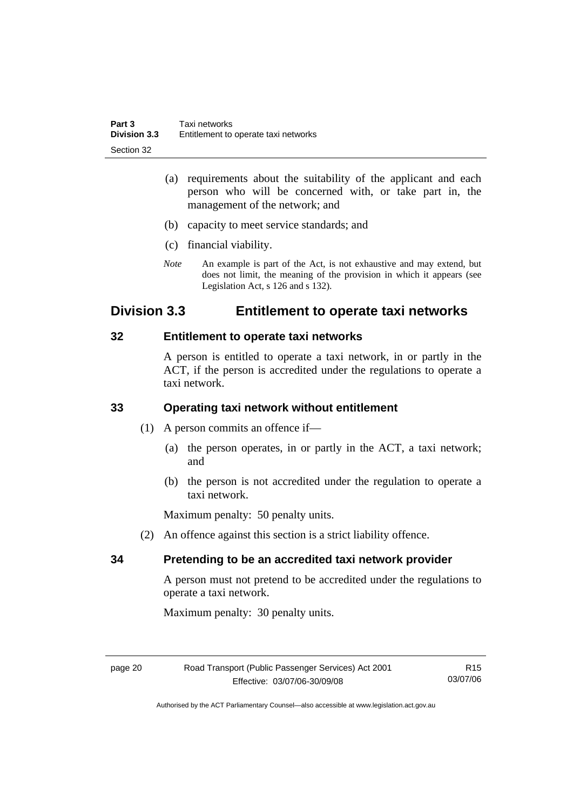- <span id="page-27-0"></span> (a) requirements about the suitability of the applicant and each person who will be concerned with, or take part in, the management of the network; and
- (b) capacity to meet service standards; and
- (c) financial viability.
- *Note* An example is part of the Act, is not exhaustive and may extend, but does not limit, the meaning of the provision in which it appears (see Legislation Act, s 126 and s 132).

## **Division 3.3 Entitlement to operate taxi networks**

#### **32 Entitlement to operate taxi networks**

A person is entitled to operate a taxi network, in or partly in the ACT, if the person is accredited under the regulations to operate a taxi network.

## **33 Operating taxi network without entitlement**

- (1) A person commits an offence if—
	- (a) the person operates, in or partly in the ACT, a taxi network; and
	- (b) the person is not accredited under the regulation to operate a taxi network.

Maximum penalty: 50 penalty units.

(2) An offence against this section is a strict liability offence.

#### **34 Pretending to be an accredited taxi network provider**

A person must not pretend to be accredited under the regulations to operate a taxi network.

Maximum penalty: 30 penalty units.

R15 03/07/06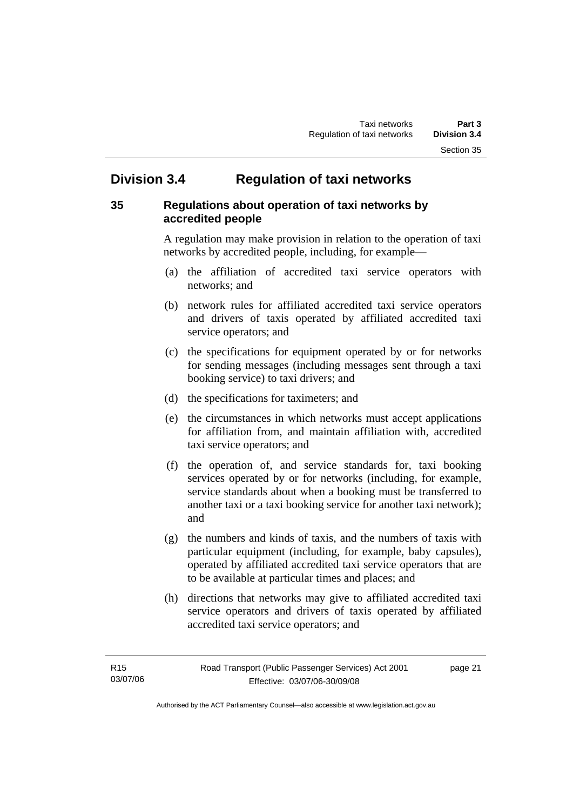# <span id="page-28-0"></span>**Division 3.4 Regulation of taxi networks**

## **35 Regulations about operation of taxi networks by accredited people**

A regulation may make provision in relation to the operation of taxi networks by accredited people, including, for example—

- (a) the affiliation of accredited taxi service operators with networks; and
- (b) network rules for affiliated accredited taxi service operators and drivers of taxis operated by affiliated accredited taxi service operators; and
- (c) the specifications for equipment operated by or for networks for sending messages (including messages sent through a taxi booking service) to taxi drivers; and
- (d) the specifications for taximeters; and
- (e) the circumstances in which networks must accept applications for affiliation from, and maintain affiliation with, accredited taxi service operators; and
- (f) the operation of, and service standards for, taxi booking services operated by or for networks (including, for example, service standards about when a booking must be transferred to another taxi or a taxi booking service for another taxi network); and
- (g) the numbers and kinds of taxis, and the numbers of taxis with particular equipment (including, for example, baby capsules), operated by affiliated accredited taxi service operators that are to be available at particular times and places; and
- (h) directions that networks may give to affiliated accredited taxi service operators and drivers of taxis operated by affiliated accredited taxi service operators; and

page 21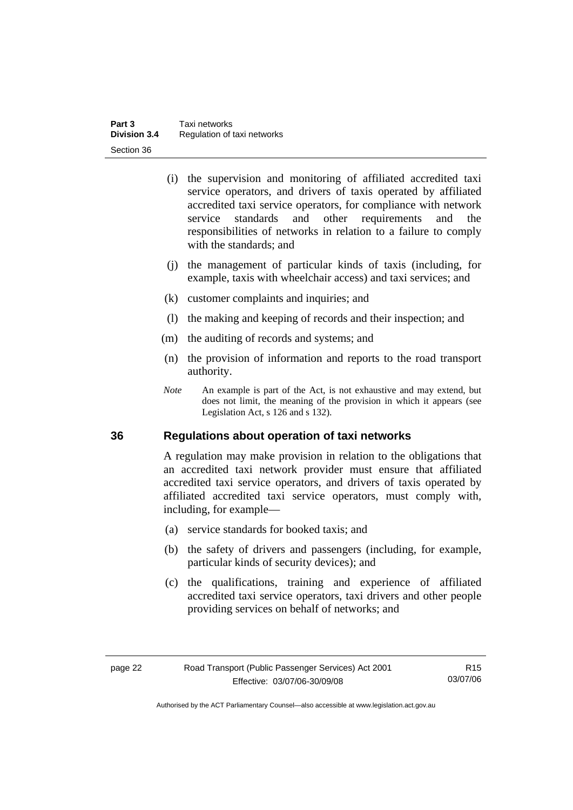<span id="page-29-0"></span>

| Part 3              | Taxi networks               |
|---------------------|-----------------------------|
| <b>Division 3.4</b> | Regulation of taxi networks |
| Section 36          |                             |

- (i) the supervision and monitoring of affiliated accredited taxi service operators, and drivers of taxis operated by affiliated accredited taxi service operators, for compliance with network service standards and other requirements and the responsibilities of networks in relation to a failure to comply with the standards; and
- (j) the management of particular kinds of taxis (including, for example, taxis with wheelchair access) and taxi services; and
- (k) customer complaints and inquiries; and
- (l) the making and keeping of records and their inspection; and
- (m) the auditing of records and systems; and
- (n) the provision of information and reports to the road transport authority.
- *Note* An example is part of the Act, is not exhaustive and may extend, but does not limit, the meaning of the provision in which it appears (see Legislation Act, s 126 and s 132).

#### **36 Regulations about operation of taxi networks**

A regulation may make provision in relation to the obligations that an accredited taxi network provider must ensure that affiliated accredited taxi service operators, and drivers of taxis operated by affiliated accredited taxi service operators, must comply with, including, for example—

- (a) service standards for booked taxis; and
- (b) the safety of drivers and passengers (including, for example, particular kinds of security devices); and
- (c) the qualifications, training and experience of affiliated accredited taxi service operators, taxi drivers and other people providing services on behalf of networks; and

Authorised by the ACT Parliamentary Counsel—also accessible at www.legislation.act.gov.au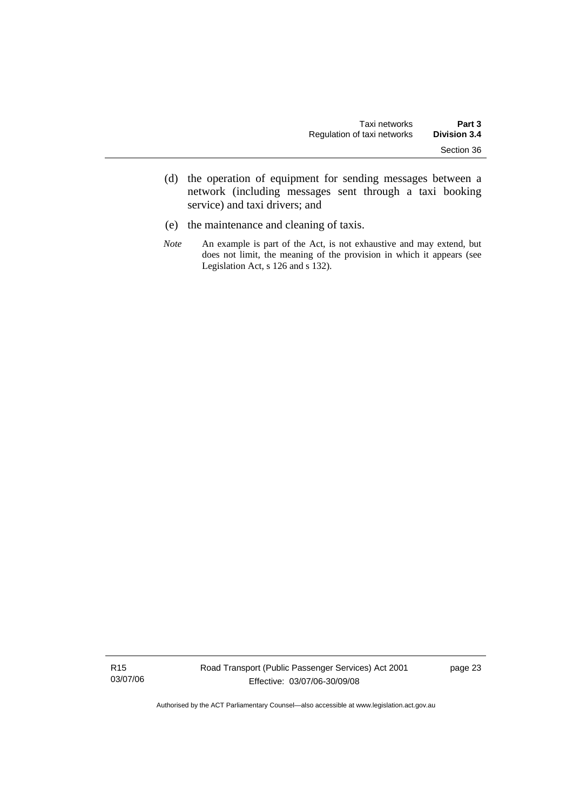- (d) the operation of equipment for sending messages between a network (including messages sent through a taxi booking service) and taxi drivers; and
- (e) the maintenance and cleaning of taxis.
- *Note* An example is part of the Act, is not exhaustive and may extend, but does not limit, the meaning of the provision in which it appears (see Legislation Act, s 126 and s 132).

R15 03/07/06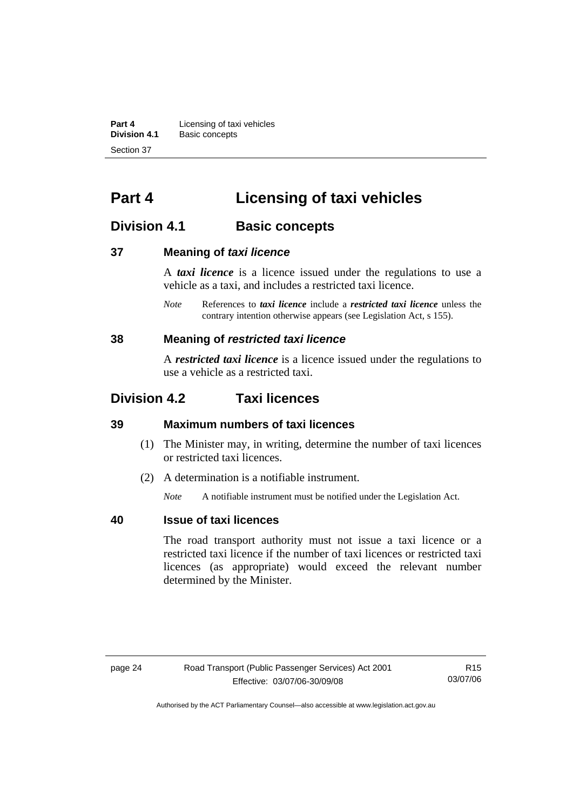<span id="page-31-0"></span>**Part 4 Licensing of taxi vehicles**<br>**Division 4.1** Basic concepts **Division 4.1** Basic concepts Section 37

# **Part 4 Licensing of taxi vehicles**

## **Division 4.1** Basic concepts

#### **37 Meaning of** *taxi licence*

A *taxi licence* is a licence issued under the regulations to use a vehicle as a taxi, and includes a restricted taxi licence.

*Note* References to *taxi licence* include a *restricted taxi licence* unless the contrary intention otherwise appears (see Legislation Act, s 155).

#### **38 Meaning of** *restricted taxi licence*

A *restricted taxi licence* is a licence issued under the regulations to use a vehicle as a restricted taxi.

## **Division 4.2 Taxi licences**

#### **39 Maximum numbers of taxi licences**

- (1) The Minister may, in writing, determine the number of taxi licences or restricted taxi licences.
- (2) A determination is a notifiable instrument.

*Note* A notifiable instrument must be notified under the Legislation Act.

#### **40 Issue of taxi licences**

The road transport authority must not issue a taxi licence or a restricted taxi licence if the number of taxi licences or restricted taxi licences (as appropriate) would exceed the relevant number determined by the Minister.

R15 03/07/06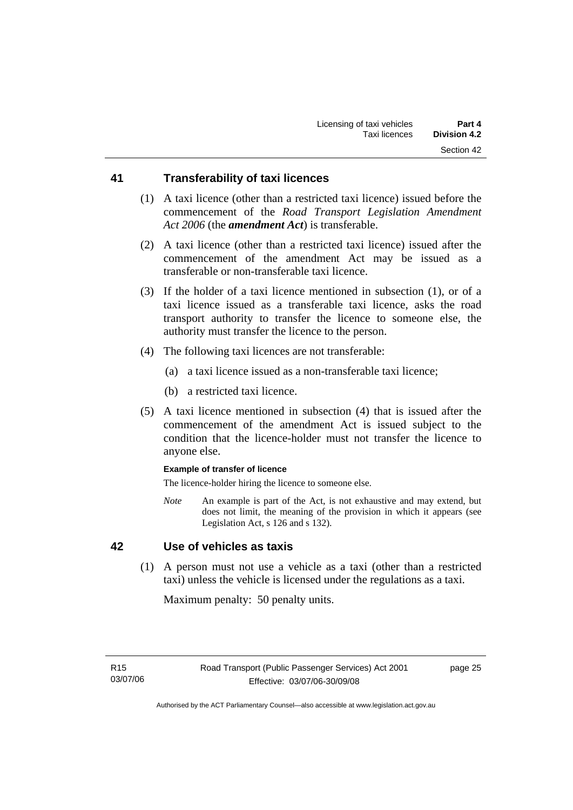## <span id="page-32-0"></span>**41 Transferability of taxi licences**

- (1) A taxi licence (other than a restricted taxi licence) issued before the commencement of the *Road Transport Legislation Amendment Act 2006* (the *amendment Act*) is transferable.
- (2) A taxi licence (other than a restricted taxi licence) issued after the commencement of the amendment Act may be issued as a transferable or non-transferable taxi licence.
- (3) If the holder of a taxi licence mentioned in subsection (1), or of a taxi licence issued as a transferable taxi licence, asks the road transport authority to transfer the licence to someone else, the authority must transfer the licence to the person.
- (4) The following taxi licences are not transferable:
	- (a) a taxi licence issued as a non-transferable taxi licence;
	- (b) a restricted taxi licence.
- (5) A taxi licence mentioned in subsection (4) that is issued after the commencement of the amendment Act is issued subject to the condition that the licence-holder must not transfer the licence to anyone else.

#### **Example of transfer of licence**

The licence-holder hiring the licence to someone else.

*Note* An example is part of the Act, is not exhaustive and may extend, but does not limit, the meaning of the provision in which it appears (see Legislation Act, s 126 and s 132).

#### **42 Use of vehicles as taxis**

 (1) A person must not use a vehicle as a taxi (other than a restricted taxi) unless the vehicle is licensed under the regulations as a taxi.

Maximum penalty: 50 penalty units.

page 25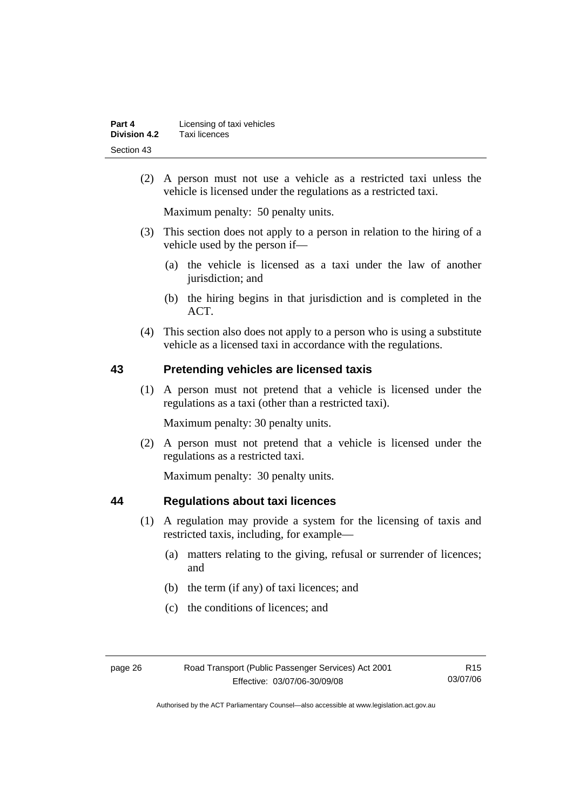<span id="page-33-0"></span>

| Part 4       | Licensing of taxi vehicles |
|--------------|----------------------------|
| Division 4.2 | Taxi licences              |
| Section 43   |                            |

 (2) A person must not use a vehicle as a restricted taxi unless the vehicle is licensed under the regulations as a restricted taxi.

Maximum penalty: 50 penalty units.

- (3) This section does not apply to a person in relation to the hiring of a vehicle used by the person if—
	- (a) the vehicle is licensed as a taxi under the law of another jurisdiction; and
	- (b) the hiring begins in that jurisdiction and is completed in the ACT.
- (4) This section also does not apply to a person who is using a substitute vehicle as a licensed taxi in accordance with the regulations.

#### **43 Pretending vehicles are licensed taxis**

 (1) A person must not pretend that a vehicle is licensed under the regulations as a taxi (other than a restricted taxi).

Maximum penalty: 30 penalty units.

 (2) A person must not pretend that a vehicle is licensed under the regulations as a restricted taxi.

Maximum penalty: 30 penalty units.

## **44 Regulations about taxi licences**

- (1) A regulation may provide a system for the licensing of taxis and restricted taxis, including, for example—
	- (a) matters relating to the giving, refusal or surrender of licences; and
	- (b) the term (if any) of taxi licences; and
	- (c) the conditions of licences; and

R15 03/07/06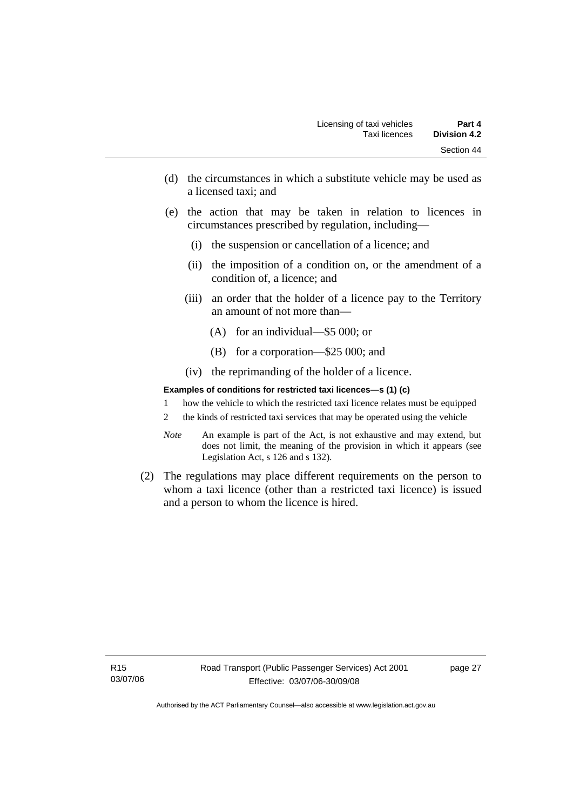- (d) the circumstances in which a substitute vehicle may be used as a licensed taxi; and
- (e) the action that may be taken in relation to licences in circumstances prescribed by regulation, including—
	- (i) the suspension or cancellation of a licence; and
	- (ii) the imposition of a condition on, or the amendment of a condition of, a licence; and
	- (iii) an order that the holder of a licence pay to the Territory an amount of not more than—
		- (A) for an individual—\$5 000; or
		- (B) for a corporation—\$25 000; and
	- (iv) the reprimanding of the holder of a licence.

#### **Examples of conditions for restricted taxi licences—s (1) (c)**

- 1 how the vehicle to which the restricted taxi licence relates must be equipped
- 2 the kinds of restricted taxi services that may be operated using the vehicle
- *Note* An example is part of the Act, is not exhaustive and may extend, but does not limit, the meaning of the provision in which it appears (see Legislation Act, s 126 and s 132).
- (2) The regulations may place different requirements on the person to whom a taxi licence (other than a restricted taxi licence) is issued and a person to whom the licence is hired.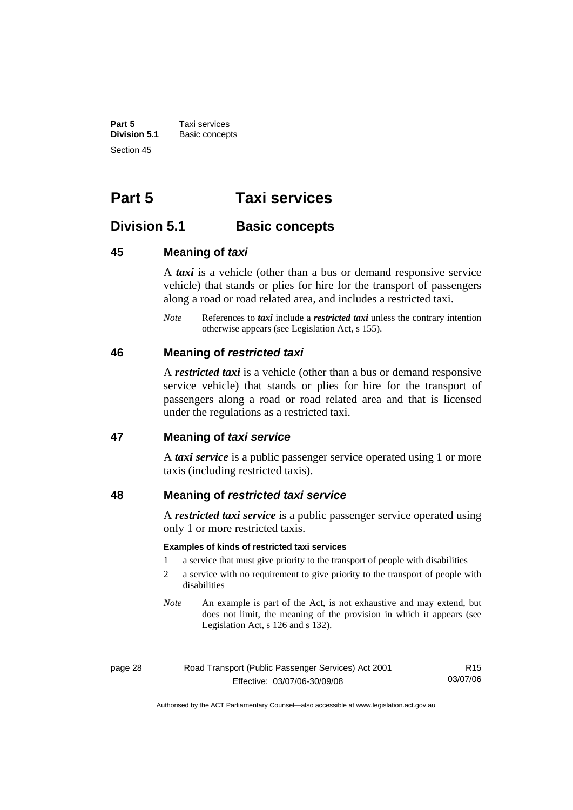<span id="page-35-0"></span>**Part 5 Taxi services**<br>**Division 5.1 Basic concep Division 5.1** Basic concepts Section 45

# **Part 5 Taxi services**

## **Division 5.1** Basic concepts

#### **45 Meaning of** *taxi*

A *taxi* is a vehicle (other than a bus or demand responsive service vehicle) that stands or plies for hire for the transport of passengers along a road or road related area, and includes a restricted taxi.

*Note* References to *taxi* include a *restricted taxi* unless the contrary intention otherwise appears (see Legislation Act, s 155).

#### **46 Meaning of** *restricted taxi*

A *restricted taxi* is a vehicle (other than a bus or demand responsive service vehicle) that stands or plies for hire for the transport of passengers along a road or road related area and that is licensed under the regulations as a restricted taxi.

#### **47 Meaning of** *taxi service*

A *taxi service* is a public passenger service operated using 1 or more taxis (including restricted taxis).

#### **48 Meaning of** *restricted taxi service*

A *restricted taxi service* is a public passenger service operated using only 1 or more restricted taxis.

#### **Examples of kinds of restricted taxi services**

- 1 a service that must give priority to the transport of people with disabilities
- 2 a service with no requirement to give priority to the transport of people with disabilities
- *Note* An example is part of the Act, is not exhaustive and may extend, but does not limit, the meaning of the provision in which it appears (see Legislation Act, s 126 and s 132).

| page 28 |  |  |
|---------|--|--|
|---------|--|--|

Road Transport (Public Passenger Services) Act 2001 Effective: 03/07/06-30/09/08

R15 03/07/06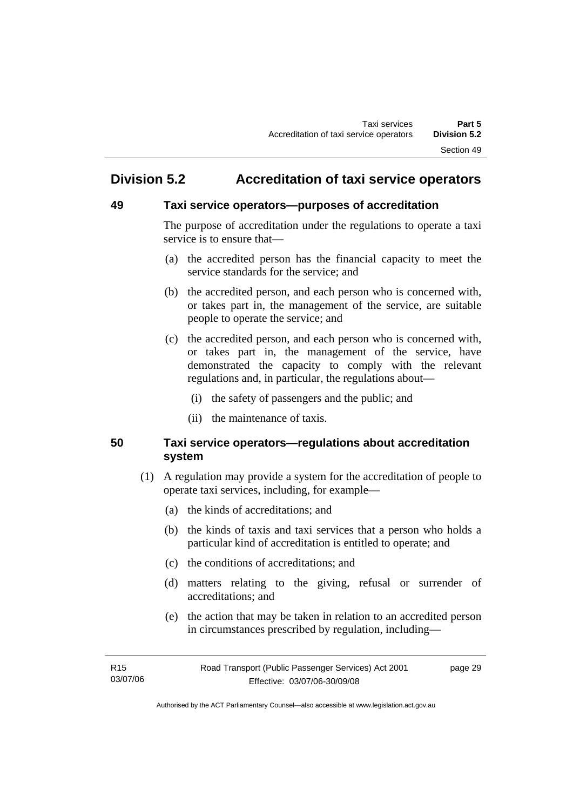# **Division 5.2 Accreditation of taxi service operators**

### **49 Taxi service operators—purposes of accreditation**

The purpose of accreditation under the regulations to operate a taxi service is to ensure that—

- (a) the accredited person has the financial capacity to meet the service standards for the service; and
- (b) the accredited person, and each person who is concerned with, or takes part in, the management of the service, are suitable people to operate the service; and
- (c) the accredited person, and each person who is concerned with, or takes part in, the management of the service, have demonstrated the capacity to comply with the relevant regulations and, in particular, the regulations about—
	- (i) the safety of passengers and the public; and
	- (ii) the maintenance of taxis.

#### **50 Taxi service operators—regulations about accreditation system**

- (1) A regulation may provide a system for the accreditation of people to operate taxi services, including, for example—
	- (a) the kinds of accreditations; and
	- (b) the kinds of taxis and taxi services that a person who holds a particular kind of accreditation is entitled to operate; and
	- (c) the conditions of accreditations; and
	- (d) matters relating to the giving, refusal or surrender of accreditations; and
	- (e) the action that may be taken in relation to an accredited person in circumstances prescribed by regulation, including—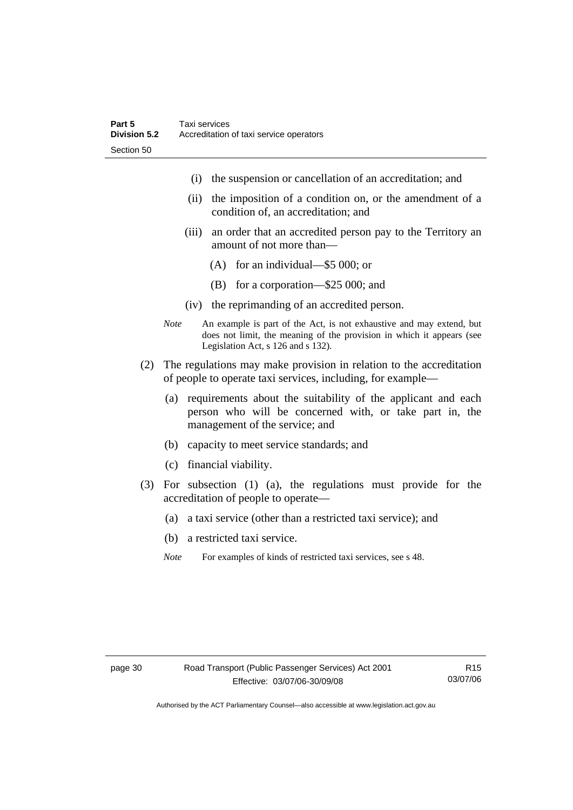- (i) the suspension or cancellation of an accreditation; and
- (ii) the imposition of a condition on, or the amendment of a condition of, an accreditation; and
- (iii) an order that an accredited person pay to the Territory an amount of not more than—
	- (A) for an individual—\$5 000; or
	- (B) for a corporation—\$25 000; and
- (iv) the reprimanding of an accredited person.
- *Note* An example is part of the Act, is not exhaustive and may extend, but does not limit, the meaning of the provision in which it appears (see Legislation Act, s 126 and s 132).
- (2) The regulations may make provision in relation to the accreditation of people to operate taxi services, including, for example—
	- (a) requirements about the suitability of the applicant and each person who will be concerned with, or take part in, the management of the service; and
	- (b) capacity to meet service standards; and
	- (c) financial viability.
- (3) For subsection (1) (a), the regulations must provide for the accreditation of people to operate—
	- (a) a taxi service (other than a restricted taxi service); and
	- (b) a restricted taxi service.
	- *Note* For examples of kinds of restricted taxi services, see s 48.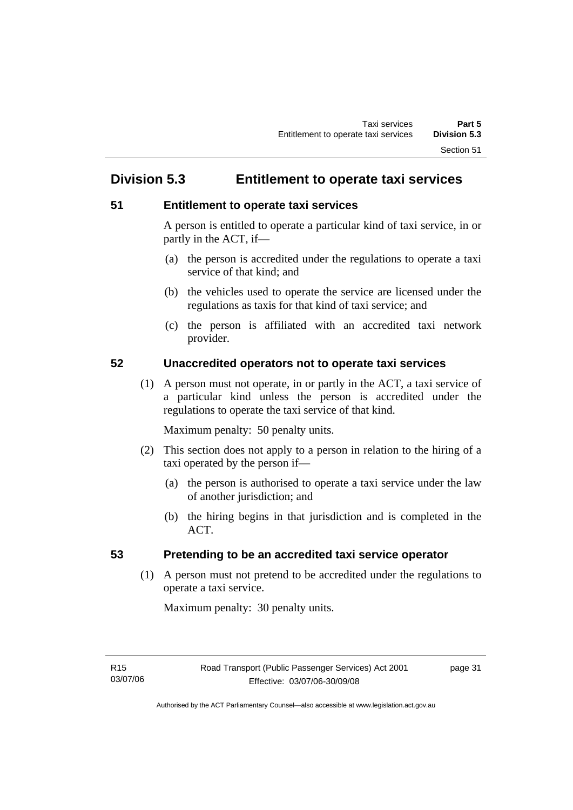# **Division 5.3 Entitlement to operate taxi services**

### **51 Entitlement to operate taxi services**

A person is entitled to operate a particular kind of taxi service, in or partly in the ACT, if—

- (a) the person is accredited under the regulations to operate a taxi service of that kind; and
- (b) the vehicles used to operate the service are licensed under the regulations as taxis for that kind of taxi service; and
- (c) the person is affiliated with an accredited taxi network provider.

#### **52 Unaccredited operators not to operate taxi services**

 (1) A person must not operate, in or partly in the ACT, a taxi service of a particular kind unless the person is accredited under the regulations to operate the taxi service of that kind.

Maximum penalty: 50 penalty units.

- (2) This section does not apply to a person in relation to the hiring of a taxi operated by the person if—
	- (a) the person is authorised to operate a taxi service under the law of another jurisdiction; and
	- (b) the hiring begins in that jurisdiction and is completed in the ACT.

### **53 Pretending to be an accredited taxi service operator**

 (1) A person must not pretend to be accredited under the regulations to operate a taxi service.

Maximum penalty: 30 penalty units.

page 31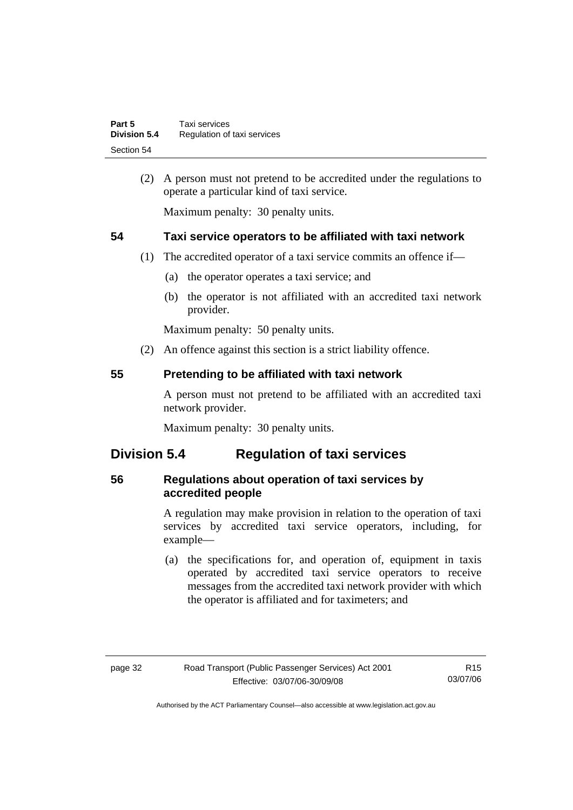| Part 5              | Taxi services               |
|---------------------|-----------------------------|
| <b>Division 5.4</b> | Regulation of taxi services |
| Section 54          |                             |

 (2) A person must not pretend to be accredited under the regulations to operate a particular kind of taxi service.

Maximum penalty: 30 penalty units.

#### **54 Taxi service operators to be affiliated with taxi network**

- (1) The accredited operator of a taxi service commits an offence if—
	- (a) the operator operates a taxi service; and
	- (b) the operator is not affiliated with an accredited taxi network provider.

Maximum penalty: 50 penalty units.

(2) An offence against this section is a strict liability offence.

#### **55 Pretending to be affiliated with taxi network**

A person must not pretend to be affiliated with an accredited taxi network provider.

Maximum penalty: 30 penalty units.

# **Division 5.4 Regulation of taxi services**

#### **56 Regulations about operation of taxi services by accredited people**

A regulation may make provision in relation to the operation of taxi services by accredited taxi service operators, including, for example—

 (a) the specifications for, and operation of, equipment in taxis operated by accredited taxi service operators to receive messages from the accredited taxi network provider with which the operator is affiliated and for taximeters; and

R15 03/07/06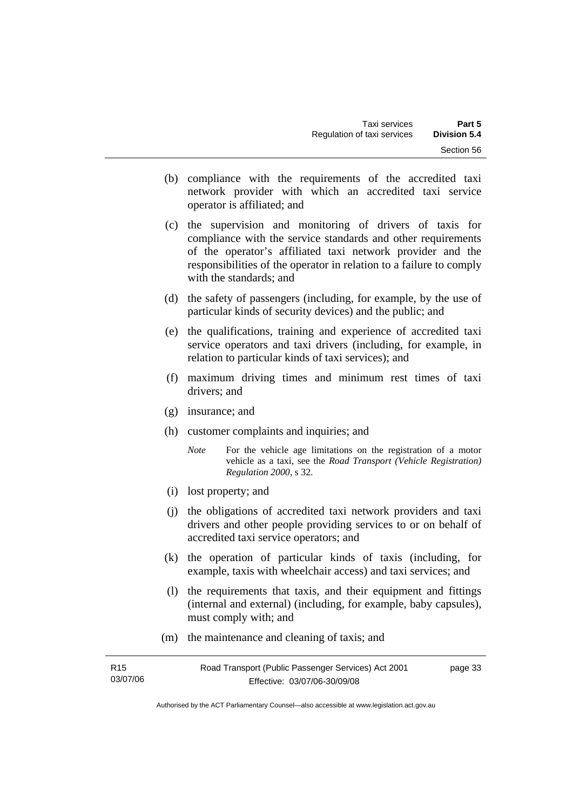- (b) compliance with the requirements of the accredited taxi network provider with which an accredited taxi service operator is affiliated; and
- (c) the supervision and monitoring of drivers of taxis for compliance with the service standards and other requirements of the operator's affiliated taxi network provider and the responsibilities of the operator in relation to a failure to comply with the standards; and
- (d) the safety of passengers (including, for example, by the use of particular kinds of security devices) and the public; and
- (e) the qualifications, training and experience of accredited taxi service operators and taxi drivers (including, for example, in relation to particular kinds of taxi services); and
- (f) maximum driving times and minimum rest times of taxi drivers; and
- (g) insurance; and
- (h) customer complaints and inquiries; and
	- *Note* For the vehicle age limitations on the registration of a motor vehicle as a taxi, see the *Road Transport (Vehicle Registration) Regulation 2000*, s 32.
- (i) lost property; and
- (j) the obligations of accredited taxi network providers and taxi drivers and other people providing services to or on behalf of accredited taxi service operators; and
- (k) the operation of particular kinds of taxis (including, for example, taxis with wheelchair access) and taxi services; and
- (l) the requirements that taxis, and their equipment and fittings (internal and external) (including, for example, baby capsules), must comply with; and
- (m) the maintenance and cleaning of taxis; and

| R15      | Road Transport (Public Passenger Services) Act 2001 | page 33 |
|----------|-----------------------------------------------------|---------|
| 03/07/06 | Effective: 03/07/06-30/09/08                        |         |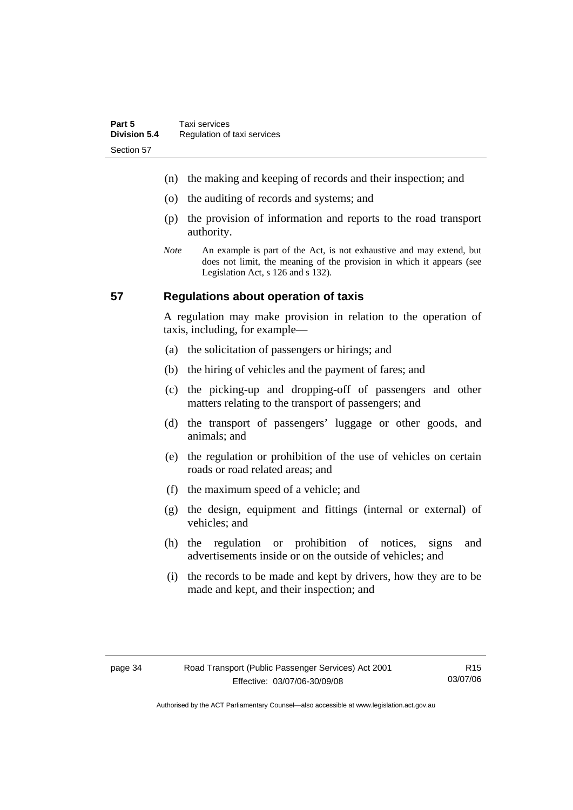- (n) the making and keeping of records and their inspection; and
- (o) the auditing of records and systems; and
- (p) the provision of information and reports to the road transport authority.
- *Note* An example is part of the Act, is not exhaustive and may extend, but does not limit, the meaning of the provision in which it appears (see Legislation Act, s 126 and s 132).

#### **57 Regulations about operation of taxis**

A regulation may make provision in relation to the operation of taxis, including, for example—

- (a) the solicitation of passengers or hirings; and
- (b) the hiring of vehicles and the payment of fares; and
- (c) the picking-up and dropping-off of passengers and other matters relating to the transport of passengers; and
- (d) the transport of passengers' luggage or other goods, and animals; and
- (e) the regulation or prohibition of the use of vehicles on certain roads or road related areas; and
- (f) the maximum speed of a vehicle; and
- (g) the design, equipment and fittings (internal or external) of vehicles; and
- (h) the regulation or prohibition of notices, signs and advertisements inside or on the outside of vehicles; and
- (i) the records to be made and kept by drivers, how they are to be made and kept, and their inspection; and

R15 03/07/06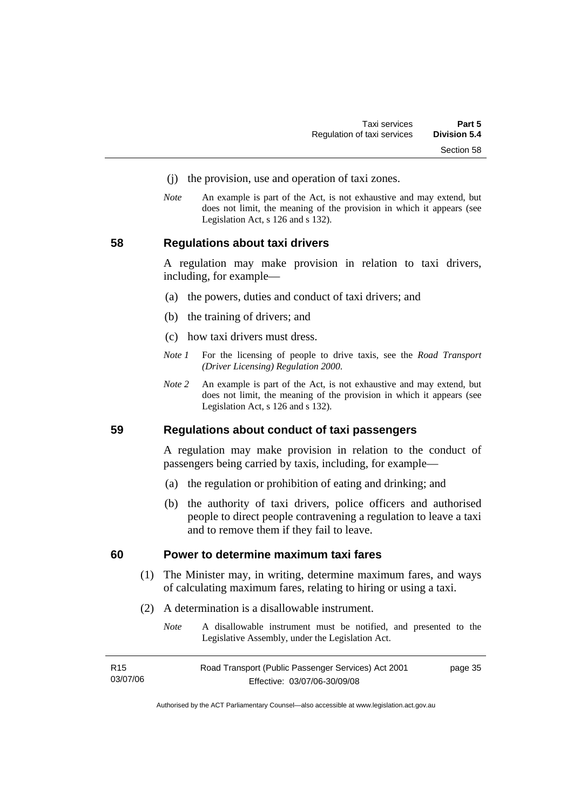- (j) the provision, use and operation of taxi zones.
- *Note* An example is part of the Act, is not exhaustive and may extend, but does not limit, the meaning of the provision in which it appears (see Legislation Act, s 126 and s 132).

#### **58 Regulations about taxi drivers**

A regulation may make provision in relation to taxi drivers, including, for example—

- (a) the powers, duties and conduct of taxi drivers; and
- (b) the training of drivers; and
- (c) how taxi drivers must dress.
- *Note 1* For the licensing of people to drive taxis, see the *Road Transport (Driver Licensing) Regulation 2000*.
- *Note 2* An example is part of the Act, is not exhaustive and may extend, but does not limit, the meaning of the provision in which it appears (see Legislation Act, s 126 and s 132).

#### **59 Regulations about conduct of taxi passengers**

A regulation may make provision in relation to the conduct of passengers being carried by taxis, including, for example—

- (a) the regulation or prohibition of eating and drinking; and
- (b) the authority of taxi drivers, police officers and authorised people to direct people contravening a regulation to leave a taxi and to remove them if they fail to leave.

#### **60 Power to determine maximum taxi fares**

- (1) The Minister may, in writing, determine maximum fares, and ways of calculating maximum fares, relating to hiring or using a taxi.
- (2) A determination is a disallowable instrument.
	- *Note* A disallowable instrument must be notified, and presented to the Legislative Assembly, under the Legislation Act.

| R <sub>15</sub> | Road Transport (Public Passenger Services) Act 2001 | page 35 |
|-----------------|-----------------------------------------------------|---------|
| 03/07/06        | Effective: 03/07/06-30/09/08                        |         |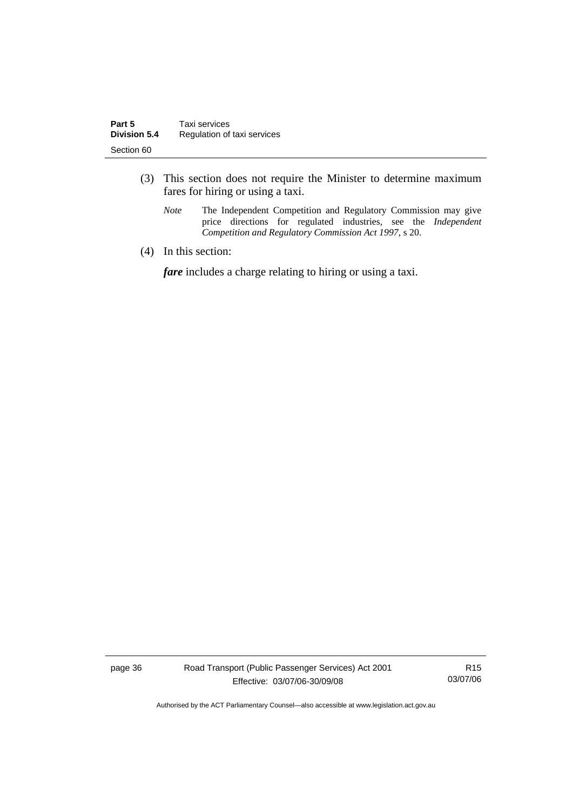- (3) This section does not require the Minister to determine maximum fares for hiring or using a taxi.
	- *Note* The Independent Competition and Regulatory Commission may give price directions for regulated industries, see the *Independent Competition and Regulatory Commission Act 1997*, s 20.
- (4) In this section:

*fare* includes a charge relating to hiring or using a taxi.

page 36 Road Transport (Public Passenger Services) Act 2001 Effective: 03/07/06-30/09/08

R15 03/07/06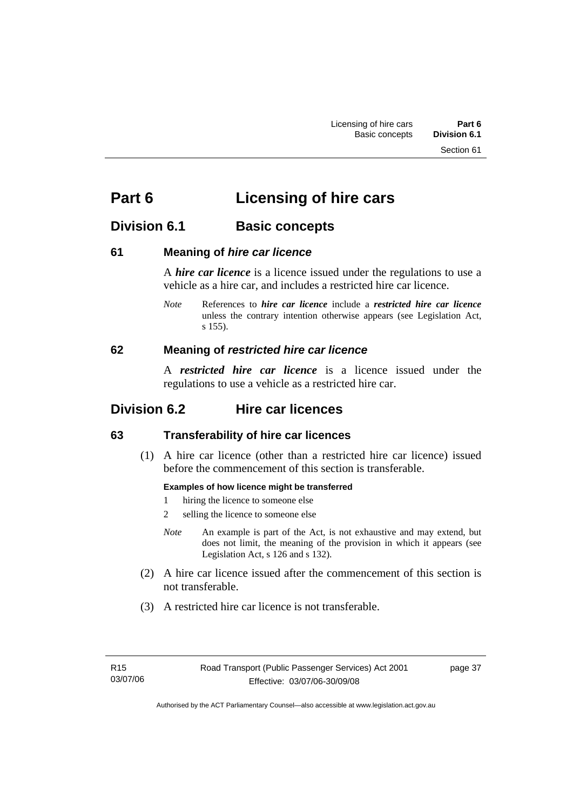Section 61

# **Part 6 Licensing of hire cars**

# **Division 6.1** Basic concepts

#### **61 Meaning of** *hire car licence*

A *hire car licence* is a licence issued under the regulations to use a vehicle as a hire car, and includes a restricted hire car licence.

*Note* References to *hire car licence* include a *restricted hire car licence* unless the contrary intention otherwise appears (see Legislation Act, s 155).

#### **62 Meaning of** *restricted hire car licence*

A *restricted hire car licence* is a licence issued under the regulations to use a vehicle as a restricted hire car.

# **Division 6.2 Hire car licences**

#### **63 Transferability of hire car licences**

 (1) A hire car licence (other than a restricted hire car licence) issued before the commencement of this section is transferable.

#### **Examples of how licence might be transferred**

- 1 hiring the licence to someone else
- 2 selling the licence to someone else
- *Note* An example is part of the Act, is not exhaustive and may extend, but does not limit, the meaning of the provision in which it appears (see Legislation Act, s 126 and s 132).
- (2) A hire car licence issued after the commencement of this section is not transferable.
- (3) A restricted hire car licence is not transferable.

page 37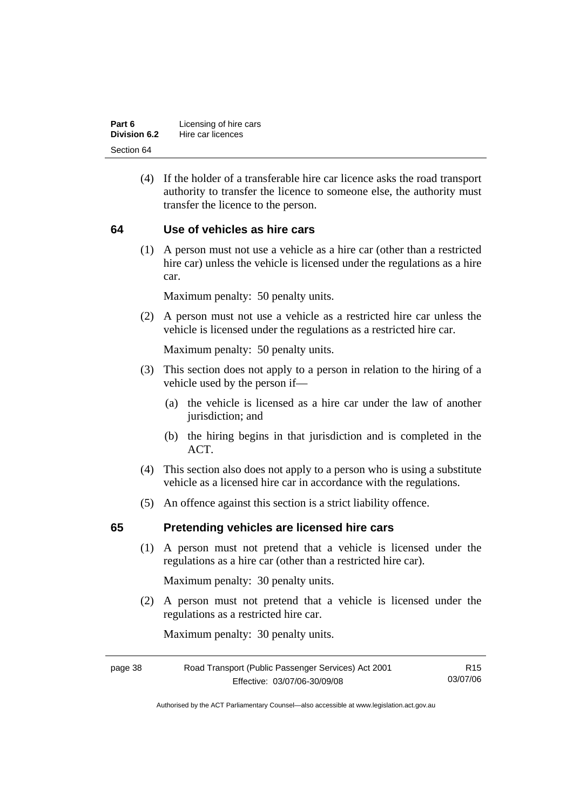| Part 6       | Licensing of hire cars |
|--------------|------------------------|
| Division 6.2 | Hire car licences      |
| Section 64   |                        |

 (4) If the holder of a transferable hire car licence asks the road transport authority to transfer the licence to someone else, the authority must transfer the licence to the person.

#### **64 Use of vehicles as hire cars**

 (1) A person must not use a vehicle as a hire car (other than a restricted hire car) unless the vehicle is licensed under the regulations as a hire car.

Maximum penalty: 50 penalty units.

 (2) A person must not use a vehicle as a restricted hire car unless the vehicle is licensed under the regulations as a restricted hire car.

Maximum penalty: 50 penalty units.

- (3) This section does not apply to a person in relation to the hiring of a vehicle used by the person if—
	- (a) the vehicle is licensed as a hire car under the law of another jurisdiction; and
	- (b) the hiring begins in that jurisdiction and is completed in the ACT.
- (4) This section also does not apply to a person who is using a substitute vehicle as a licensed hire car in accordance with the regulations.
- (5) An offence against this section is a strict liability offence.

#### **65 Pretending vehicles are licensed hire cars**

 (1) A person must not pretend that a vehicle is licensed under the regulations as a hire car (other than a restricted hire car).

Maximum penalty: 30 penalty units.

 (2) A person must not pretend that a vehicle is licensed under the regulations as a restricted hire car.

Maximum penalty: 30 penalty units.

| Road Transport (Public Passenger Services) Act 2001<br>page 38 |                              | R15.     |
|----------------------------------------------------------------|------------------------------|----------|
|                                                                | Effective: 03/07/06-30/09/08 | 03/07/06 |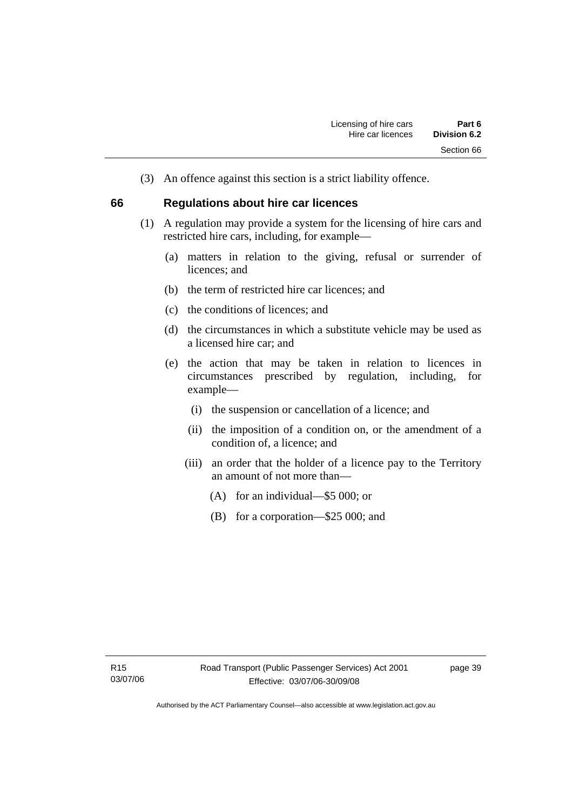(3) An offence against this section is a strict liability offence.

#### **66 Regulations about hire car licences**

- (1) A regulation may provide a system for the licensing of hire cars and restricted hire cars, including, for example—
	- (a) matters in relation to the giving, refusal or surrender of licences; and
	- (b) the term of restricted hire car licences; and
	- (c) the conditions of licences; and
	- (d) the circumstances in which a substitute vehicle may be used as a licensed hire car; and
	- (e) the action that may be taken in relation to licences in circumstances prescribed by regulation, including, for example—
		- (i) the suspension or cancellation of a licence; and
		- (ii) the imposition of a condition on, or the amendment of a condition of, a licence; and
		- (iii) an order that the holder of a licence pay to the Territory an amount of not more than—
			- (A) for an individual—\$5 000; or
			- (B) for a corporation—\$25 000; and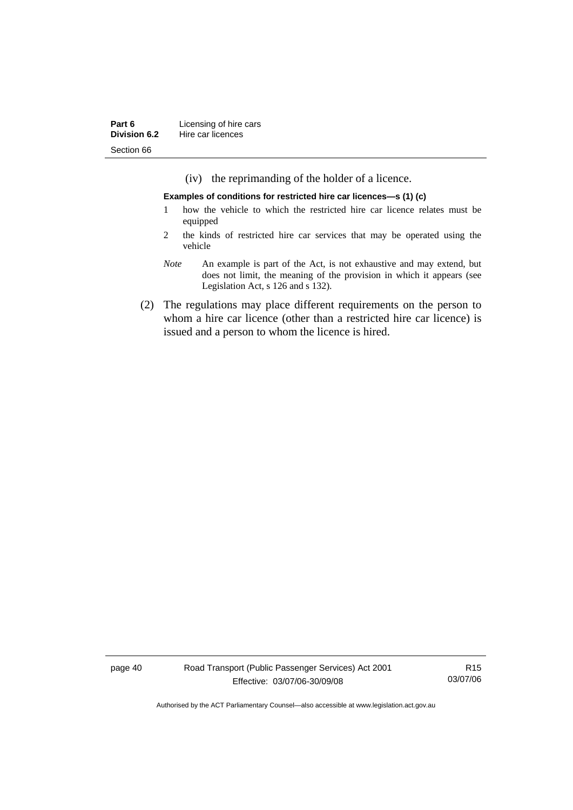| Part 6       | Licensing of hire cars |  |
|--------------|------------------------|--|
| Division 6.2 | Hire car licences      |  |
| Section 66   |                        |  |

(iv) the reprimanding of the holder of a licence.

**Examples of conditions for restricted hire car licences—s (1) (c)** 

- 1 how the vehicle to which the restricted hire car licence relates must be equipped
- 2 the kinds of restricted hire car services that may be operated using the vehicle
- *Note* An example is part of the Act, is not exhaustive and may extend, but does not limit, the meaning of the provision in which it appears (see Legislation Act, s 126 and s 132).
- (2) The regulations may place different requirements on the person to whom a hire car licence (other than a restricted hire car licence) is issued and a person to whom the licence is hired.

page 40 Road Transport (Public Passenger Services) Act 2001 Effective: 03/07/06-30/09/08

R15 03/07/06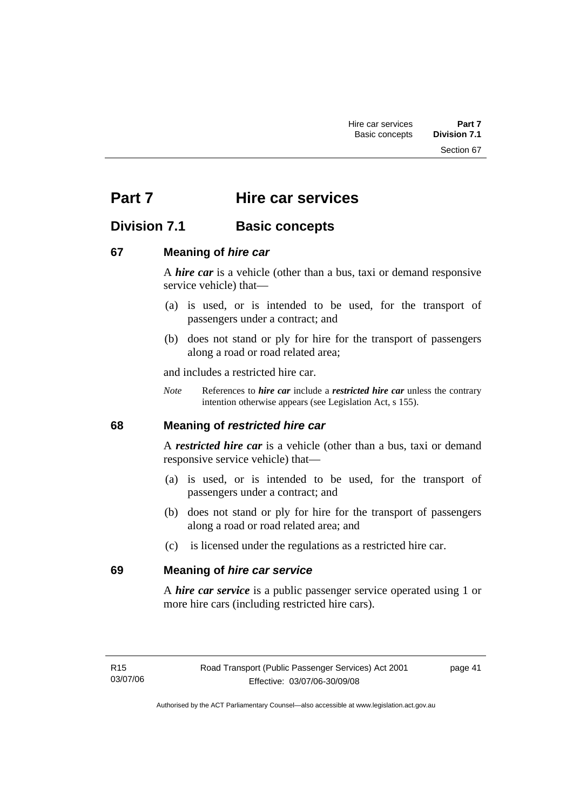Section 67

# **Part 7 Hire car services**

# **Division 7.1 Basic concepts**

#### **67 Meaning of** *hire car*

A *hire car* is a vehicle (other than a bus, taxi or demand responsive service vehicle) that—

- (a) is used, or is intended to be used, for the transport of passengers under a contract; and
- (b) does not stand or ply for hire for the transport of passengers along a road or road related area;

and includes a restricted hire car.

*Note* References to *hire car* include a *restricted hire car* unless the contrary intention otherwise appears (see Legislation Act, s 155).

#### **68 Meaning of** *restricted hire car*

A *restricted hire car* is a vehicle (other than a bus, taxi or demand responsive service vehicle) that—

- (a) is used, or is intended to be used, for the transport of passengers under a contract; and
- (b) does not stand or ply for hire for the transport of passengers along a road or road related area; and
- (c) is licensed under the regulations as a restricted hire car.

#### **69 Meaning of** *hire car service*

A *hire car service* is a public passenger service operated using 1 or more hire cars (including restricted hire cars).

page 41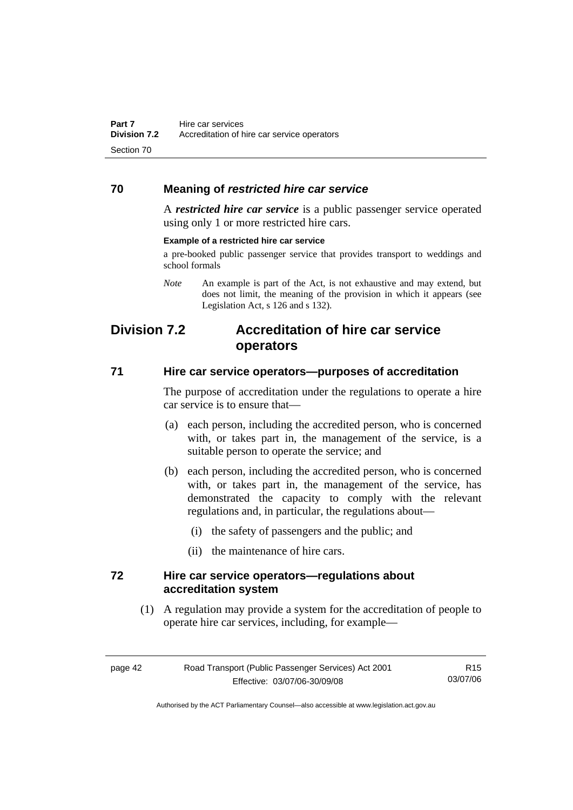#### **70 Meaning of** *restricted hire car service*

A *restricted hire car service* is a public passenger service operated using only 1 or more restricted hire cars.

#### **Example of a restricted hire car service**

a pre-booked public passenger service that provides transport to weddings and school formals

*Note* An example is part of the Act, is not exhaustive and may extend, but does not limit, the meaning of the provision in which it appears (see Legislation Act, s 126 and s 132).

# **Division 7.2 Accreditation of hire car service operators**

#### **71 Hire car service operators—purposes of accreditation**

The purpose of accreditation under the regulations to operate a hire car service is to ensure that—

- (a) each person, including the accredited person, who is concerned with, or takes part in, the management of the service, is a suitable person to operate the service; and
- (b) each person, including the accredited person, who is concerned with, or takes part in, the management of the service, has demonstrated the capacity to comply with the relevant regulations and, in particular, the regulations about—
	- (i) the safety of passengers and the public; and
	- (ii) the maintenance of hire cars.

#### **72 Hire car service operators—regulations about accreditation system**

 (1) A regulation may provide a system for the accreditation of people to operate hire car services, including, for example—

| page 42 | Road Transport (Public Passenger Services) Act 2001 | R <sub>15</sub> |
|---------|-----------------------------------------------------|-----------------|
|         | Effective: 03/07/06-30/09/08                        | 03/07/06        |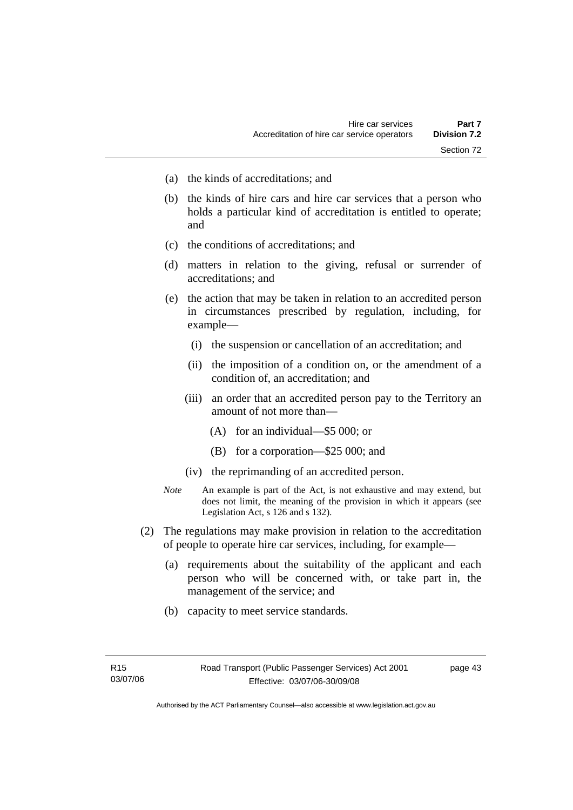- (a) the kinds of accreditations; and
- (b) the kinds of hire cars and hire car services that a person who holds a particular kind of accreditation is entitled to operate; and
- (c) the conditions of accreditations; and
- (d) matters in relation to the giving, refusal or surrender of accreditations; and
- (e) the action that may be taken in relation to an accredited person in circumstances prescribed by regulation, including, for example—
	- (i) the suspension or cancellation of an accreditation; and
	- (ii) the imposition of a condition on, or the amendment of a condition of, an accreditation; and
	- (iii) an order that an accredited person pay to the Territory an amount of not more than—
		- (A) for an individual—\$5 000; or
		- (B) for a corporation—\$25 000; and
	- (iv) the reprimanding of an accredited person.
- *Note* An example is part of the Act, is not exhaustive and may extend, but does not limit, the meaning of the provision in which it appears (see Legislation Act, s 126 and s 132).
- (2) The regulations may make provision in relation to the accreditation of people to operate hire car services, including, for example—
	- (a) requirements about the suitability of the applicant and each person who will be concerned with, or take part in, the management of the service; and
	- (b) capacity to meet service standards.

page 43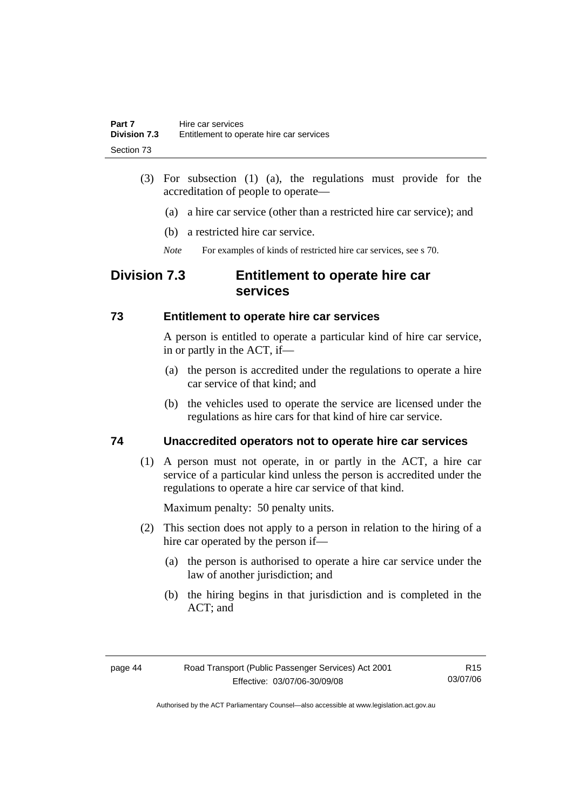- (3) For subsection (1) (a), the regulations must provide for the accreditation of people to operate—
	- (a) a hire car service (other than a restricted hire car service); and
	- (b) a restricted hire car service.
	- *Note* For examples of kinds of restricted hire car services, see s 70.

# **Division 7.3 Entitlement to operate hire car services**

#### **73 Entitlement to operate hire car services**

A person is entitled to operate a particular kind of hire car service, in or partly in the ACT, if—

- (a) the person is accredited under the regulations to operate a hire car service of that kind; and
- (b) the vehicles used to operate the service are licensed under the regulations as hire cars for that kind of hire car service.

### **74 Unaccredited operators not to operate hire car services**

 (1) A person must not operate, in or partly in the ACT, a hire car service of a particular kind unless the person is accredited under the regulations to operate a hire car service of that kind.

Maximum penalty: 50 penalty units.

- (2) This section does not apply to a person in relation to the hiring of a hire car operated by the person if—
	- (a) the person is authorised to operate a hire car service under the law of another jurisdiction; and
	- (b) the hiring begins in that jurisdiction and is completed in the ACT; and

R15 03/07/06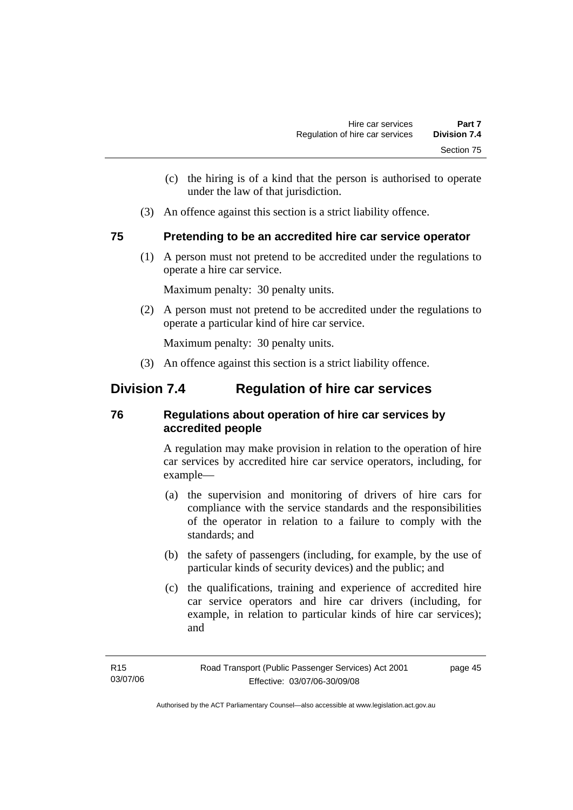- (c) the hiring is of a kind that the person is authorised to operate under the law of that jurisdiction.
- (3) An offence against this section is a strict liability offence.

#### **75 Pretending to be an accredited hire car service operator**

 (1) A person must not pretend to be accredited under the regulations to operate a hire car service.

Maximum penalty: 30 penalty units.

 (2) A person must not pretend to be accredited under the regulations to operate a particular kind of hire car service.

Maximum penalty: 30 penalty units.

(3) An offence against this section is a strict liability offence.

# **Division 7.4 Regulation of hire car services**

### **76 Regulations about operation of hire car services by accredited people**

A regulation may make provision in relation to the operation of hire car services by accredited hire car service operators, including, for example—

- (a) the supervision and monitoring of drivers of hire cars for compliance with the service standards and the responsibilities of the operator in relation to a failure to comply with the standards; and
- (b) the safety of passengers (including, for example, by the use of particular kinds of security devices) and the public; and
- (c) the qualifications, training and experience of accredited hire car service operators and hire car drivers (including, for example, in relation to particular kinds of hire car services); and

page 45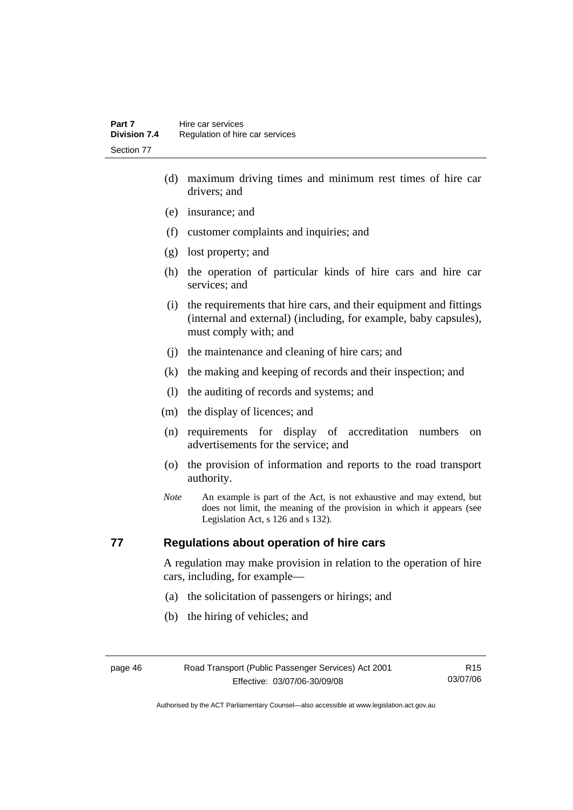- (d) maximum driving times and minimum rest times of hire car drivers; and
- (e) insurance; and
- (f) customer complaints and inquiries; and
- (g) lost property; and
- (h) the operation of particular kinds of hire cars and hire car services; and
- (i) the requirements that hire cars, and their equipment and fittings (internal and external) (including, for example, baby capsules), must comply with; and
- (j) the maintenance and cleaning of hire cars; and
- (k) the making and keeping of records and their inspection; and
- (l) the auditing of records and systems; and
- (m) the display of licences; and
- (n) requirements for display of accreditation numbers on advertisements for the service; and
- (o) the provision of information and reports to the road transport authority.
- *Note* An example is part of the Act, is not exhaustive and may extend, but does not limit, the meaning of the provision in which it appears (see Legislation Act, s 126 and s 132).

#### **77 Regulations about operation of hire cars**

A regulation may make provision in relation to the operation of hire cars, including, for example—

- (a) the solicitation of passengers or hirings; and
- (b) the hiring of vehicles; and

R15 03/07/06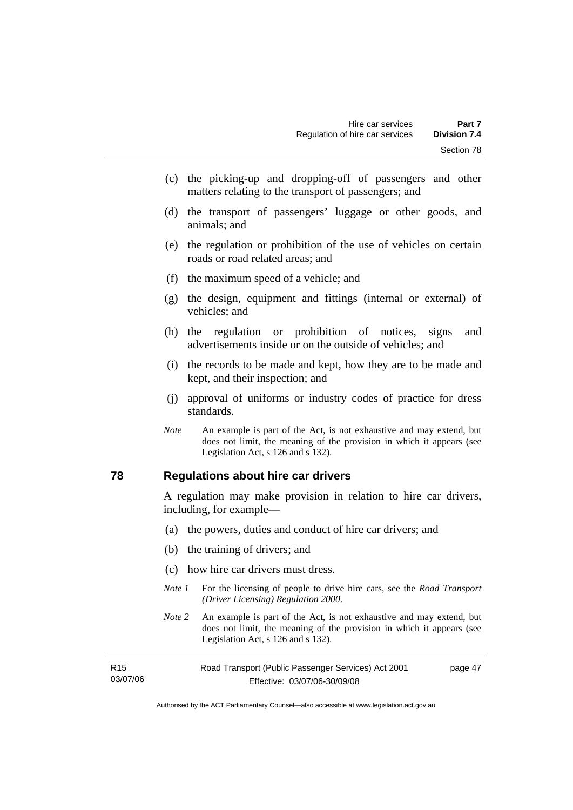- (c) the picking-up and dropping-off of passengers and other matters relating to the transport of passengers; and
- (d) the transport of passengers' luggage or other goods, and animals; and
- (e) the regulation or prohibition of the use of vehicles on certain roads or road related areas; and
- (f) the maximum speed of a vehicle; and
- (g) the design, equipment and fittings (internal or external) of vehicles; and
- (h) the regulation or prohibition of notices, signs and advertisements inside or on the outside of vehicles; and
- (i) the records to be made and kept, how they are to be made and kept, and their inspection; and
- (j) approval of uniforms or industry codes of practice for dress standards.
- *Note* An example is part of the Act, is not exhaustive and may extend, but does not limit, the meaning of the provision in which it appears (see Legislation Act, s 126 and s 132).

#### **78 Regulations about hire car drivers**

A regulation may make provision in relation to hire car drivers, including, for example—

- (a) the powers, duties and conduct of hire car drivers; and
- (b) the training of drivers; and
- (c) how hire car drivers must dress.
- *Note 1* For the licensing of people to drive hire cars, see the *Road Transport (Driver Licensing) Regulation 2000*.
- *Note 2* An example is part of the Act, is not exhaustive and may extend, but does not limit, the meaning of the provision in which it appears (see Legislation Act, s 126 and s 132).

| R15      | Road Transport (Public Passenger Services) Act 2001 | page 47 |
|----------|-----------------------------------------------------|---------|
| 03/07/06 | Effective: 03/07/06-30/09/08                        |         |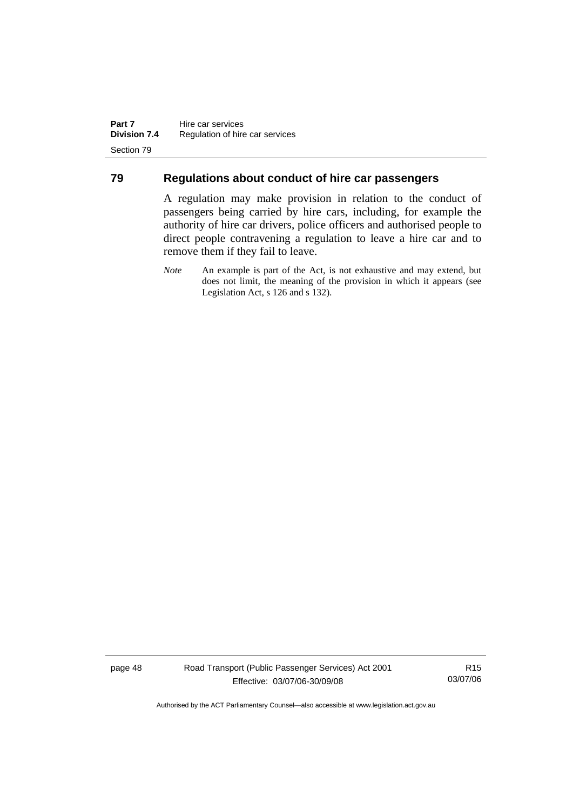#### **79 Regulations about conduct of hire car passengers**

A regulation may make provision in relation to the conduct of passengers being carried by hire cars, including, for example the authority of hire car drivers, police officers and authorised people to direct people contravening a regulation to leave a hire car and to remove them if they fail to leave.

*Note* An example is part of the Act, is not exhaustive and may extend, but does not limit, the meaning of the provision in which it appears (see Legislation Act, s 126 and s 132).

page 48 Road Transport (Public Passenger Services) Act 2001 Effective: 03/07/06-30/09/08

R15 03/07/06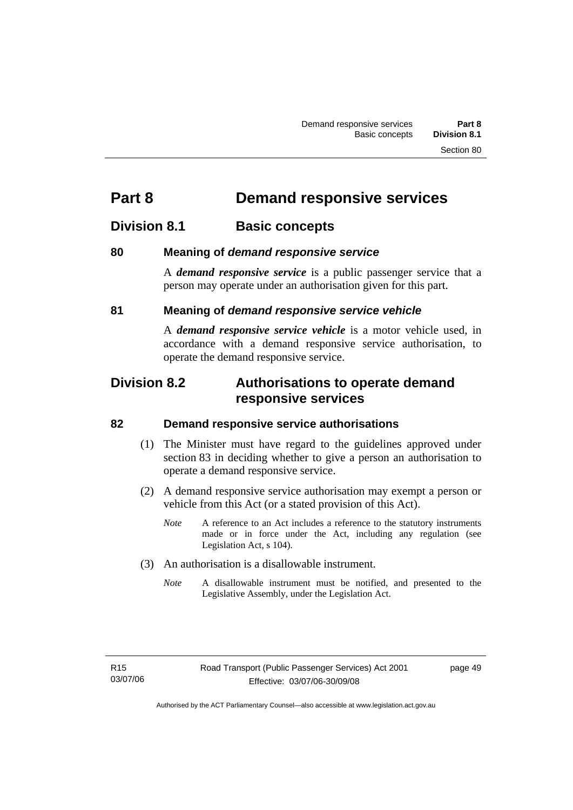# **Part 8 Demand responsive services**

# **Division 8.1** Basic concepts

#### **80 Meaning of** *demand responsive service*

A *demand responsive service* is a public passenger service that a person may operate under an authorisation given for this part.

#### **81 Meaning of** *demand responsive service vehicle*

A *demand responsive service vehicle* is a motor vehicle used, in accordance with a demand responsive service authorisation, to operate the demand responsive service.

# **Division 8.2 Authorisations to operate demand responsive services**

#### **82 Demand responsive service authorisations**

- (1) The Minister must have regard to the guidelines approved under section 83 in deciding whether to give a person an authorisation to operate a demand responsive service.
- (2) A demand responsive service authorisation may exempt a person or vehicle from this Act (or a stated provision of this Act).
	- *Note* A reference to an Act includes a reference to the statutory instruments made or in force under the Act, including any regulation (see Legislation Act, s 104).
- (3) An authorisation is a disallowable instrument.
	- *Note* A disallowable instrument must be notified, and presented to the Legislative Assembly, under the Legislation Act.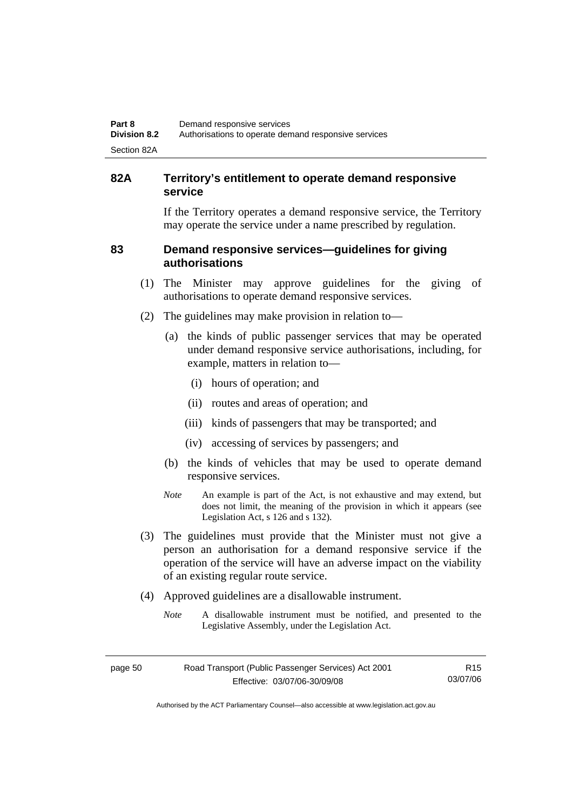#### **82A Territory's entitlement to operate demand responsive service**

If the Territory operates a demand responsive service, the Territory may operate the service under a name prescribed by regulation.

#### **83 Demand responsive services—guidelines for giving authorisations**

- (1) The Minister may approve guidelines for the giving of authorisations to operate demand responsive services.
- (2) The guidelines may make provision in relation to—
	- (a) the kinds of public passenger services that may be operated under demand responsive service authorisations, including, for example, matters in relation to—
		- (i) hours of operation; and
		- (ii) routes and areas of operation; and
		- (iii) kinds of passengers that may be transported; and
		- (iv) accessing of services by passengers; and
	- (b) the kinds of vehicles that may be used to operate demand responsive services.
	- *Note* An example is part of the Act, is not exhaustive and may extend, but does not limit, the meaning of the provision in which it appears (see Legislation Act, s 126 and s 132).
- (3) The guidelines must provide that the Minister must not give a person an authorisation for a demand responsive service if the operation of the service will have an adverse impact on the viability of an existing regular route service.
- (4) Approved guidelines are a disallowable instrument.
	- *Note* A disallowable instrument must be notified, and presented to the Legislative Assembly, under the Legislation Act.

| page 50 | Road Transport (Public Passenger Services) Act 2001 | R15      |
|---------|-----------------------------------------------------|----------|
|         | Effective: 03/07/06-30/09/08                        | 03/07/06 |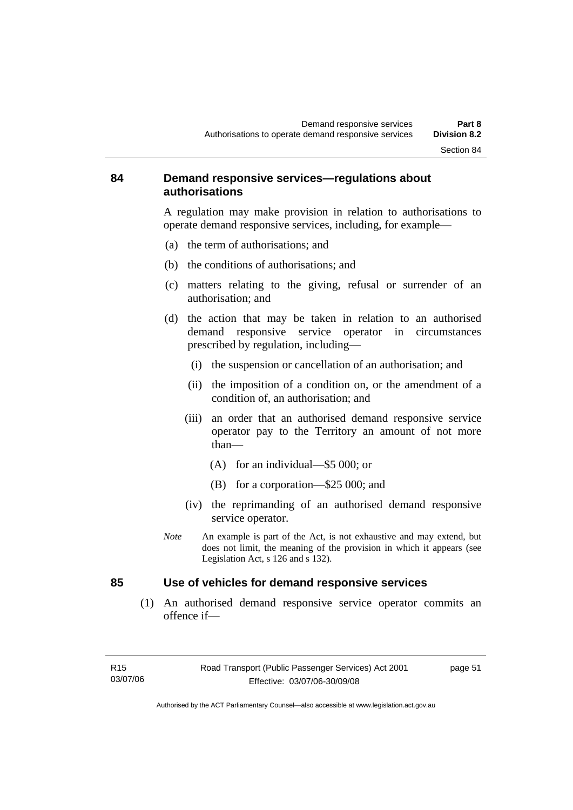#### **84 Demand responsive services—regulations about authorisations**

A regulation may make provision in relation to authorisations to operate demand responsive services, including, for example—

- (a) the term of authorisations; and
- (b) the conditions of authorisations; and
- (c) matters relating to the giving, refusal or surrender of an authorisation; and
- (d) the action that may be taken in relation to an authorised demand responsive service operator in circumstances prescribed by regulation, including—
	- (i) the suspension or cancellation of an authorisation; and
	- (ii) the imposition of a condition on, or the amendment of a condition of, an authorisation; and
	- (iii) an order that an authorised demand responsive service operator pay to the Territory an amount of not more than—
		- (A) for an individual—\$5 000; or
		- (B) for a corporation—\$25 000; and
	- (iv) the reprimanding of an authorised demand responsive service operator.
- *Note* An example is part of the Act, is not exhaustive and may extend, but does not limit, the meaning of the provision in which it appears (see Legislation Act, s 126 and s 132).

#### **85 Use of vehicles for demand responsive services**

 (1) An authorised demand responsive service operator commits an offence if—

page 51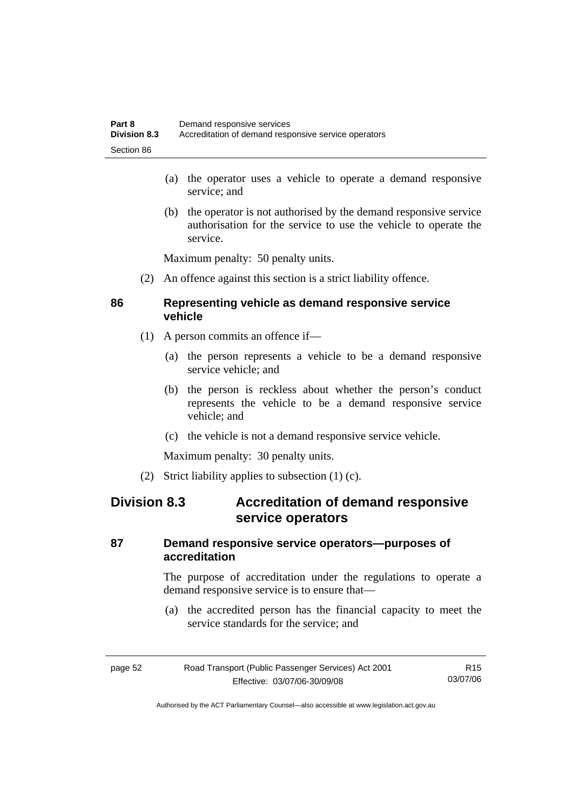- (a) the operator uses a vehicle to operate a demand responsive service; and
- (b) the operator is not authorised by the demand responsive service authorisation for the service to use the vehicle to operate the service.

Maximum penalty: 50 penalty units.

(2) An offence against this section is a strict liability offence.

#### **86 Representing vehicle as demand responsive service vehicle**

- (1) A person commits an offence if—
	- (a) the person represents a vehicle to be a demand responsive service vehicle; and
	- (b) the person is reckless about whether the person's conduct represents the vehicle to be a demand responsive service vehicle; and
	- (c) the vehicle is not a demand responsive service vehicle.

Maximum penalty: 30 penalty units.

(2) Strict liability applies to subsection (1) (c).

# **Division 8.3 Accreditation of demand responsive service operators**

#### **87 Demand responsive service operators—purposes of accreditation**

The purpose of accreditation under the regulations to operate a demand responsive service is to ensure that—

 (a) the accredited person has the financial capacity to meet the service standards for the service; and

| page 52 | Road Transport (Public Passenger Services) Act 2001 | R <sub>15</sub> |
|---------|-----------------------------------------------------|-----------------|
|         | Effective: 03/07/06-30/09/08                        | 03/07/06        |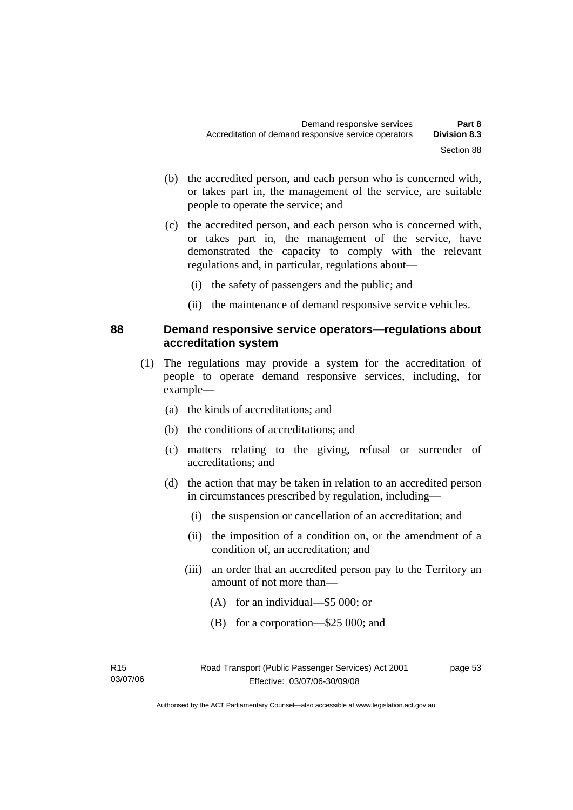- (b) the accredited person, and each person who is concerned with, or takes part in, the management of the service, are suitable people to operate the service; and
- (c) the accredited person, and each person who is concerned with, or takes part in, the management of the service, have demonstrated the capacity to comply with the relevant regulations and, in particular, regulations about—
	- (i) the safety of passengers and the public; and
	- (ii) the maintenance of demand responsive service vehicles.

#### **88 Demand responsive service operators—regulations about accreditation system**

- (1) The regulations may provide a system for the accreditation of people to operate demand responsive services, including, for example—
	- (a) the kinds of accreditations; and
	- (b) the conditions of accreditations; and
	- (c) matters relating to the giving, refusal or surrender of accreditations; and
	- (d) the action that may be taken in relation to an accredited person in circumstances prescribed by regulation, including—
		- (i) the suspension or cancellation of an accreditation; and
		- (ii) the imposition of a condition on, or the amendment of a condition of, an accreditation; and
		- (iii) an order that an accredited person pay to the Territory an amount of not more than—
			- (A) for an individual—\$5 000; or
			- (B) for a corporation—\$25 000; and

R15 03/07/06 page 53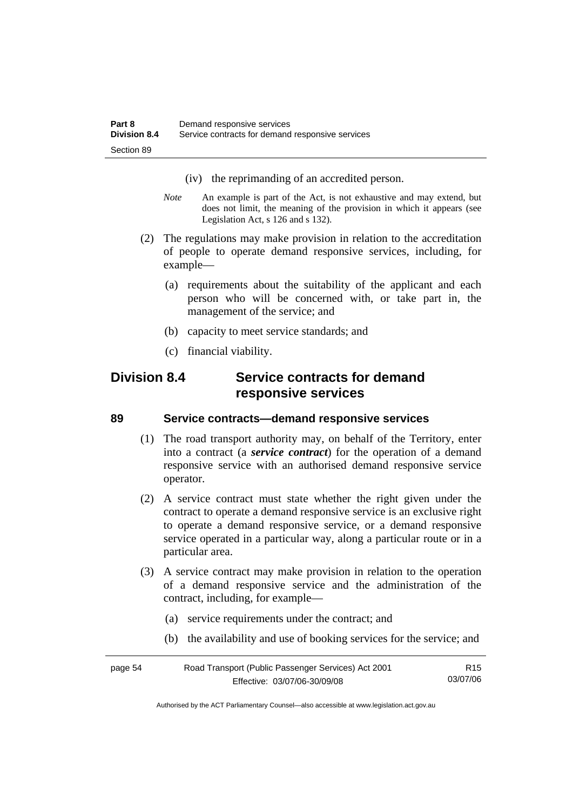- (iv) the reprimanding of an accredited person.
- *Note* An example is part of the Act, is not exhaustive and may extend, but does not limit, the meaning of the provision in which it appears (see Legislation Act, s 126 and s 132).
- (2) The regulations may make provision in relation to the accreditation of people to operate demand responsive services, including, for example—
	- (a) requirements about the suitability of the applicant and each person who will be concerned with, or take part in, the management of the service; and
	- (b) capacity to meet service standards; and
	- (c) financial viability.

# **Division 8.4 Service contracts for demand responsive services**

#### **89 Service contracts—demand responsive services**

- (1) The road transport authority may, on behalf of the Territory, enter into a contract (a *service contract*) for the operation of a demand responsive service with an authorised demand responsive service operator.
- (2) A service contract must state whether the right given under the contract to operate a demand responsive service is an exclusive right to operate a demand responsive service, or a demand responsive service operated in a particular way, along a particular route or in a particular area.
- (3) A service contract may make provision in relation to the operation of a demand responsive service and the administration of the contract, including, for example—
	- (a) service requirements under the contract; and
	- (b) the availability and use of booking services for the service; and

| page 54 | Road Transport (Public Passenger Services) Act 2001 | R <sub>15</sub> |
|---------|-----------------------------------------------------|-----------------|
|         | Effective: 03/07/06-30/09/08                        | 03/07/06        |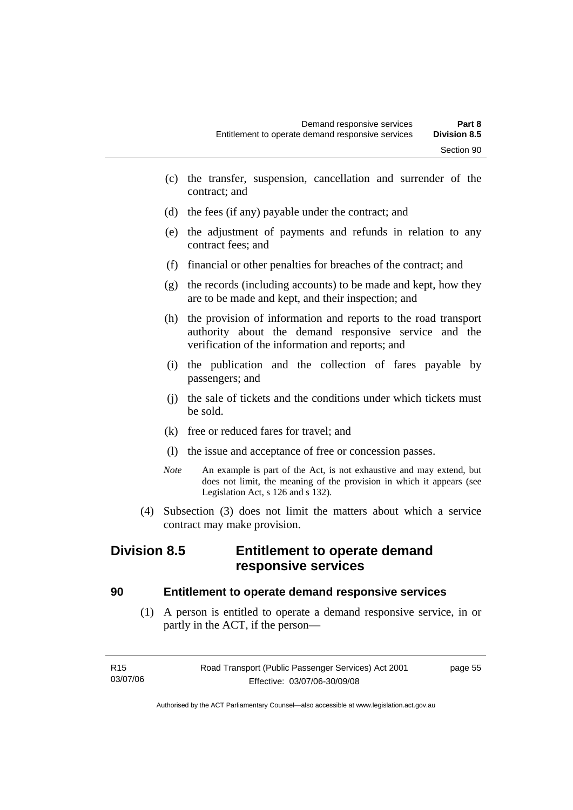- (c) the transfer, suspension, cancellation and surrender of the contract; and
- (d) the fees (if any) payable under the contract; and
- (e) the adjustment of payments and refunds in relation to any contract fees; and
- (f) financial or other penalties for breaches of the contract; and
- (g) the records (including accounts) to be made and kept, how they are to be made and kept, and their inspection; and
- (h) the provision of information and reports to the road transport authority about the demand responsive service and the verification of the information and reports; and
- (i) the publication and the collection of fares payable by passengers; and
- (j) the sale of tickets and the conditions under which tickets must be sold.
- (k) free or reduced fares for travel; and
- (l) the issue and acceptance of free or concession passes.
- *Note* An example is part of the Act, is not exhaustive and may extend, but does not limit, the meaning of the provision in which it appears (see Legislation Act, s 126 and s 132).
- (4) Subsection (3) does not limit the matters about which a service contract may make provision.

# **Division 8.5 Entitlement to operate demand responsive services**

#### **90 Entitlement to operate demand responsive services**

 (1) A person is entitled to operate a demand responsive service, in or partly in the ACT, if the person—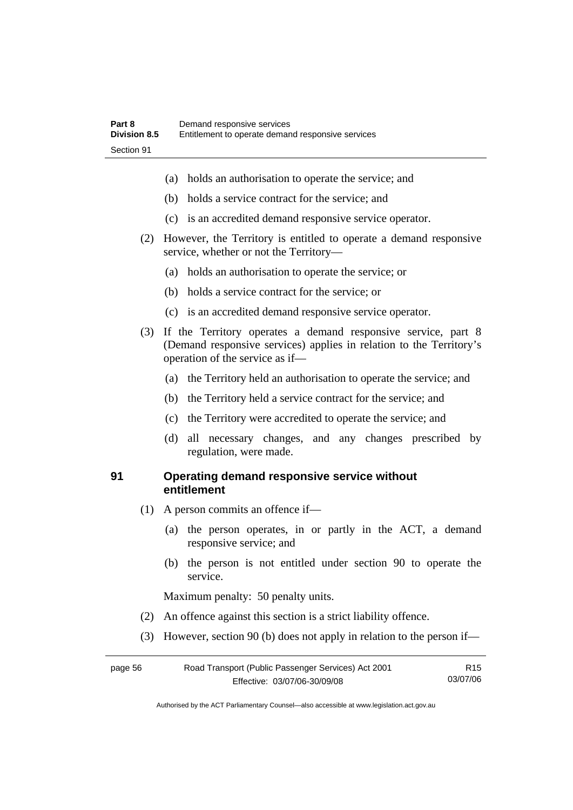- (a) holds an authorisation to operate the service; and
- (b) holds a service contract for the service; and
- (c) is an accredited demand responsive service operator.
- (2) However, the Territory is entitled to operate a demand responsive service, whether or not the Territory—
	- (a) holds an authorisation to operate the service; or
	- (b) holds a service contract for the service; or
	- (c) is an accredited demand responsive service operator.
- (3) If the Territory operates a demand responsive service, part 8 (Demand responsive services) applies in relation to the Territory's operation of the service as if—
	- (a) the Territory held an authorisation to operate the service; and
	- (b) the Territory held a service contract for the service; and
	- (c) the Territory were accredited to operate the service; and
	- (d) all necessary changes, and any changes prescribed by regulation, were made.

#### **91 Operating demand responsive service without entitlement**

- (1) A person commits an offence if—
	- (a) the person operates, in or partly in the ACT, a demand responsive service; and
	- (b) the person is not entitled under section 90 to operate the service.

Maximum penalty: 50 penalty units.

- (2) An offence against this section is a strict liability offence.
- (3) However, section 90 (b) does not apply in relation to the person if—

| page 56 | Road Transport (Public Passenger Services) Act 2001 |          |
|---------|-----------------------------------------------------|----------|
|         | Effective: 03/07/06-30/09/08                        | 03/07/06 |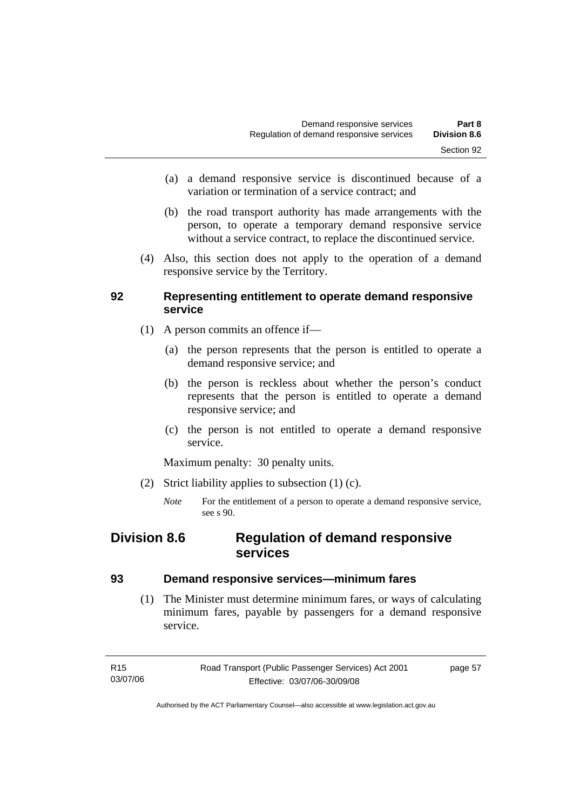- (a) a demand responsive service is discontinued because of a variation or termination of a service contract; and
- (b) the road transport authority has made arrangements with the person, to operate a temporary demand responsive service without a service contract, to replace the discontinued service.
- (4) Also, this section does not apply to the operation of a demand responsive service by the Territory.

#### **92 Representing entitlement to operate demand responsive service**

- (1) A person commits an offence if—
	- (a) the person represents that the person is entitled to operate a demand responsive service; and
	- (b) the person is reckless about whether the person's conduct represents that the person is entitled to operate a demand responsive service; and
	- (c) the person is not entitled to operate a demand responsive service.

Maximum penalty: 30 penalty units.

- (2) Strict liability applies to subsection (1) (c).
	- *Note* For the entitlement of a person to operate a demand responsive service, see s 90.

# **Division 8.6 Regulation of demand responsive services**

#### **93 Demand responsive services—minimum fares**

 (1) The Minister must determine minimum fares, or ways of calculating minimum fares, payable by passengers for a demand responsive service.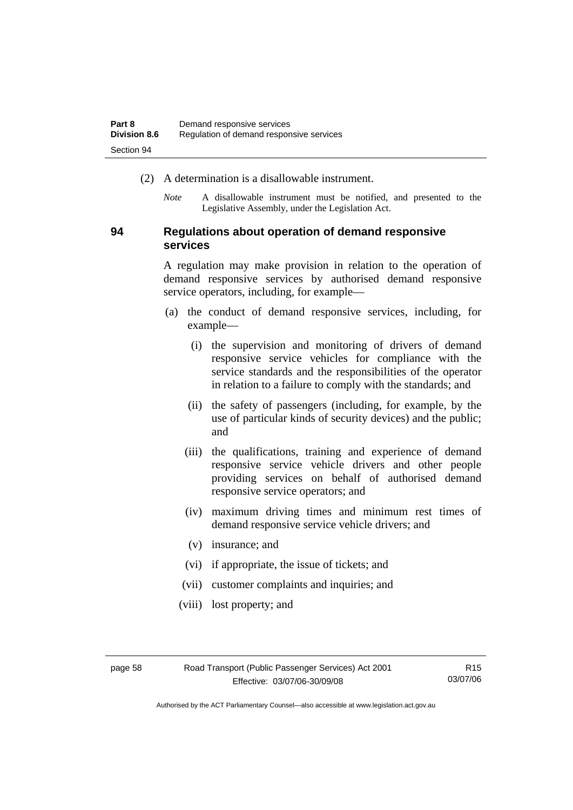- (2) A determination is a disallowable instrument.
	- *Note* A disallowable instrument must be notified, and presented to the Legislative Assembly, under the Legislation Act.

#### **94 Regulations about operation of demand responsive services**

A regulation may make provision in relation to the operation of demand responsive services by authorised demand responsive service operators, including, for example—

- (a) the conduct of demand responsive services, including, for example—
	- (i) the supervision and monitoring of drivers of demand responsive service vehicles for compliance with the service standards and the responsibilities of the operator in relation to a failure to comply with the standards; and
	- (ii) the safety of passengers (including, for example, by the use of particular kinds of security devices) and the public; and
	- (iii) the qualifications, training and experience of demand responsive service vehicle drivers and other people providing services on behalf of authorised demand responsive service operators; and
	- (iv) maximum driving times and minimum rest times of demand responsive service vehicle drivers; and
	- (v) insurance; and
	- (vi) if appropriate, the issue of tickets; and
	- (vii) customer complaints and inquiries; and
	- (viii) lost property; and

R15 03/07/06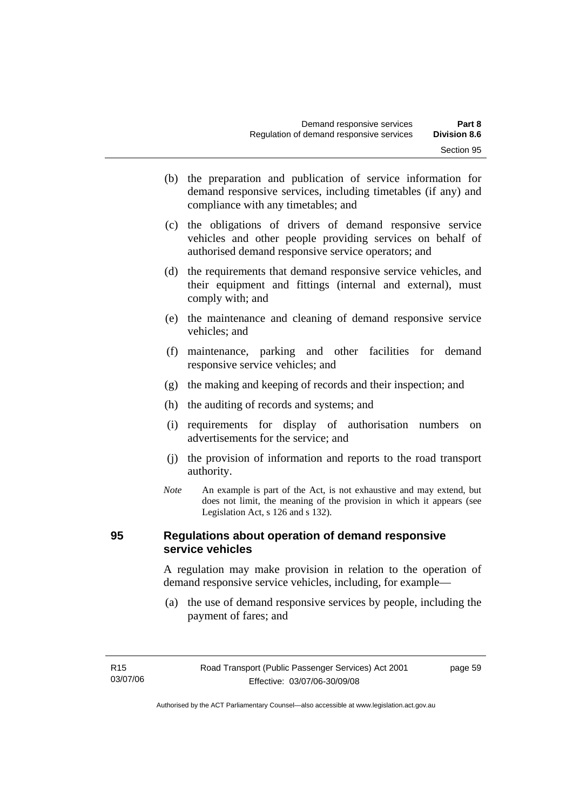- (b) the preparation and publication of service information for demand responsive services, including timetables (if any) and compliance with any timetables; and
- (c) the obligations of drivers of demand responsive service vehicles and other people providing services on behalf of authorised demand responsive service operators; and
- (d) the requirements that demand responsive service vehicles, and their equipment and fittings (internal and external), must comply with; and
- (e) the maintenance and cleaning of demand responsive service vehicles; and
- (f) maintenance, parking and other facilities for demand responsive service vehicles; and
- (g) the making and keeping of records and their inspection; and
- (h) the auditing of records and systems; and
- (i) requirements for display of authorisation numbers on advertisements for the service; and
- (j) the provision of information and reports to the road transport authority.
- *Note* An example is part of the Act, is not exhaustive and may extend, but does not limit, the meaning of the provision in which it appears (see Legislation Act, s 126 and s 132).

#### **95 Regulations about operation of demand responsive service vehicles**

A regulation may make provision in relation to the operation of demand responsive service vehicles, including, for example—

 (a) the use of demand responsive services by people, including the payment of fares; and

page 59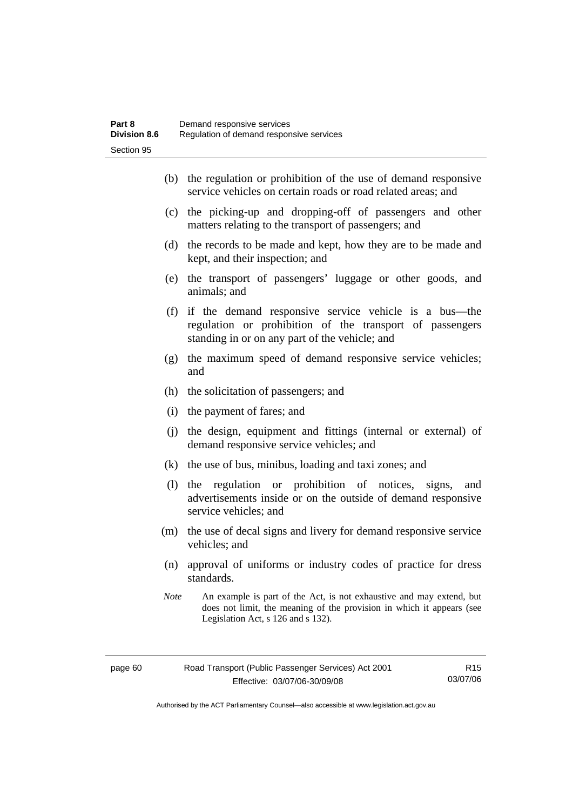- (b) the regulation or prohibition of the use of demand responsive service vehicles on certain roads or road related areas; and
- (c) the picking-up and dropping-off of passengers and other matters relating to the transport of passengers; and
- (d) the records to be made and kept, how they are to be made and kept, and their inspection; and
- (e) the transport of passengers' luggage or other goods, and animals; and
- (f) if the demand responsive service vehicle is a bus—the regulation or prohibition of the transport of passengers standing in or on any part of the vehicle; and
- (g) the maximum speed of demand responsive service vehicles; and
- (h) the solicitation of passengers; and
- (i) the payment of fares; and
- (j) the design, equipment and fittings (internal or external) of demand responsive service vehicles; and
- (k) the use of bus, minibus, loading and taxi zones; and
- (l) the regulation or prohibition of notices, signs, and advertisements inside or on the outside of demand responsive service vehicles; and
- (m) the use of decal signs and livery for demand responsive service vehicles; and
- (n) approval of uniforms or industry codes of practice for dress standards.
- *Note* An example is part of the Act, is not exhaustive and may extend, but does not limit, the meaning of the provision in which it appears (see Legislation Act, s 126 and s 132).

R15 03/07/06

Authorised by the ACT Parliamentary Counsel—also accessible at www.legislation.act.gov.au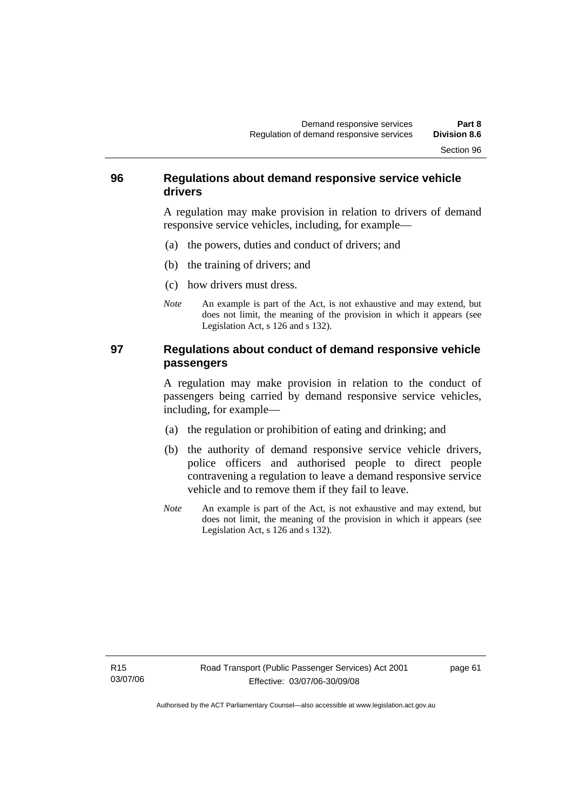#### **96 Regulations about demand responsive service vehicle drivers**

A regulation may make provision in relation to drivers of demand responsive service vehicles, including, for example—

- (a) the powers, duties and conduct of drivers; and
- (b) the training of drivers; and
- (c) how drivers must dress.
- *Note* An example is part of the Act, is not exhaustive and may extend, but does not limit, the meaning of the provision in which it appears (see Legislation Act, s 126 and s 132).

#### **97 Regulations about conduct of demand responsive vehicle passengers**

A regulation may make provision in relation to the conduct of passengers being carried by demand responsive service vehicles, including, for example—

- (a) the regulation or prohibition of eating and drinking; and
- (b) the authority of demand responsive service vehicle drivers, police officers and authorised people to direct people contravening a regulation to leave a demand responsive service vehicle and to remove them if they fail to leave.
- *Note* An example is part of the Act, is not exhaustive and may extend, but does not limit, the meaning of the provision in which it appears (see Legislation Act, s 126 and s 132).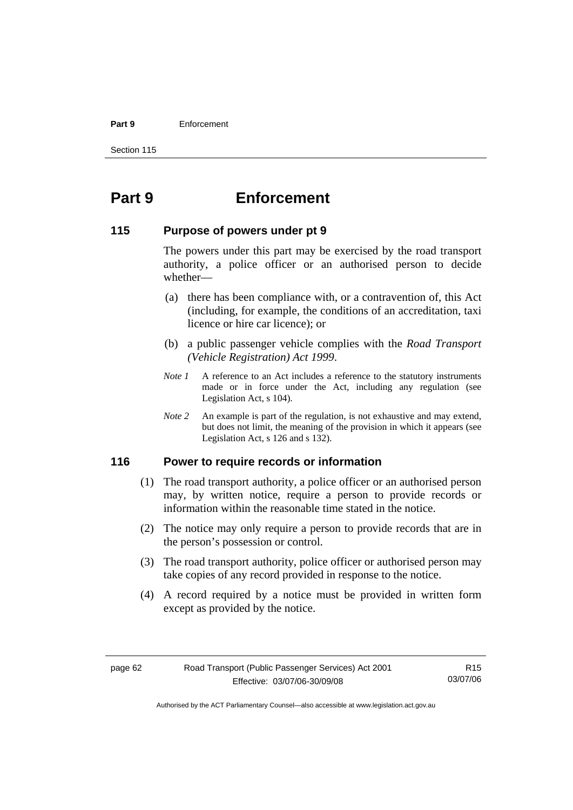#### **Part 9** Enforcement

Section 115

# **Part 9 Enforcement**

#### **115 Purpose of powers under pt 9**

The powers under this part may be exercised by the road transport authority, a police officer or an authorised person to decide whether—

- (a) there has been compliance with, or a contravention of, this Act (including, for example, the conditions of an accreditation, taxi licence or hire car licence); or
- (b) a public passenger vehicle complies with the *Road Transport (Vehicle Registration) Act 1999*.
- *Note 1* A reference to an Act includes a reference to the statutory instruments made or in force under the Act, including any regulation (see Legislation Act, s 104).
- *Note 2* An example is part of the regulation, is not exhaustive and may extend, but does not limit, the meaning of the provision in which it appears (see Legislation Act, s 126 and s 132).

#### **116 Power to require records or information**

- (1) The road transport authority, a police officer or an authorised person may, by written notice, require a person to provide records or information within the reasonable time stated in the notice.
- (2) The notice may only require a person to provide records that are in the person's possession or control.
- (3) The road transport authority, police officer or authorised person may take copies of any record provided in response to the notice.
- (4) A record required by a notice must be provided in written form except as provided by the notice.

R15 03/07/06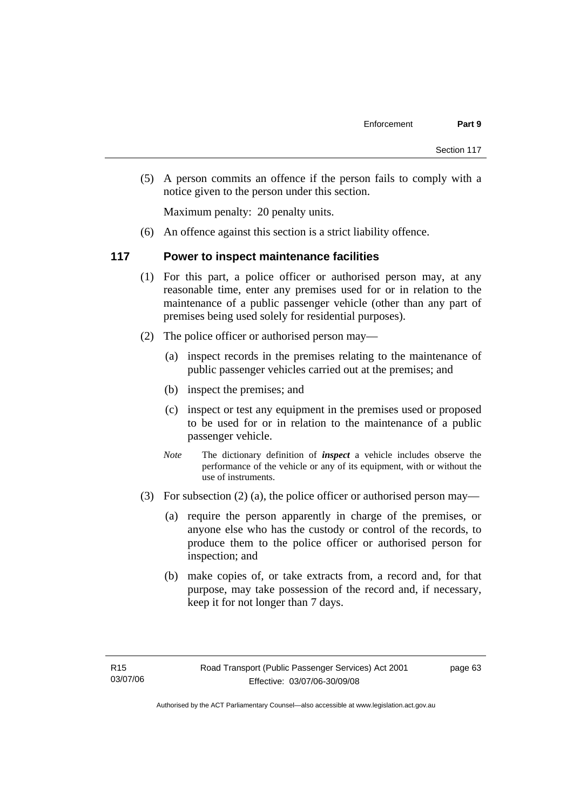(5) A person commits an offence if the person fails to comply with a notice given to the person under this section.

Maximum penalty: 20 penalty units.

(6) An offence against this section is a strict liability offence.

#### **117 Power to inspect maintenance facilities**

- (1) For this part, a police officer or authorised person may, at any reasonable time, enter any premises used for or in relation to the maintenance of a public passenger vehicle (other than any part of premises being used solely for residential purposes).
- (2) The police officer or authorised person may—
	- (a) inspect records in the premises relating to the maintenance of public passenger vehicles carried out at the premises; and
	- (b) inspect the premises; and
	- (c) inspect or test any equipment in the premises used or proposed to be used for or in relation to the maintenance of a public passenger vehicle.
	- *Note* The dictionary definition of *inspect* a vehicle includes observe the performance of the vehicle or any of its equipment, with or without the use of instruments.
- (3) For subsection (2) (a), the police officer or authorised person may—
	- (a) require the person apparently in charge of the premises, or anyone else who has the custody or control of the records, to produce them to the police officer or authorised person for inspection; and
	- (b) make copies of, or take extracts from, a record and, for that purpose, may take possession of the record and, if necessary, keep it for not longer than 7 days.

page 63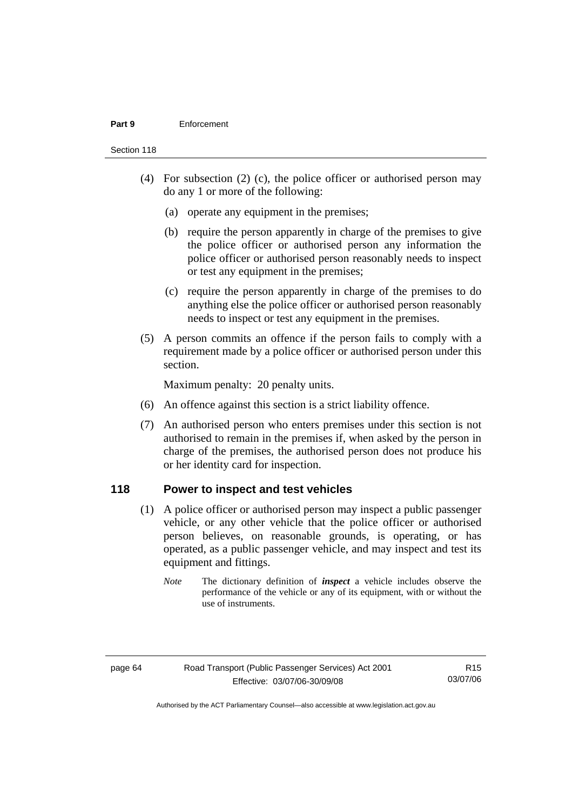#### **Part 9** Enforcement

Section 118

- (4) For subsection (2) (c), the police officer or authorised person may do any 1 or more of the following:
	- (a) operate any equipment in the premises;
	- (b) require the person apparently in charge of the premises to give the police officer or authorised person any information the police officer or authorised person reasonably needs to inspect or test any equipment in the premises;
	- (c) require the person apparently in charge of the premises to do anything else the police officer or authorised person reasonably needs to inspect or test any equipment in the premises.
- (5) A person commits an offence if the person fails to comply with a requirement made by a police officer or authorised person under this section.

Maximum penalty: 20 penalty units.

- (6) An offence against this section is a strict liability offence.
- (7) An authorised person who enters premises under this section is not authorised to remain in the premises if, when asked by the person in charge of the premises, the authorised person does not produce his or her identity card for inspection.

#### **118 Power to inspect and test vehicles**

- (1) A police officer or authorised person may inspect a public passenger vehicle, or any other vehicle that the police officer or authorised person believes, on reasonable grounds, is operating, or has operated, as a public passenger vehicle, and may inspect and test its equipment and fittings.
	- *Note* The dictionary definition of *inspect* a vehicle includes observe the performance of the vehicle or any of its equipment, with or without the use of instruments.

R15 03/07/06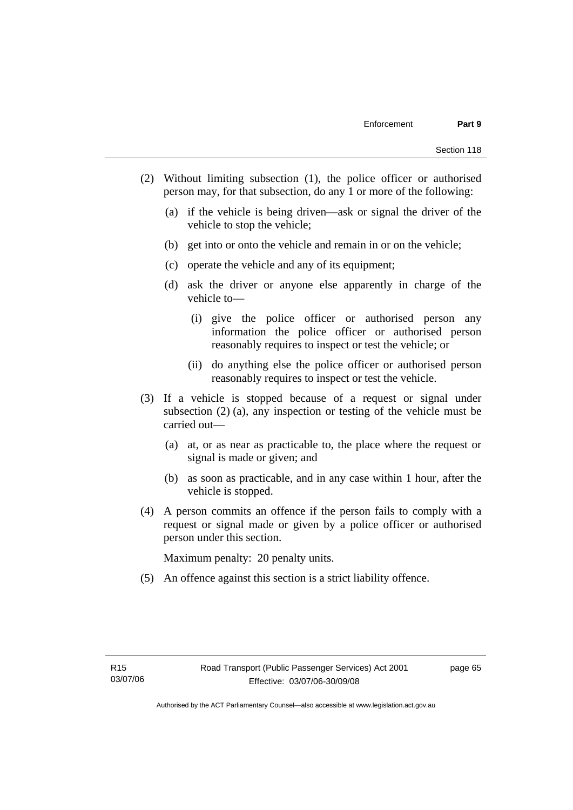- (2) Without limiting subsection (1), the police officer or authorised person may, for that subsection, do any 1 or more of the following:
	- (a) if the vehicle is being driven—ask or signal the driver of the vehicle to stop the vehicle;
	- (b) get into or onto the vehicle and remain in or on the vehicle;
	- (c) operate the vehicle and any of its equipment;
	- (d) ask the driver or anyone else apparently in charge of the vehicle to—
		- (i) give the police officer or authorised person any information the police officer or authorised person reasonably requires to inspect or test the vehicle; or
		- (ii) do anything else the police officer or authorised person reasonably requires to inspect or test the vehicle.
- (3) If a vehicle is stopped because of a request or signal under subsection (2) (a), any inspection or testing of the vehicle must be carried out—
	- (a) at, or as near as practicable to, the place where the request or signal is made or given; and
	- (b) as soon as practicable, and in any case within 1 hour, after the vehicle is stopped.
- (4) A person commits an offence if the person fails to comply with a request or signal made or given by a police officer or authorised person under this section.

Maximum penalty: 20 penalty units.

(5) An offence against this section is a strict liability offence.

page 65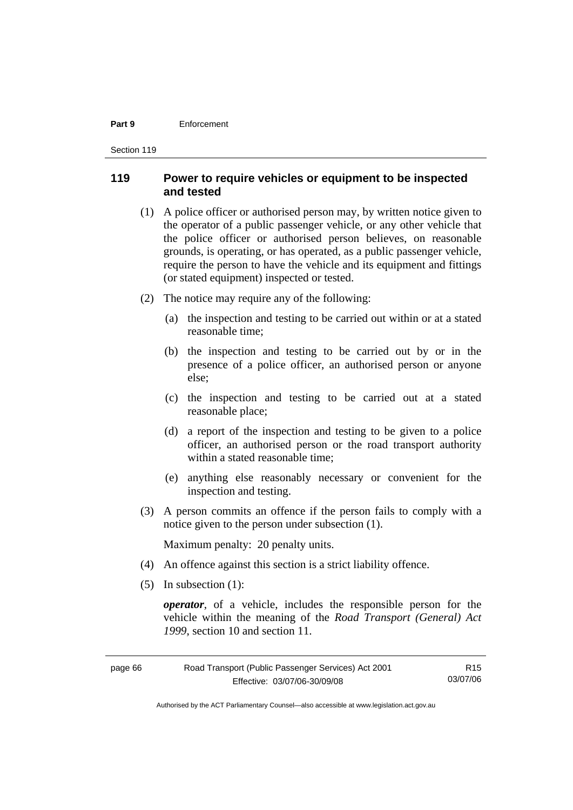#### **Part 9** Enforcement

Section 119

## **119 Power to require vehicles or equipment to be inspected and tested**

- (1) A police officer or authorised person may, by written notice given to the operator of a public passenger vehicle, or any other vehicle that the police officer or authorised person believes, on reasonable grounds, is operating, or has operated, as a public passenger vehicle, require the person to have the vehicle and its equipment and fittings (or stated equipment) inspected or tested.
- (2) The notice may require any of the following:
	- (a) the inspection and testing to be carried out within or at a stated reasonable time;
	- (b) the inspection and testing to be carried out by or in the presence of a police officer, an authorised person or anyone else;
	- (c) the inspection and testing to be carried out at a stated reasonable place;
	- (d) a report of the inspection and testing to be given to a police officer, an authorised person or the road transport authority within a stated reasonable time;
	- (e) anything else reasonably necessary or convenient for the inspection and testing.
- (3) A person commits an offence if the person fails to comply with a notice given to the person under subsection (1).

Maximum penalty: 20 penalty units.

- (4) An offence against this section is a strict liability offence.
- (5) In subsection (1):

*operator*, of a vehicle, includes the responsible person for the vehicle within the meaning of the *Road Transport (General) Act 1999*, section 10 and section 11.

| page 66 | Road Transport (Public Passenger Services) Act 2001 | R <sub>15</sub> |
|---------|-----------------------------------------------------|-----------------|
|         | Effective: 03/07/06-30/09/08                        | 03/07/06        |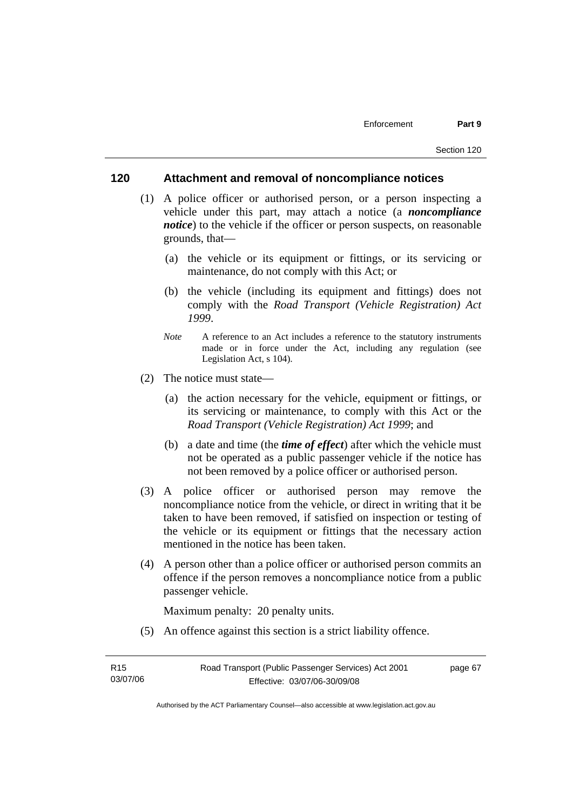## **120 Attachment and removal of noncompliance notices**

- (1) A police officer or authorised person, or a person inspecting a vehicle under this part, may attach a notice (a *noncompliance notice*) to the vehicle if the officer or person suspects, on reasonable grounds, that—
	- (a) the vehicle or its equipment or fittings, or its servicing or maintenance, do not comply with this Act; or
	- (b) the vehicle (including its equipment and fittings) does not comply with the *Road Transport (Vehicle Registration) Act 1999*.
	- *Note* A reference to an Act includes a reference to the statutory instruments made or in force under the Act, including any regulation (see Legislation Act, s 104).
- (2) The notice must state—
	- (a) the action necessary for the vehicle, equipment or fittings, or its servicing or maintenance, to comply with this Act or the *Road Transport (Vehicle Registration) Act 1999*; and
	- (b) a date and time (the *time of effect*) after which the vehicle must not be operated as a public passenger vehicle if the notice has not been removed by a police officer or authorised person.
- (3) A police officer or authorised person may remove the noncompliance notice from the vehicle, or direct in writing that it be taken to have been removed, if satisfied on inspection or testing of the vehicle or its equipment or fittings that the necessary action mentioned in the notice has been taken.
- (4) A person other than a police officer or authorised person commits an offence if the person removes a noncompliance notice from a public passenger vehicle.

Maximum penalty: 20 penalty units.

(5) An offence against this section is a strict liability offence.

| R <sub>15</sub> | Road Transport (Public Passenger Services) Act 2001 | page 67 |
|-----------------|-----------------------------------------------------|---------|
| 03/07/06        | Effective: 03/07/06-30/09/08                        |         |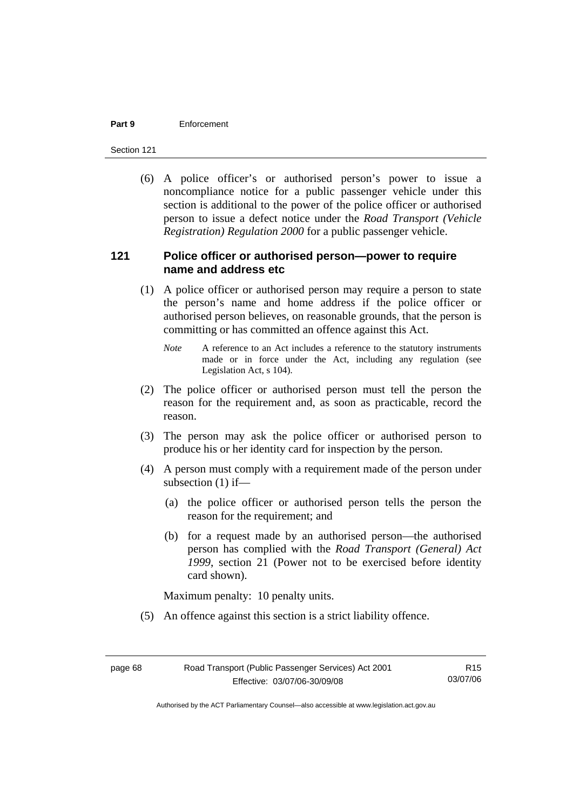#### **Part 9** Enforcement

Section 121

 (6) A police officer's or authorised person's power to issue a noncompliance notice for a public passenger vehicle under this section is additional to the power of the police officer or authorised person to issue a defect notice under the *Road Transport (Vehicle Registration) Regulation 2000* for a public passenger vehicle.

## **121 Police officer or authorised person—power to require name and address etc**

- (1) A police officer or authorised person may require a person to state the person's name and home address if the police officer or authorised person believes, on reasonable grounds, that the person is committing or has committed an offence against this Act.
	- *Note* A reference to an Act includes a reference to the statutory instruments made or in force under the Act, including any regulation (see Legislation Act, s 104).
- (2) The police officer or authorised person must tell the person the reason for the requirement and, as soon as practicable, record the reason.
- (3) The person may ask the police officer or authorised person to produce his or her identity card for inspection by the person.
- (4) A person must comply with a requirement made of the person under subsection (1) if—
	- (a) the police officer or authorised person tells the person the reason for the requirement; and
	- (b) for a request made by an authorised person—the authorised person has complied with the *Road Transport (General) Act 1999*, section 21 (Power not to be exercised before identity card shown).

Maximum penalty: 10 penalty units.

(5) An offence against this section is a strict liability offence.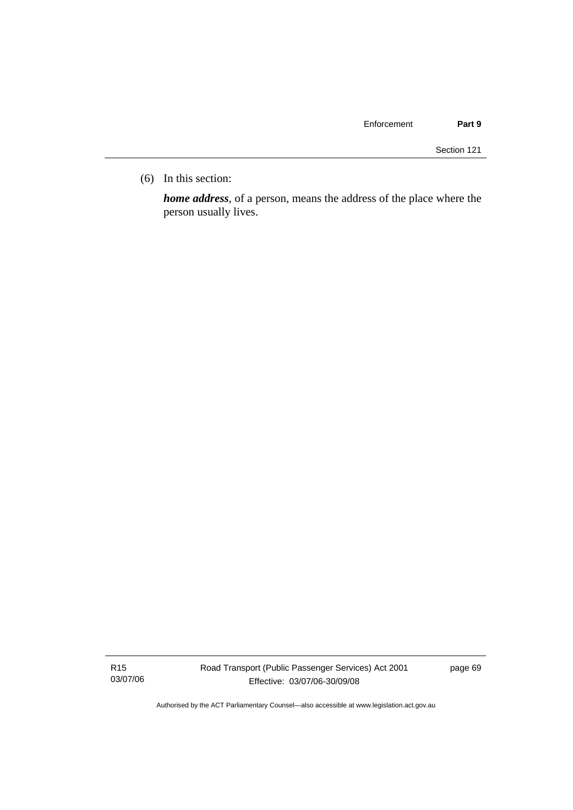(6) In this section:

*home address*, of a person, means the address of the place where the person usually lives.

R15 03/07/06 Road Transport (Public Passenger Services) Act 2001 Effective: 03/07/06-30/09/08

page 69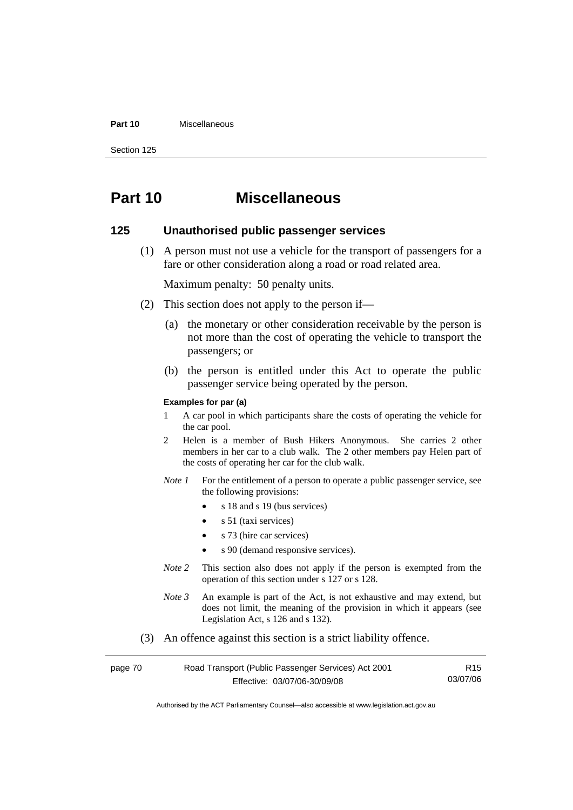#### **Part 10** Miscellaneous

Section 125

# **Part 10 Miscellaneous**

## **125 Unauthorised public passenger services**

 (1) A person must not use a vehicle for the transport of passengers for a fare or other consideration along a road or road related area.

Maximum penalty: 50 penalty units.

- (2) This section does not apply to the person if—
	- (a) the monetary or other consideration receivable by the person is not more than the cost of operating the vehicle to transport the passengers; or
	- (b) the person is entitled under this Act to operate the public passenger service being operated by the person.

#### **Examples for par (a)**

- 1 A car pool in which participants share the costs of operating the vehicle for the car pool.
- 2 Helen is a member of Bush Hikers Anonymous. She carries 2 other members in her car to a club walk. The 2 other members pay Helen part of the costs of operating her car for the club walk.
- *Note 1* For the entitlement of a person to operate a public passenger service, see the following provisions:
	- s 18 and s 19 (bus services)
	- s 51 (taxi services)
	- s 73 (hire car services)
	- s 90 (demand responsive services).
- *Note* 2 This section also does not apply if the person is exempted from the operation of this section under s 127 or s 128.
- *Note 3* An example is part of the Act, is not exhaustive and may extend, but does not limit, the meaning of the provision in which it appears (see Legislation Act, s 126 and s 132).
- (3) An offence against this section is a strict liability offence.

| page 70 | Road Transport (Public Passenger Services) Act 2001 | R <sub>15</sub> |
|---------|-----------------------------------------------------|-----------------|
|         | Effective: 03/07/06-30/09/08                        | 03/07/06        |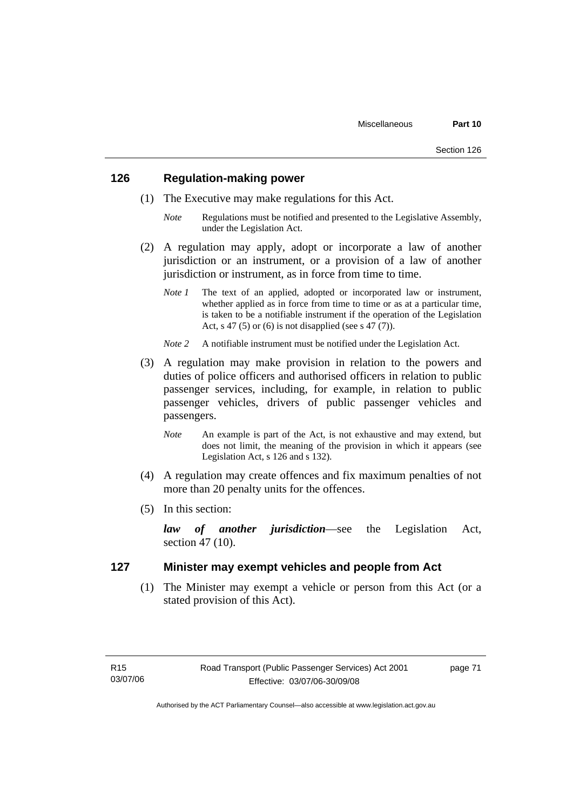## **126 Regulation-making power**

- (1) The Executive may make regulations for this Act.
	- *Note* Regulations must be notified and presented to the Legislative Assembly, under the Legislation Act.
- (2) A regulation may apply, adopt or incorporate a law of another jurisdiction or an instrument, or a provision of a law of another jurisdiction or instrument, as in force from time to time.
	- *Note 1* The text of an applied, adopted or incorporated law or instrument, whether applied as in force from time to time or as at a particular time, is taken to be a notifiable instrument if the operation of the Legislation Act, s 47 (5) or (6) is not disapplied (see s 47 (7)).
	- *Note 2* A notifiable instrument must be notified under the Legislation Act.
- (3) A regulation may make provision in relation to the powers and duties of police officers and authorised officers in relation to public passenger services, including, for example, in relation to public passenger vehicles, drivers of public passenger vehicles and passengers.
	- *Note* An example is part of the Act, is not exhaustive and may extend, but does not limit, the meaning of the provision in which it appears (see Legislation Act, s 126 and s 132).
- (4) A regulation may create offences and fix maximum penalties of not more than 20 penalty units for the offences.
- (5) In this section:

*law of another jurisdiction*—see the Legislation Act, section 47 (10).

## **127 Minister may exempt vehicles and people from Act**

 (1) The Minister may exempt a vehicle or person from this Act (or a stated provision of this Act).

page 71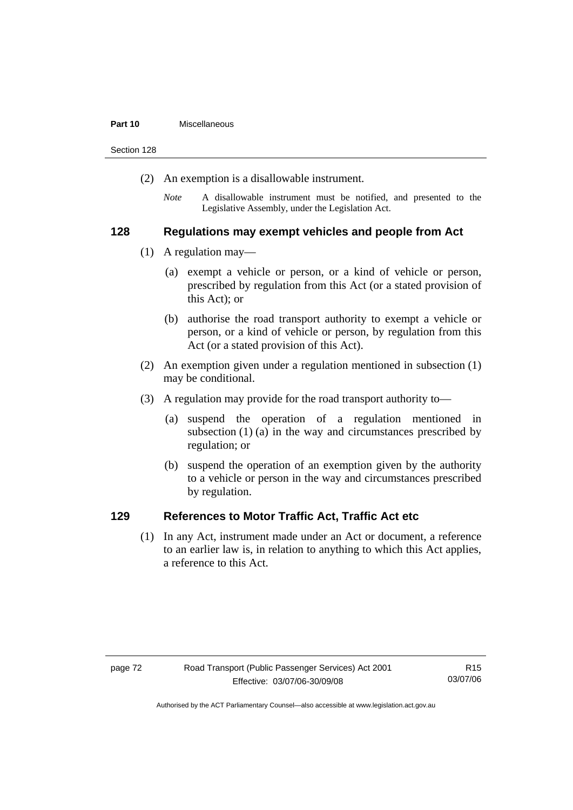#### **Part 10** Miscellaneous

Section 128

- (2) An exemption is a disallowable instrument.
	- *Note* A disallowable instrument must be notified, and presented to the Legislative Assembly, under the Legislation Act.

## **128 Regulations may exempt vehicles and people from Act**

- (1) A regulation may—
	- (a) exempt a vehicle or person, or a kind of vehicle or person, prescribed by regulation from this Act (or a stated provision of this Act); or
	- (b) authorise the road transport authority to exempt a vehicle or person, or a kind of vehicle or person, by regulation from this Act (or a stated provision of this Act).
- (2) An exemption given under a regulation mentioned in subsection (1) may be conditional.
- (3) A regulation may provide for the road transport authority to—
	- (a) suspend the operation of a regulation mentioned in subsection (1) (a) in the way and circumstances prescribed by regulation; or
	- (b) suspend the operation of an exemption given by the authority to a vehicle or person in the way and circumstances prescribed by regulation.

## **129 References to Motor Traffic Act, Traffic Act etc**

 (1) In any Act, instrument made under an Act or document, a reference to an earlier law is, in relation to anything to which this Act applies, a reference to this Act.

Authorised by the ACT Parliamentary Counsel—also accessible at www.legislation.act.gov.au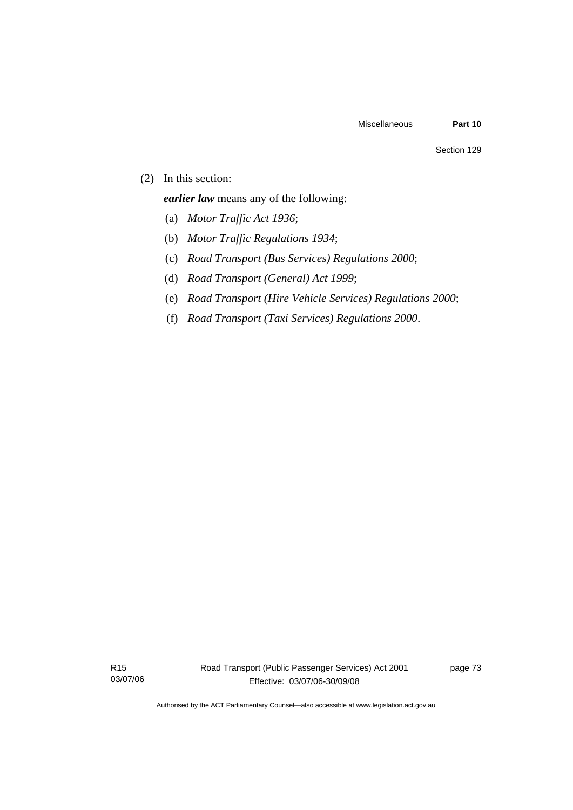(2) In this section:

*earlier law* means any of the following:

- (a) *Motor Traffic Act 1936*;
- (b) *Motor Traffic Regulations 1934*;
- (c) *Road Transport (Bus Services) Regulations 2000*;
- (d) *Road Transport (General) Act 1999*;
- (e) *Road Transport (Hire Vehicle Services) Regulations 2000*;
- (f) *Road Transport (Taxi Services) Regulations 2000*.

R15 03/07/06 page 73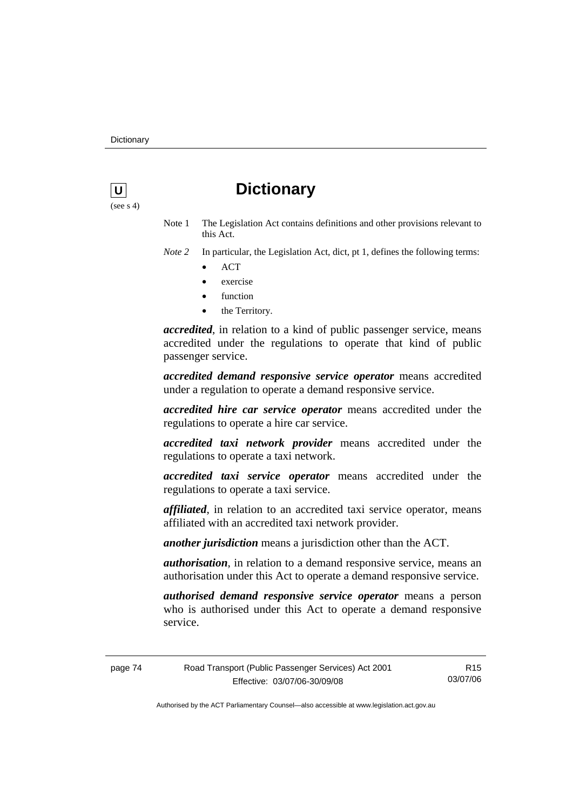

# **U** Dictionary

- Note 1 The Legislation Act contains definitions and other provisions relevant to this Act.
- *Note 2* In particular, the Legislation Act, dict, pt 1, defines the following terms: • ACT
	-
	- exercise
	- function
	- the Territory.

*accredited*, in relation to a kind of public passenger service, means accredited under the regulations to operate that kind of public passenger service.

*accredited demand responsive service operator* means accredited under a regulation to operate a demand responsive service.

*accredited hire car service operator* means accredited under the regulations to operate a hire car service.

*accredited taxi network provider* means accredited under the regulations to operate a taxi network.

*accredited taxi service operator* means accredited under the regulations to operate a taxi service.

*affiliated*, in relation to an accredited taxi service operator, means affiliated with an accredited taxi network provider.

*another jurisdiction* means a jurisdiction other than the ACT.

*authorisation*, in relation to a demand responsive service, means an authorisation under this Act to operate a demand responsive service.

*authorised demand responsive service operator* means a person who is authorised under this Act to operate a demand responsive service.

page 74 Road Transport (Public Passenger Services) Act 2001 Effective: 03/07/06-30/09/08 R15 03/07/06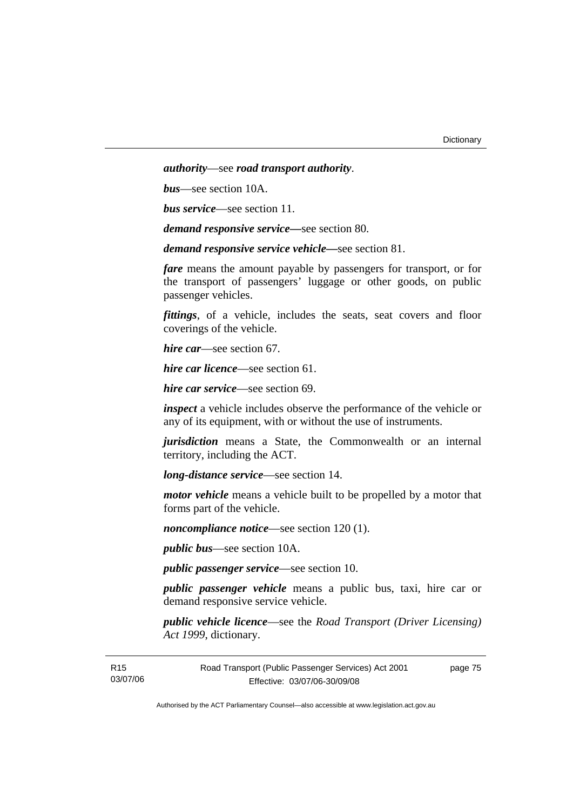*authority*—see *road transport authority*.

*bus*—see section 10A.

*bus service*—see section 11.

*demand responsive service—*see section 80.

*demand responsive service vehicle—*see section 81.

*fare* means the amount payable by passengers for transport, or for the transport of passengers' luggage or other goods, on public passenger vehicles.

*fittings*, of a vehicle, includes the seats, seat covers and floor coverings of the vehicle.

*hire car*—see section 67.

*hire car licence*—see section 61.

*hire car service*—see section 69.

*inspect* a vehicle includes observe the performance of the vehicle or any of its equipment, with or without the use of instruments.

*jurisdiction* means a State, the Commonwealth or an internal territory, including the ACT.

*long-distance service*—see section 14.

*motor vehicle* means a vehicle built to be propelled by a motor that forms part of the vehicle.

*noncompliance notice*—see section 120 (1).

*public bus*—see section 10A.

*public passenger service*—see section 10.

*public passenger vehicle* means a public bus, taxi, hire car or demand responsive service vehicle.

*public vehicle licence*—see the *Road Transport (Driver Licensing) Act 1999*, dictionary.

| R15      | Road Transport (Public Passenger Services) Act 2001 | page 75 |
|----------|-----------------------------------------------------|---------|
| 03/07/06 | Effective: 03/07/06-30/09/08                        |         |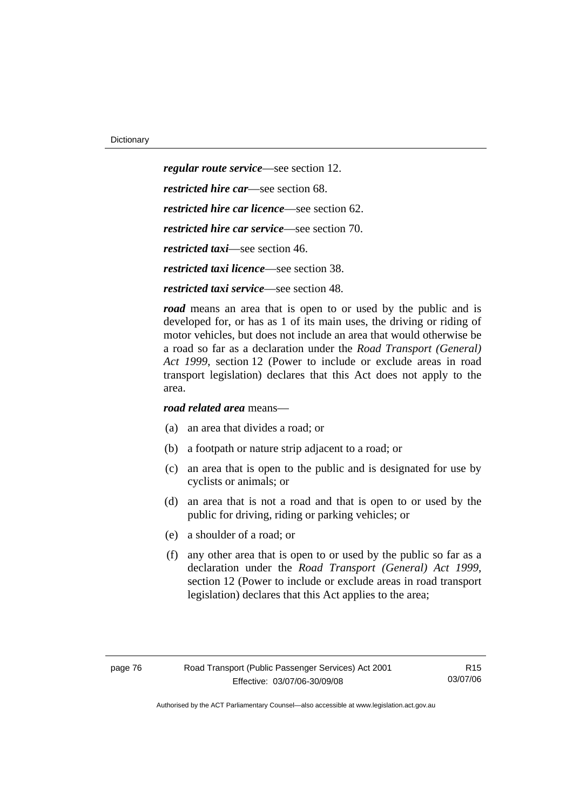*regular route service*—see section 12. *restricted hire car*—see section 68. *restricted hire car licence*—see section 62. *restricted hire car service*—see section 70. *restricted taxi*—see section 46. *restricted taxi licence*—see section 38.

*restricted taxi service*—see section 48.

*road* means an area that is open to or used by the public and is developed for, or has as 1 of its main uses, the driving or riding of motor vehicles, but does not include an area that would otherwise be a road so far as a declaration under the *Road Transport (General) Act 1999*, section 12 (Power to include or exclude areas in road transport legislation) declares that this Act does not apply to the area.

*road related area* means—

- (a) an area that divides a road; or
- (b) a footpath or nature strip adjacent to a road; or
- (c) an area that is open to the public and is designated for use by cyclists or animals; or
- (d) an area that is not a road and that is open to or used by the public for driving, riding or parking vehicles; or
- (e) a shoulder of a road; or
- (f) any other area that is open to or used by the public so far as a declaration under the *Road Transport (General) Act 1999*, section 12 (Power to include or exclude areas in road transport legislation) declares that this Act applies to the area;

R15 03/07/06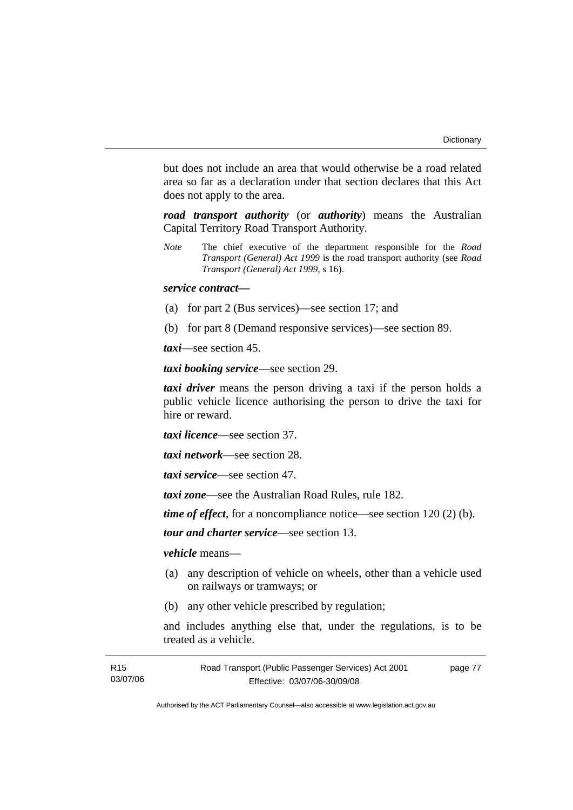but does not include an area that would otherwise be a road related area so far as a declaration under that section declares that this Act does not apply to the area.

*road transport authority* (or *authority*) means the Australian Capital Territory Road Transport Authority.

*Note* The chief executive of the department responsible for the *Road Transport (General) Act 1999* is the road transport authority (see *Road Transport (General) Act 1999*, s 16).

## *service contract—*

- (a) for part 2 (Bus services)—see section 17; and
- (b) for part 8 (Demand responsive services)—see section 89.

*taxi*—see section 45.

*taxi booking service*—see section 29.

*taxi driver* means the person driving a taxi if the person holds a public vehicle licence authorising the person to drive the taxi for hire or reward.

*taxi licence*—see section 37.

*taxi network*—see section 28.

*taxi service*—see section 47.

*taxi zone*—see the Australian Road Rules, rule 182.

*time of effect*, for a noncompliance notice—see section 120 (2) (b).

*tour and charter service*—see section 13.

*vehicle* means—

- (a) any description of vehicle on wheels, other than a vehicle used on railways or tramways; or
- (b) any other vehicle prescribed by regulation;

and includes anything else that, under the regulations, is to be treated as a vehicle.

| R15      | Road Transport (Public Passenger Services) Act 2001 | page 77 |
|----------|-----------------------------------------------------|---------|
| 03/07/06 | Effective: 03/07/06-30/09/08                        |         |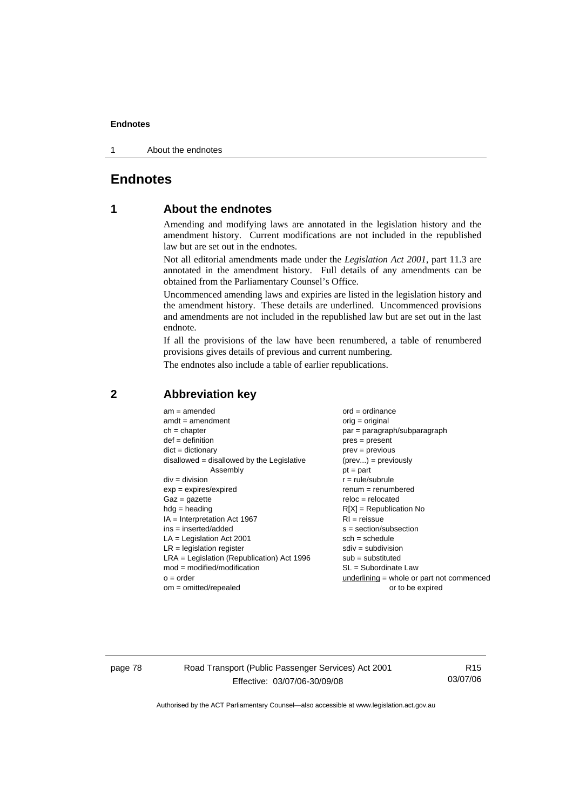1 About the endnotes

## **Endnotes**

## **1 About the endnotes**

Amending and modifying laws are annotated in the legislation history and the amendment history. Current modifications are not included in the republished law but are set out in the endnotes.

Not all editorial amendments made under the *Legislation Act 2001*, part 11.3 are annotated in the amendment history. Full details of any amendments can be obtained from the Parliamentary Counsel's Office.

Uncommenced amending laws and expiries are listed in the legislation history and the amendment history. These details are underlined. Uncommenced provisions and amendments are not included in the republished law but are set out in the last endnote.

If all the provisions of the law have been renumbered, a table of renumbered provisions gives details of previous and current numbering.

The endnotes also include a table of earlier republications.

| $am = amended$                               | $ord = ordinance$                         |
|----------------------------------------------|-------------------------------------------|
| $amdt = amendment$                           | $orig = original$                         |
| $ch = chapter$                               | $par = paragraph/subparagraph$            |
| $def = definition$                           |                                           |
|                                              | $pres = present$                          |
| $dict = dictionary$                          | $prev = previous$                         |
| $disallowed = disallowed by the Legislative$ | $(\text{prev}) = \text{previously}$       |
| Assembly                                     | $pt = part$                               |
| $div = division$                             | $r = rule/subrule$                        |
| $exp = expires/expired$                      | $renum = renumbered$                      |
| $Gaz = gazette$                              | $reloc = relocated$                       |
| $hdg =$ heading                              | $R[X]$ = Republication No                 |
| $IA = Interpretation Act 1967$               | $RI = reissue$                            |
| $ins = inserted/added$                       | $s = section/subsection$                  |
| $LA =$ Legislation Act 2001                  | $sch = schedule$                          |
| $LR =$ legislation register                  | $sdiv = subdivision$                      |
| $LRA =$ Legislation (Republication) Act 1996 | $sub = substituted$                       |
| $mod = modified/modification$                | $SL = Subordinate$ Law                    |
| $o = order$                                  | underlining = whole or part not commenced |
| om = omitted/repealed                        | or to be expired                          |

## **2 Abbreviation key**

page 78 Road Transport (Public Passenger Services) Act 2001 Effective: 03/07/06-30/09/08

R15 03/07/06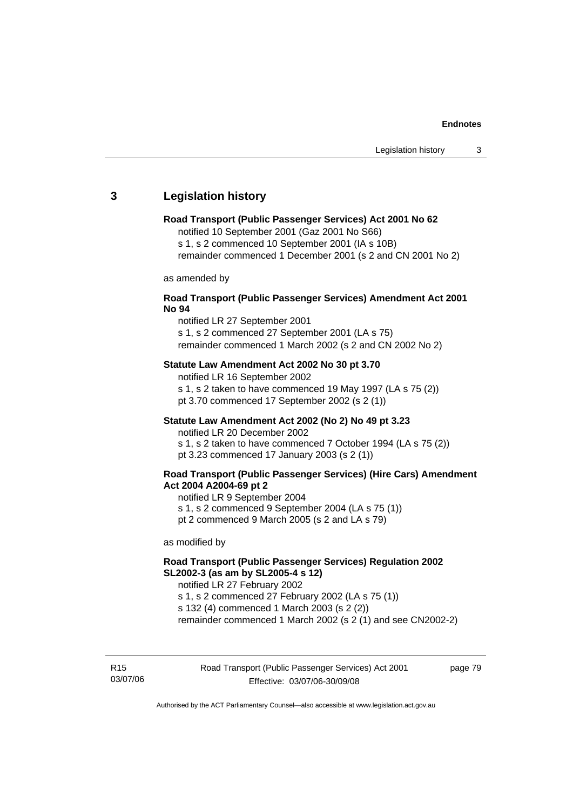## **3 Legislation history**

#### **Road Transport (Public Passenger Services) Act 2001 No 62**

notified 10 September 2001 (Gaz 2001 No S66)

s 1, s 2 commenced 10 September 2001 (IA s 10B)

remainder commenced 1 December 2001 (s 2 and CN 2001 No 2)

as amended by

#### **Road Transport (Public Passenger Services) Amendment Act 2001 No 94**

notified LR 27 September 2001

s 1, s 2 commenced 27 September 2001 (LA s 75) remainder commenced 1 March 2002 (s 2 and CN 2002 No 2)

#### **Statute Law Amendment Act 2002 No 30 pt 3.70**

notified LR 16 September 2002 s 1, s 2 taken to have commenced 19 May 1997 (LA s 75 (2)) pt 3.70 commenced 17 September 2002 (s 2 (1))

#### **Statute Law Amendment Act 2002 (No 2) No 49 pt 3.23**

notified LR 20 December 2002

s 1, s 2 taken to have commenced 7 October 1994 (LA s 75 (2)) pt 3.23 commenced 17 January 2003 (s 2 (1))

#### **Road Transport (Public Passenger Services) (Hire Cars) Amendment Act 2004 A2004-69 pt 2**

notified LR 9 September 2004

s 1, s 2 commenced 9 September 2004 (LA s 75 (1))

pt 2 commenced 9 March 2005 (s 2 and LA s 79)

as modified by

## **Road Transport (Public Passenger Services) Regulation 2002 SL2002-3 (as am by SL2005-4 s 12)**

notified LR 27 February 2002 s 1, s 2 commenced 27 February 2002 (LA s 75 (1)) s 132 (4) commenced 1 March 2003 (s 2 (2))

remainder commenced 1 March 2002 (s 2 (1) and see CN2002-2)

R15 03/07/06 page 79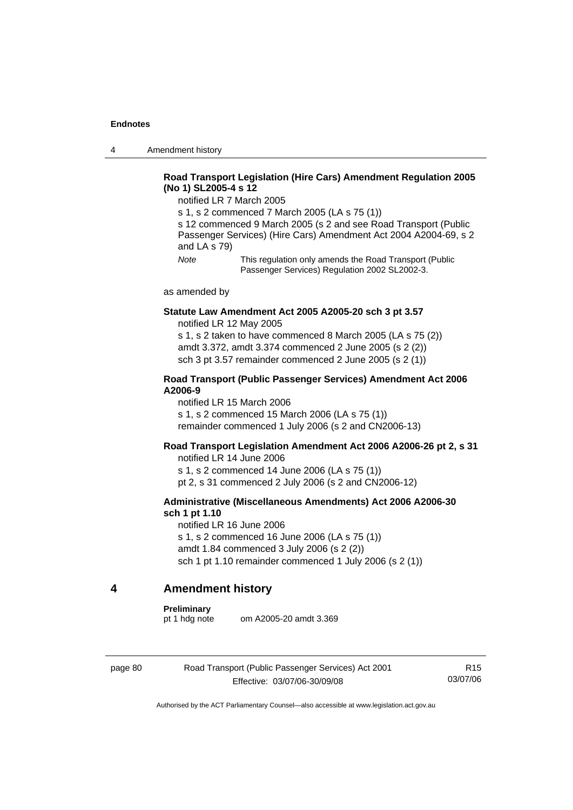4 Amendment history

## **Road Transport Legislation (Hire Cars) Amendment Regulation 2005 (No 1) SL2005-4 s 12**

notified LR 7 March 2005

s 1, s 2 commenced 7 March 2005 (LA s 75 (1))

s 12 commenced 9 March 2005 (s 2 and see Road Transport (Public Passenger Services) (Hire Cars) Amendment Act 2004 A2004-69, s 2 and LA s 79)

*Note* This regulation only amends the Road Transport (Public Passenger Services) Regulation 2002 SL2002-3.

as amended by

#### **Statute Law Amendment Act 2005 A2005-20 sch 3 pt 3.57**  notified LR 12 May 2005

s 1, s 2 taken to have commenced 8 March 2005 (LA s 75 (2)) amdt 3.372, amdt 3.374 commenced 2 June 2005 (s 2 (2)) sch 3 pt 3.57 remainder commenced 2 June 2005 (s 2 (1))

#### **Road Transport (Public Passenger Services) Amendment Act 2006 A2006-9**

notified LR 15 March 2006 s 1, s 2 commenced 15 March 2006 (LA s 75 (1)) remainder commenced 1 July 2006 (s 2 and CN2006-13)

#### **Road Transport Legislation Amendment Act 2006 A2006-26 pt 2, s 31**

notified LR 14 June 2006 s 1, s 2 commenced 14 June 2006 (LA s 75 (1)) pt 2, s 31 commenced 2 July 2006 (s 2 and CN2006-12)

#### **Administrative (Miscellaneous Amendments) Act 2006 A2006-30 sch 1 pt 1.10**

notified LR 16 June 2006 s 1, s 2 commenced 16 June 2006 (LA s 75 (1)) amdt 1.84 commenced 3 July 2006 (s 2 (2)) sch 1 pt 1.10 remainder commenced 1 July 2006 (s 2 (1))

## **4 Amendment history**

#### **Preliminary**

pt 1 hdg note om A2005-20 amdt 3.369

page 80 Road Transport (Public Passenger Services) Act 2001 Effective: 03/07/06-30/09/08

R15 03/07/06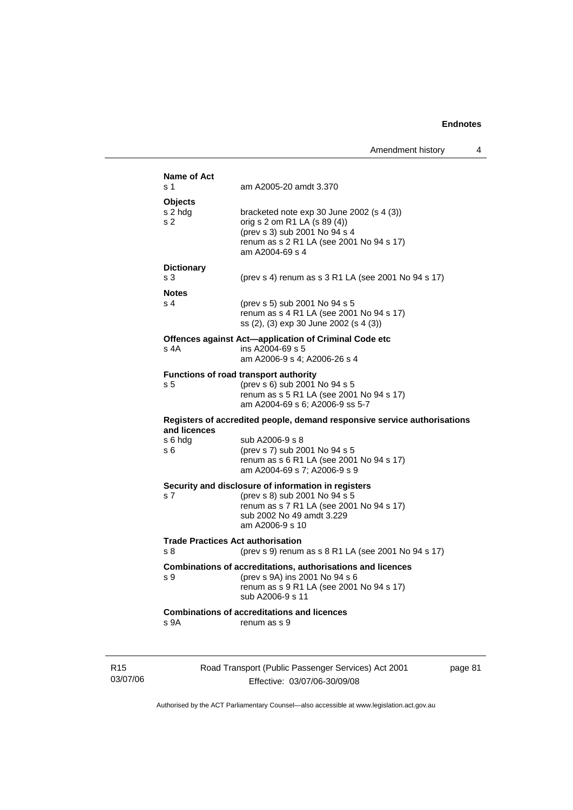|                 | <b>Name of Act</b> |                                                                                      |        |
|-----------------|--------------------|--------------------------------------------------------------------------------------|--------|
|                 | s 1                | am A2005-20 amdt 3.370                                                               |        |
|                 | Objects            |                                                                                      |        |
|                 | s 2 hdg            | bracketed note $exp 30$ June 2002 (s 4 (3))                                          |        |
|                 | s 2                | orig s 2 om R1 LA (s 89 (4))<br>(prev s 3) sub 2001 No 94 s 4                        |        |
|                 |                    | renum as s 2 R1 LA (see 2001 No 94 s 17)                                             |        |
|                 |                    | am A2004-69 s 4                                                                      |        |
|                 | <b>Dictionary</b>  |                                                                                      |        |
|                 | s 3                | (prev s 4) renum as s 3 R1 LA (see 2001 No 94 s 17)                                  |        |
|                 | <b>Notes</b>       |                                                                                      |        |
|                 | s <sub>4</sub>     | (prev s 5) sub 2001 No 94 s 5                                                        |        |
|                 |                    | renum as s 4 R1 LA (see 2001 No 94 s 17)                                             |        |
|                 |                    | ss (2), (3) exp 30 June 2002 (s 4 (3))                                               |        |
|                 | s 4A               | Offences against Act-application of Criminal Code etc<br>ins A2004-69 s 5            |        |
|                 |                    | am A2006-9 s 4; A2006-26 s 4                                                         |        |
|                 |                    | Functions of road transport authority                                                |        |
|                 | s 5                | (prev s 6) sub 2001 No 94 s 5                                                        |        |
|                 |                    | renum as s 5 R1 LA (see 2001 No 94 s 17)                                             |        |
|                 |                    | am A2004-69 s 6; A2006-9 ss 5-7                                                      |        |
|                 | and licences       | Registers of accredited people, demand responsive service authorisations             |        |
|                 | s 6 hdg            | sub A2006-9 s 8                                                                      |        |
|                 | s 6                | (prev s 7) sub 2001 No 94 s 5                                                        |        |
|                 |                    | renum as s 6 R1 LA (see 2001 No 94 s 17)<br>am A2004-69 s 7; A2006-9 s 9             |        |
|                 |                    |                                                                                      |        |
|                 | s 7                | Security and disclosure of information in registers<br>(prev s 8) sub 2001 No 94 s 5 |        |
|                 |                    | renum as s 7 R1 LA (see 2001 No 94 s 17)                                             |        |
|                 |                    | sub 2002 No 49 amdt 3.229                                                            |        |
|                 |                    | am A2006-9 s 10                                                                      |        |
|                 |                    | <b>Trade Practices Act authorisation</b>                                             |        |
|                 | s 8                | (prev s 9) renum as s 8 R1 LA (see 2001 No 94 s 17)                                  |        |
|                 |                    | Combinations of accreditations, authorisations and licences                          |        |
|                 | s 9                | (prev s 9A) ins 2001 No 94 s 6<br>renum as s 9 R1 LA (see 2001 No 94 s 17)           |        |
|                 |                    | sub A2006-9 s 11                                                                     |        |
|                 |                    | <b>Combinations of accreditations and licences</b>                                   |        |
|                 | s 9A               | renum as s 9                                                                         |        |
|                 |                    |                                                                                      |        |
|                 |                    |                                                                                      |        |
| R <sub>15</sub> |                    | Road Transport (Public Passenger Services) Act 2001                                  | page 8 |
|                 |                    |                                                                                      |        |

03/07/06

Effective: 03/07/06-30/09/08

 $\overline{\mathbf{31}}$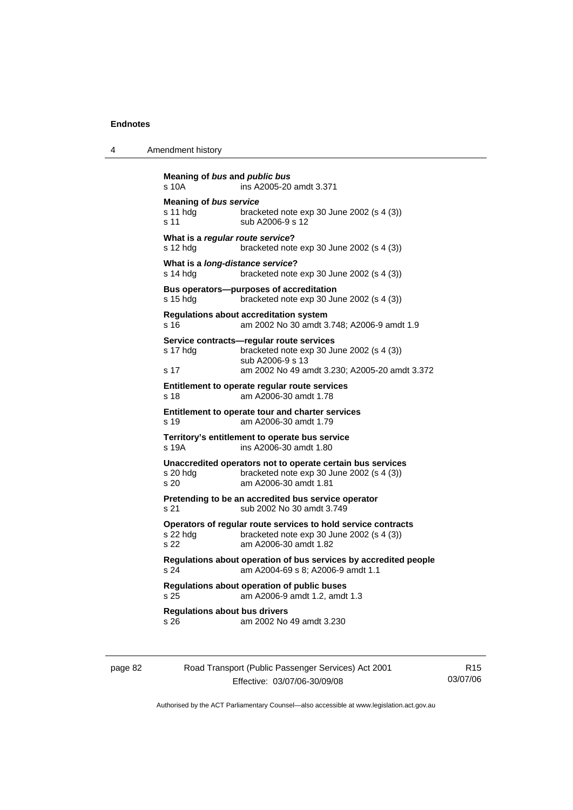| 4 | Amendment history |
|---|-------------------|
|   |                   |

```
Meaning of bus and public bus
s 10A ins A2005-20 amdt 3.371
Meaning of bus service
s 11 hdg bracketed note exp 30 June 2002 (s 4 (3)) 
s 11 Sub A2006-9 s 12
What is a regular route service? 
s 12 hdg bracketed note exp 30 June 2002 (s 4 (3)) 
What is a long-distance service? 
s 14 hdg bracketed note exp 30 June 2002 (s 4 (3))
Bus operators—purposes of accreditation 
s 15 hdg bracketed note exp 30 June 2002 (s 4 (3)) 
Regulations about accreditation system 
s 16 am 2002 No 30 amdt 3.748; A2006-9 amdt 1.9 
Service contracts—regular route services 
s 17 hdg bracketed note exp 30 June 2002 (s 4 (3)) 
                 sub A2006-9 s 13 
s 17 am 2002 No 49 amdt 3.230; A2005-20 amdt 3.372 
Entitlement to operate regular route services 
s 18 am A2006-30 amdt 1.78 
Entitlement to operate tour and charter services 
s 19 am A2006-30 amdt 1.79 
Territory's entitlement to operate bus service 
s 19A ins A2006-30 amdt 1.80 
Unaccredited operators not to operate certain bus services 
s 20 hdg bracketed note exp 30 June 2002 (s 4 (3)) 
s 20 am A2006-30 amdt 1.81 
Pretending to be an accredited bus service operator 
s 21 sub 2002 No 30 amdt 3.749 
Operators of regular route services to hold service contracts 
s 22 hdg bracketed note exp 30 June 2002 (s 4 (3))<br>s 22 am A2006-30 amdt 1 82
                s 22 am A2006-30 amdt 1.82 
Regulations about operation of bus services by accredited people 
s 24 am A2004-69 s 8; A2006-9 amdt 1.1 
Regulations about operation of public buses 
s 25 am A2006-9 amdt 1.2, amdt 1.3 
Regulations about bus drivers 
s 26 am 2002 No 49 amdt 3.230
```

| page 82 | Road Transport (Public Passenger Services) Act 2001 | R <sub>15</sub> |
|---------|-----------------------------------------------------|-----------------|
|         | Effective: 03/07/06-30/09/08                        | 03/07/06        |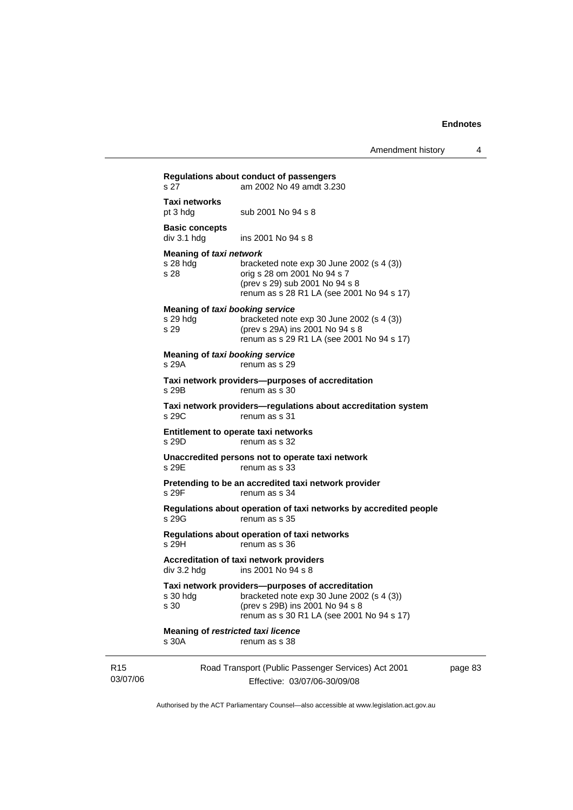|                             | s 27                                                  | Regulations about conduct of passengers<br>am 2002 No 49 amdt 3.230                                                                                                           |         |
|-----------------------------|-------------------------------------------------------|-------------------------------------------------------------------------------------------------------------------------------------------------------------------------------|---------|
|                             | Taxi networks<br>pt 3 hdg                             | sub 2001 No 94 s 8                                                                                                                                                            |         |
|                             | <b>Basic concepts</b><br>div 3.1 h dg                 | ins 2001 No 94 s 8                                                                                                                                                            |         |
|                             | Meaning of taxi network<br>s 28 hda<br>s 28           | bracketed note $exp 30$ June 2002 (s 4 (3))<br>orig s 28 om 2001 No 94 s 7<br>(prev s 29) sub 2001 No 94 s 8<br>renum as s 28 R1 LA (see 2001 No 94 s 17)                     |         |
|                             | Meaning of taxi booking service<br>$s$ 29 hdg<br>s 29 | bracketed note $exp 30$ June 2002 (s 4 (3))<br>(prev s 29A) ins 2001 No 94 s 8<br>renum as s 29 R1 LA (see 2001 No 94 s 17)                                                   |         |
|                             | Meaning of taxi booking service<br>s 29A              | renum as s 29                                                                                                                                                                 |         |
|                             | s 29B                                                 | Taxi network providers--purposes of accreditation<br>renum as s 30                                                                                                            |         |
|                             | s 29C                                                 | Taxi network providers-regulations about accreditation system<br>renum as s 31                                                                                                |         |
|                             | s 29D                                                 | Entitlement to operate taxi networks<br>renum as s 32                                                                                                                         |         |
|                             | s 29E                                                 | Unaccredited persons not to operate taxi network<br>renum as s 33                                                                                                             |         |
|                             | s 29F                                                 | Pretending to be an accredited taxi network provider<br>renum as s 34                                                                                                         |         |
|                             | s 29G                                                 | Regulations about operation of taxi networks by accredited people<br>renum as s 35                                                                                            |         |
|                             | s 29H                                                 | Regulations about operation of taxi networks<br>renum as s 36                                                                                                                 |         |
|                             | div 3.2 hdg                                           | Accreditation of taxi network providers<br>ins 2001 No 94 s 8                                                                                                                 |         |
|                             | s 30 hdg<br>s 30                                      | Taxi network providers—purposes of accreditation<br>bracketed note exp 30 June 2002 (s 4 (3))<br>(prev s 29B) ins 2001 No 94 s 8<br>renum as s 30 R1 LA (see 2001 No 94 s 17) |         |
|                             | <b>Meaning of restricted taxi licence</b><br>s 30A    | renum as s 38                                                                                                                                                                 |         |
| R <sub>15</sub><br>03/07/06 |                                                       | Road Transport (Public Passenger Services) Act 2001<br>Effective: 03/07/06-30/09/08                                                                                           | page 83 |

Authorised by the ACT Parliamentary Counsel—also accessible at www.legislation.act.gov.au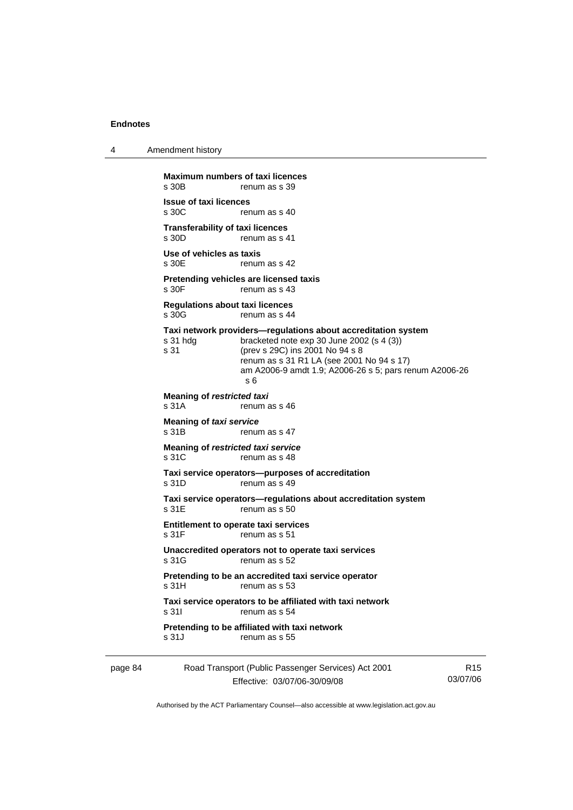4 Amendment history

page 84 Road Transport (Public Passenger Services) Act 2001 R15 **Maximum numbers of taxi licences**<br>s 30B renum as s 39 renum as s 39 **Issue of taxi licences**  renum as s 40 **Transferability of taxi licences**<br>s 30D renum as s 4 renum as s 41 **Use of vehicles as taxis**  s 30E renum as s 42 **Pretending vehicles are licensed taxis**  s 30F renum as s 43 **Regulations about taxi licences**  s 30G renum as s 44 **Taxi network providers—regulations about accreditation system**  s 31 hdg bracketed note exp 30 June 2002 (s 4 (3)) s 31 (prev s 29C) ins 2001 No 94 s 8 renum as s 31 R1 LA (see 2001 No 94 s 17) am A2006-9 amdt 1.9; A2006-26 s 5; pars renum A2006-26 s 6 **Meaning of** *restricted taxi* s 31A renum as s 46 **Meaning of** *taxi service*  s 31B renum as s 47 **Meaning of** *restricted taxi service*  s 31C renum as s 48 **Taxi service operators—purposes of accreditation**  s 31D renum as s 49 **Taxi service operators—regulations about accreditation system**  s 31E renum as s 50 **Entitlement to operate taxi services**  s 31F renum as s 51 **Unaccredited operators not to operate taxi services**  s 31G renum as s 52 **Pretending to be an accredited taxi service operator**  s 31H renum as s 53 **Taxi service operators to be affiliated with taxi network**  s 31I renum as s 54 **Pretending to be affiliated with taxi network**  s 31J renum as s 55

Effective: 03/07/06-30/09/08

03/07/06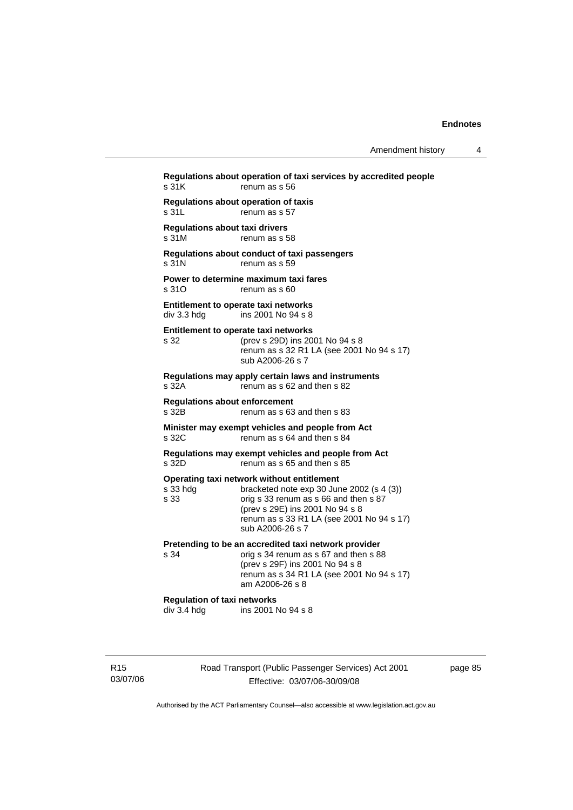**Regulations about operation of taxi services by accredited people**  s 31K renum as s 56 **Regulations about operation of taxis**  s 31L renum as s 57 **Regulations about taxi drivers**  s 31M renum as s 58 **Regulations about conduct of taxi passengers**  s 31N renum as s 59 **Power to determine maximum taxi fares**  s 310 renum as s 60 **Entitlement to operate taxi networks**  div 3.3 hdg ins 2001 No 94 s 8 **Entitlement to operate taxi networks**  s 32 (prev s 29D) ins 2001 No 94 s 8 renum as s 32 R1 LA (see 2001 No 94 s 17) sub A2006-26 s 7 **Regulations may apply certain laws and instruments**  s 32A renum as s 62 and then s 82 **Regulations about enforcement**  s 32B renum as s 63 and then s 83 **Minister may exempt vehicles and people from Act**  s 32C renum as s 64 and then s 84 **Regulations may exempt vehicles and people from Act**  s 32D renum as s 65 and then s 85 **Operating taxi network without entitlement**<br>s 33 hdg<br>bracketed note exp 30 Jun bracketed note exp 30 June 2002 (s  $4$  (3)) s 33 orig s 33 renum as s 66 and then s 87 (prev s 29E) ins 2001 No 94 s 8 renum as s 33 R1 LA (see 2001 No 94 s 17) sub A2006-26 s 7 **Pretending to be an accredited taxi network provider**<br>s 34 **compass** 34 **repulned** as s 67 and then s 8 orig s 34 renum as s 67 and then s 88 (prev s 29F) ins 2001 No 94 s 8 renum as s 34 R1 LA (see 2001 No 94 s 17) am A2006-26 s 8 **Regulation of taxi networks**  div 3.4 hdg ins 2001 No 94 s 8

R15 03/07/06 Road Transport (Public Passenger Services) Act 2001 Effective: 03/07/06-30/09/08

page 85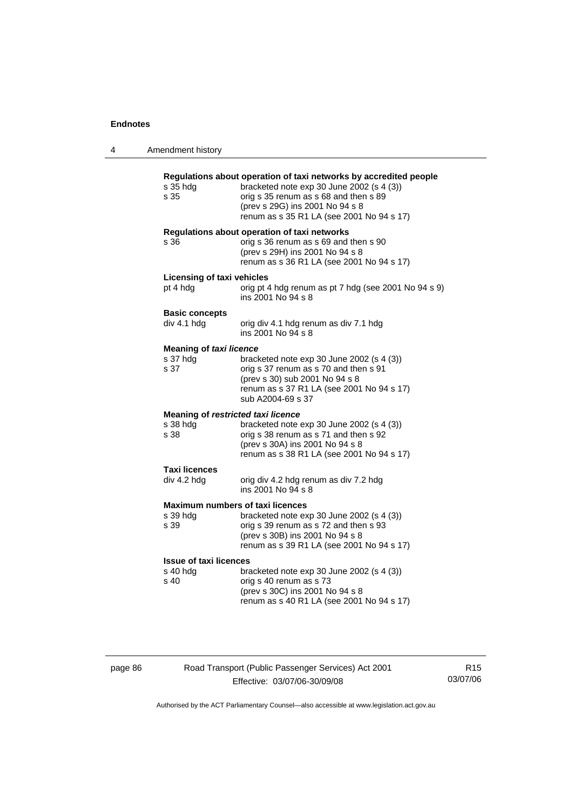| 4 | Amendment history                                      |                                                                                                                                                                                                                                         |
|---|--------------------------------------------------------|-----------------------------------------------------------------------------------------------------------------------------------------------------------------------------------------------------------------------------------------|
|   | s 35 hdg<br>s 35                                       | Regulations about operation of taxi networks by accredited people<br>bracketed note exp 30 June 2002 (s 4 (3))<br>orig s 35 renum as s 68 and then s 89<br>(prev s 29G) ins 2001 No 94 s 8<br>renum as s 35 R1 LA (see 2001 No 94 s 17) |
|   | s 36                                                   | Regulations about operation of taxi networks<br>orig s 36 renum as s 69 and then s 90<br>(prev s 29H) ins 2001 No 94 s 8<br>renum as s 36 R1 LA (see 2001 No 94 s 17)                                                                   |
|   | Licensing of taxi vehicles<br>pt 4 hdg                 | orig pt 4 hdg renum as pt 7 hdg (see 2001 No 94 s 9)<br>ins 2001 No 94 s 8                                                                                                                                                              |
|   | <b>Basic concepts</b><br>div 4.1 hdg                   | orig div 4.1 hdg renum as div 7.1 hdg<br>ins 2001 No 94 s 8                                                                                                                                                                             |
|   | <b>Meaning of taxi licence</b><br>s 37 hdg<br>s 37     | bracketed note $exp 30$ June 2002 (s 4 (3))<br>orig s 37 renum as s 70 and then s 91<br>(prev s 30) sub 2001 No 94 s 8<br>renum as s 37 R1 LA (see 2001 No 94 s 17)<br>sub A2004-69 s 37                                                |
|   | Meaning of restricted taxi licence<br>s 38 hda<br>s 38 | bracketed note exp 30 June 2002 (s 4 (3))<br>orig s 38 renum as s 71 and then s 92<br>(prev s 30A) ins 2001 No 94 s 8<br>renum as s 38 R1 LA (see 2001 No 94 s 17)                                                                      |
|   | Taxi licences<br>div 4.2 hdg                           | orig div 4.2 hdg renum as div 7.2 hdg<br>ins 2001 No 94 s 8                                                                                                                                                                             |
|   | s 39 hdg<br>s 39                                       | <b>Maximum numbers of taxi licences</b><br>bracketed note exp 30 June 2002 (s 4 (3))<br>orig s 39 renum as s 72 and then s 93<br>(prev s 30B) ins 2001 No 94 s 8<br>renum as s 39 R1 LA (see 2001 No 94 s 17)                           |
|   | <b>Issue of taxi licences</b><br>s 40 hdg<br>s 40      | bracketed note exp 30 June 2002 (s 4 (3))<br>orig s 40 renum as s 73<br>(prev s 30C) ins 2001 No 94 s 8<br>renum as s 40 R1 LA (see 2001 No 94 s 17)                                                                                    |

page 86 Road Transport (Public Passenger Services) Act 2001 Effective: 03/07/06-30/09/08

R15 03/07/06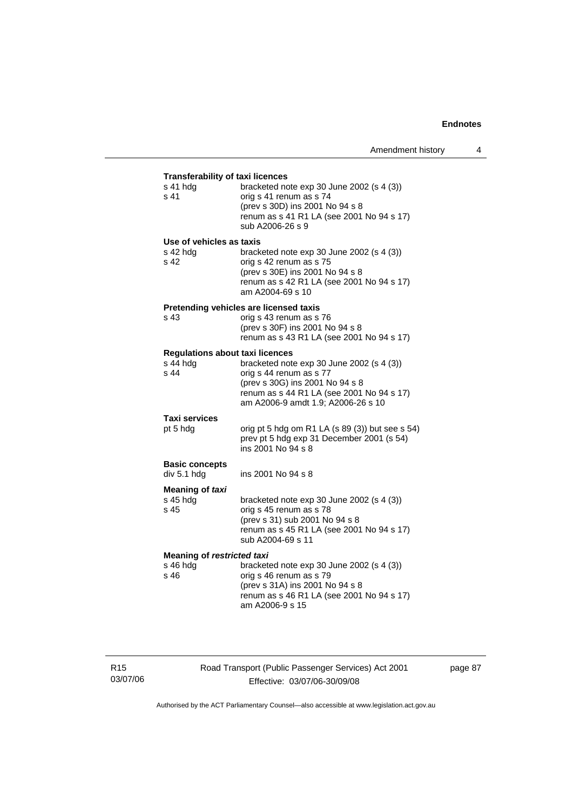| <b>Transferability of taxi licences</b>      |                                                                                                                                                                            |  |  |
|----------------------------------------------|----------------------------------------------------------------------------------------------------------------------------------------------------------------------------|--|--|
| s 41 hdg<br>s 41                             | bracketed note exp 30 June 2002 (s 4 (3))<br>orig s 41 renum as s 74<br>(prev s 30D) ins 2001 No 94 s 8<br>renum as s 41 R1 LA (see 2001 No 94 s 17)<br>sub A2006-26 s 9   |  |  |
| Use of vehicles as taxis<br>s 42 hdg<br>s 42 | bracketed note $exp 30$ June 2002 (s 4 (3))<br>orig s 42 renum as s 75<br>(prev s 30E) ins 2001 No 94 s 8<br>renum as s 42 R1 LA (see 2001 No 94 s 17)<br>am A2004-69 s 10 |  |  |
|                                              | Pretending vehicles are licensed taxis                                                                                                                                     |  |  |
| s 43                                         | orig s 43 renum as s 76<br>(prev s 30F) ins 2001 No 94 s 8<br>renum as s 43 R1 LA (see 2001 No 94 s 17)                                                                    |  |  |
| <b>Regulations about taxi licences</b>       |                                                                                                                                                                            |  |  |
| s 44 hdg                                     | bracketed note exp 30 June 2002 (s 4 (3))                                                                                                                                  |  |  |
| s 44                                         | orig s 44 renum as s 77                                                                                                                                                    |  |  |
|                                              | (prev s 30G) ins 2001 No 94 s 8<br>renum as s 44 R1 LA (see 2001 No 94 s 17)<br>am A2006-9 amdt 1.9; A2006-26 s 10                                                         |  |  |
| <b>Taxi services</b>                         |                                                                                                                                                                            |  |  |
| pt 5 hdg                                     | orig pt 5 hdg om R1 LA (s 89 (3)) but see s 54)<br>prev pt 5 hdg exp 31 December 2001 (s 54)<br>ins 2001 No 94 s 8                                                         |  |  |
| <b>Basic concepts</b><br>div 5.1 hdg         | ins 2001 No 94 s 8                                                                                                                                                         |  |  |
| Meaning of taxi                              |                                                                                                                                                                            |  |  |
| s 45 hdg<br>s 45                             | bracketed note exp 30 June 2002 (s 4 (3))<br>orig s 45 renum as s 78<br>(prev s 31) sub 2001 No 94 s 8<br>renum as s 45 R1 LA (see 2001 No 94 s 17)<br>sub A2004-69 s 11   |  |  |
| <b>Meaning of restricted taxi</b>            |                                                                                                                                                                            |  |  |
| s 46 hdg                                     | bracketed note exp 30 June 2002 (s 4 (3))                                                                                                                                  |  |  |
| s 46                                         | orig s 46 renum as s 79                                                                                                                                                    |  |  |
|                                              | (prev s 31A) ins 2001 No 94 s 8                                                                                                                                            |  |  |
|                                              | renum as s 46 R1 LA (see 2001 No 94 s 17)<br>am A2006-9 s 15                                                                                                               |  |  |

R15 03/07/06 Road Transport (Public Passenger Services) Act 2001 Effective: 03/07/06-30/09/08

page 87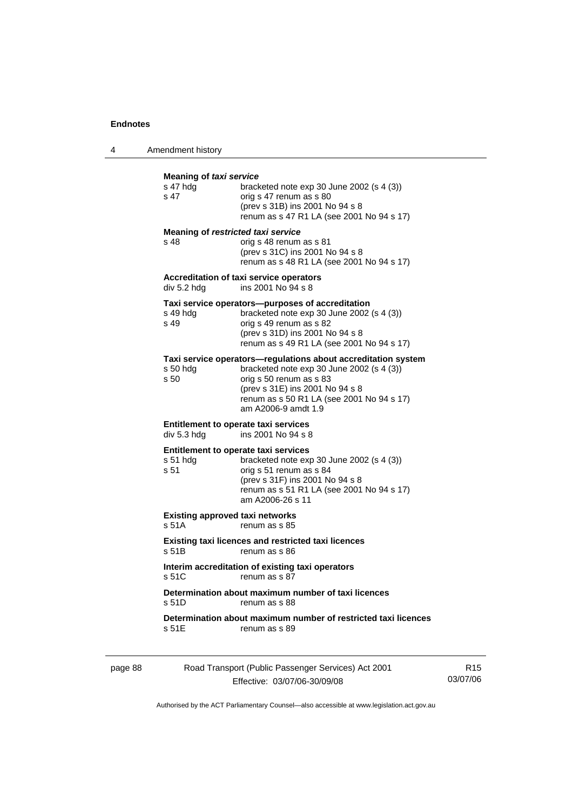J.

4 Amendment history

| s 47 hda<br>s 47  | bracketed note $exp 30$ June 2002 (s 4 (3))<br>orig s 47 renum as s 80<br>(prev s 31B) ins 2001 No 94 s 8<br>renum as s 47 R1 LA (see 2001 No 94 s 17)                                                                                         |
|-------------------|------------------------------------------------------------------------------------------------------------------------------------------------------------------------------------------------------------------------------------------------|
| s 48              | Meaning of restricted taxi service<br>orig s 48 renum as s 81<br>(prev s 31C) ins 2001 No 94 s 8<br>renum as s 48 R1 LA (see 2001 No 94 s 17)                                                                                                  |
| div 5.2 hdg       | Accreditation of taxi service operators<br>ins 2001 No 94 s 8                                                                                                                                                                                  |
| s 49 hdg<br>s 49  | Taxi service operators—purposes of accreditation<br>bracketed note $exp 30$ June 2002 (s 4 (3))<br>orig s 49 renum as s 82<br>(prev s 31D) ins 2001 No 94 s 8<br>renum as s 49 R1 LA (see 2001 No 94 s 17)                                     |
| s 50 hda<br>s 50  | Taxi service operators—regulations about accreditation system<br>bracketed note $exp 30$ June 2002 (s 4 (3))<br>orig s 50 renum as s 83<br>(prev s 31E) ins 2001 No 94 s 8<br>renum as s 50 R1 LA (see 2001 No 94 s 17)<br>am A2006-9 amdt 1.9 |
| div 5.3 hdg       | Entitlement to operate taxi services<br>ins 2001 No 94 s 8                                                                                                                                                                                     |
| $s51$ hdg<br>s 51 | Entitlement to operate taxi services<br>bracketed note $exp 30$ June 2002 (s 4 (3))<br>orig s 51 renum as s 84<br>(prev s 31F) ins 2001 No 94 s 8<br>renum as s 51 R1 LA (see 2001 No 94 s 17)<br>am A2006-26 s 11                             |
| s 51A             | <b>Existing approved taxi networks</b><br>renum as s 85                                                                                                                                                                                        |
| s 51B             | <b>Existing taxi licences and restricted taxi licences</b><br>renum as s 86                                                                                                                                                                    |
| s 51C             | Interim accreditation of existing taxi operators<br>renum as s 87                                                                                                                                                                              |
| s 51D             | Determination about maximum number of taxi licences<br>renum as s 88                                                                                                                                                                           |
| s 51E             | Determination about maximum number of restricted taxi licences<br>renum as s 89                                                                                                                                                                |

| page 88 | Road Transport (Public Passenger Services) Act 2001 | R15      |
|---------|-----------------------------------------------------|----------|
|         | Effective: 03/07/06-30/09/08                        | 03/07/06 |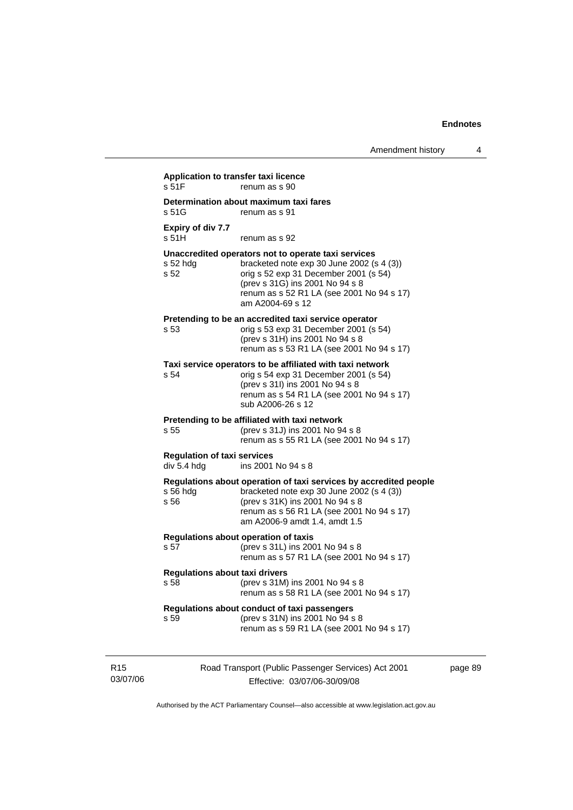| s 51F                                             | renum as s 90                                                                                                                                                                                                                                   |
|---------------------------------------------------|-------------------------------------------------------------------------------------------------------------------------------------------------------------------------------------------------------------------------------------------------|
| s 51G                                             | Determination about maximum taxi fares<br>renum as s 91                                                                                                                                                                                         |
| Expiry of div 7.7<br>s 51H                        | renum as s 92                                                                                                                                                                                                                                   |
| $s52$ hdg<br>s <sub>52</sub>                      | Unaccredited operators not to operate taxi services<br>bracketed note $exp 30$ June 2002 (s 4 (3))<br>orig s 52 exp 31 December 2001 (s 54)<br>(prev s 31G) ins 2001 No 94 s 8<br>renum as s 52 R1 LA (see 2001 No 94 s 17)<br>am A2004-69 s 12 |
| s 53                                              | Pretending to be an accredited taxi service operator<br>orig s 53 exp 31 December 2001 (s 54)<br>(prev s 31H) ins 2001 No 94 s 8<br>renum as s 53 R1 LA (see 2001 No 94 s 17)                                                                   |
| s 54                                              | Taxi service operators to be affiliated with taxi network<br>orig s 54 exp 31 December 2001 (s 54)<br>(prev s 31l) ins 2001 No 94 s 8<br>renum as s 54 R1 LA (see 2001 No 94 s 17)<br>sub A2006-26 s 12                                         |
| s 55                                              | Pretending to be affiliated with taxi network<br>(prev s 31J) ins 2001 No 94 s 8<br>renum as s 55 R1 LA (see 2001 No 94 s 17)                                                                                                                   |
| <b>Regulation of taxi services</b><br>div 5.4 hdg | ins 2001 No 94 s 8                                                                                                                                                                                                                              |
| $s56$ hdg<br>s 56                                 | Regulations about operation of taxi services by accredited people<br>bracketed note $exp 30$ June 2002 (s 4 (3))<br>(prev s 31K) ins 2001 No 94 s 8<br>renum as s 56 R1 LA (see 2001 No 94 s 17)<br>am A2006-9 amdt 1.4, amdt 1.5               |
| s 57                                              | Regulations about operation of taxis<br>(prev s 31L) ins 2001 No 94 s 8<br>renum as s 57 R1 LA (see 2001 No 94 s 17)                                                                                                                            |
| <b>Regulations about taxi drivers</b><br>s 58     | (prev s 31M) ins 2001 No 94 s 8<br>renum as s 58 R1 LA (see 2001 No 94 s 17)                                                                                                                                                                    |
| s 59                                              | Regulations about conduct of taxi passengers<br>(prev s 31N) ins 2001 No 94 s 8<br>renum as s 59 R1 LA (see 2001 No 94 s 17)                                                                                                                    |

R15 03/07/06

Effective: 03/07/06-30/09/08

page 89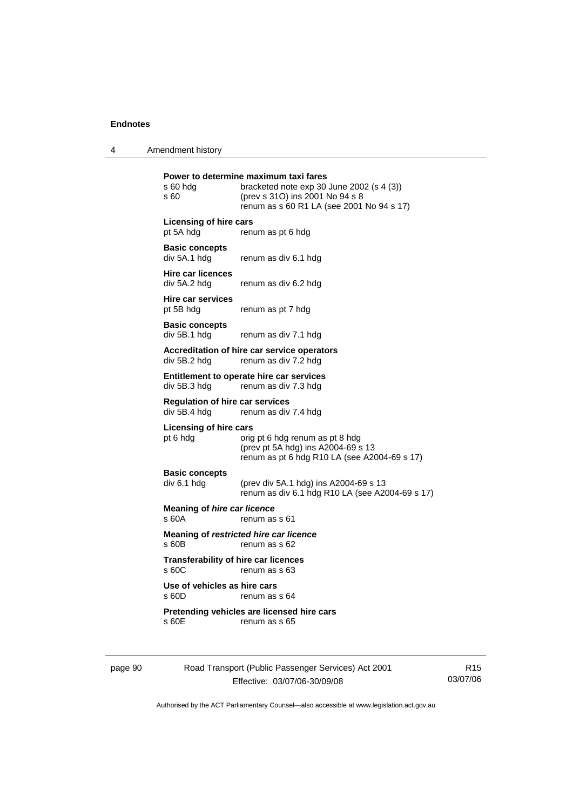4 Amendment history

| s 60 hdg<br>s 60                                       | Power to determine maximum taxi fares<br>bracketed note $exp 30$ June 2002 (s 4 (3))<br>(prev s 31O) ins 2001 No 94 s 8<br>renum as s 60 R1 LA (see 2001 No 94 s 17) |
|--------------------------------------------------------|----------------------------------------------------------------------------------------------------------------------------------------------------------------------|
| Licensing of hire cars<br>pt 5A hdg                    | renum as pt 6 hdg                                                                                                                                                    |
| <b>Basic concepts</b><br>div 5A.1 hdg                  | renum as div 6.1 hdg                                                                                                                                                 |
| <b>Hire car licences</b><br>div 5A.2 hdg               | renum as div 6.2 hdg                                                                                                                                                 |
| <b>Hire car services</b><br>pt 5B hdg                  | renum as pt 7 hdg                                                                                                                                                    |
| <b>Basic concepts</b><br>div 5B.1 hdg                  | renum as div 7.1 hdg                                                                                                                                                 |
| div 5B.2 hdg                                           | Accreditation of hire car service operators<br>renum as div 7.2 hdg                                                                                                  |
| div 5B.3 hdg                                           | Entitlement to operate hire car services<br>renum as div 7.3 hdg                                                                                                     |
| <b>Regulation of hire car services</b><br>div 5B.4 hdg | renum as div 7.4 hdg                                                                                                                                                 |
| <b>Licensing of hire cars</b><br>pt 6 hdg              | orig pt 6 hdg renum as pt 8 hdg<br>(prev pt 5A hdg) ins A2004-69 s 13<br>renum as pt 6 hdg R10 LA (see A2004-69 s 17)                                                |
| <b>Basic concepts</b><br>div 6.1 hdg                   | (prev div 5A.1 hdg) ins A2004-69 s 13<br>renum as div 6.1 hdg R10 LA (see A2004-69 s 17)                                                                             |
| Meaning of hire car licence<br>s 60A                   | renum as s 61                                                                                                                                                        |
| s60B                                                   | Meaning of restricted hire car licence<br>renum as s 62                                                                                                              |
| <b>Transferability of hire car licences</b><br>s 60C   | renum as s 63                                                                                                                                                        |
| Use of vehicles as hire cars<br>s 60D                  | renum as s 64                                                                                                                                                        |
| s 60E                                                  | Pretending vehicles are licensed hire cars<br>renum as s 65                                                                                                          |
|                                                        |                                                                                                                                                                      |

page 90 Road Transport (Public Passenger Services) Act 2001 Effective: 03/07/06-30/09/08

R15 03/07/06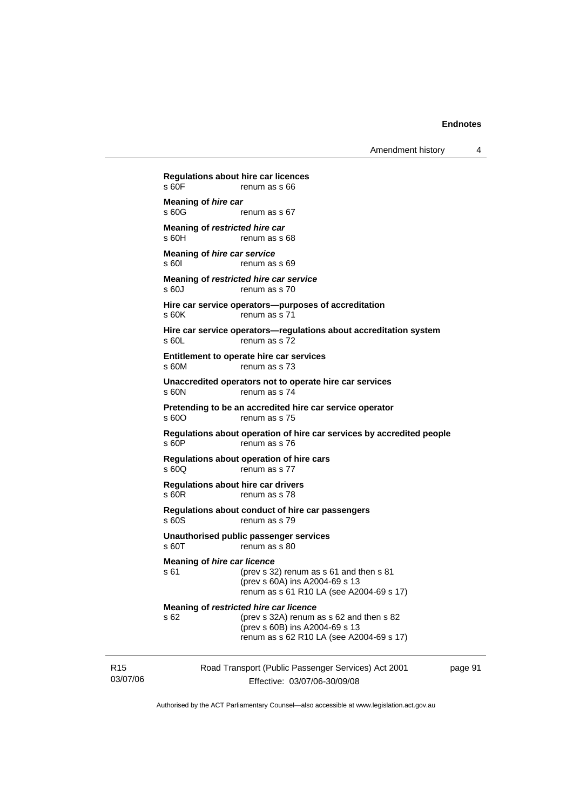Amendment history 4

Road Transport (Public Passenger Services) Act 2001 **Regulations about hire car licences**  renum as s 66 **Meaning of** *hire car*<br>**s 60G** renum as s 67 **Meaning of** *restricted hire car*  s 60H renum as s 68 **Meaning of** *hire car service*  s 60I renum as s 69 **Meaning of** *restricted hire car service*  s 60J renum as s 70 **Hire car service operators—purposes of accreditation**  s 60K renum as s 71 **Hire car service operators—regulations about accreditation system**  s 60L renum as s 72 **Entitlement to operate hire car services**  s 60M renum as s 73 **Unaccredited operators not to operate hire car services**  s 60N renum as s 74 **Pretending to be an accredited hire car service operator**  s 600 renum as s 75 **Regulations about operation of hire car services by accredited people**  s 60P renum as s 76 **Regulations about operation of hire cars**  s 60Q renum as s 77 **Regulations about hire car drivers**  s 60R renum as s 78 **Regulations about conduct of hire car passengers**  s 60S renum as s 79 **Unauthorised public passenger services**  s 60T renum as s 80 **Meaning of** *hire car licence*  s 61 (prev s 32) renum as s 61 and then s 81 (prev s 60A) ins A2004-69 s 13 renum as s 61 R10 LA (see A2004-69 s 17) **Meaning of** *restricted hire car licence*  s 62 (prev s 32A) renum as s 62 and then s 82 (prev s 60B) ins A2004-69 s 13 renum as s 62 R10 LA (see A2004-69 s 17)

R15 03/07/06 Effective: 03/07/06-30/09/08 page 91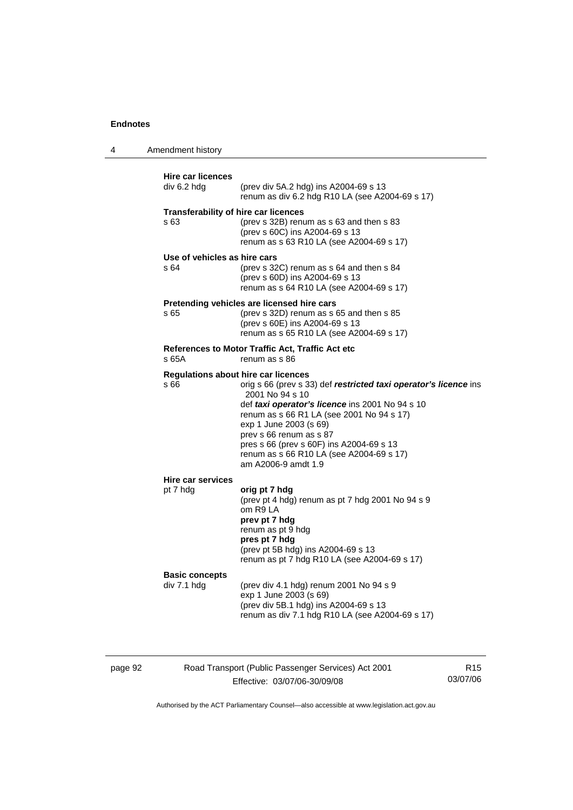4 Amendment history

| <b>Hire car licences</b>     |                                                                                              |
|------------------------------|----------------------------------------------------------------------------------------------|
| div 6.2 hdg                  | (prev div 5A.2 hdg) ins A2004-69 s 13<br>renum as div 6.2 hdg R10 LA (see A2004-69 s 17)     |
|                              | <b>Transferability of hire car licences</b>                                                  |
| s 63                         | (prev s 32B) renum as s 63 and then s 83                                                     |
|                              | (prev s 60C) ins A2004-69 s 13                                                               |
|                              | renum as s 63 R10 LA (see A2004-69 s 17)                                                     |
| Use of vehicles as hire cars |                                                                                              |
| s 64                         | (prev s 32C) renum as s 64 and then s 84                                                     |
|                              | (prev s 60D) ins A2004-69 s 13<br>renum as s 64 R10 LA (see A2004-69 s 17)                   |
|                              |                                                                                              |
|                              | Pretending vehicles are licensed hire cars                                                   |
| s 65                         | (prev s 32D) renum as s 65 and then s 85<br>(prev s 60E) ins A2004-69 s 13                   |
|                              | renum as s 65 R10 LA (see A2004-69 s 17)                                                     |
|                              |                                                                                              |
| s 65A                        | References to Motor Traffic Act, Traffic Act etc<br>renum as s 86                            |
|                              |                                                                                              |
|                              | Regulations about hire car licences                                                          |
| s 66                         | orig s 66 (prev s 33) def restricted taxi operator's licence ins                             |
|                              |                                                                                              |
|                              | 2001 No 94 s 10                                                                              |
|                              | def taxi operator's licence ins 2001 No 94 s 10<br>renum as s 66 R1 LA (see 2001 No 94 s 17) |
|                              | exp 1 June 2003 (s 69)                                                                       |
|                              | prev s 66 renum as s 87                                                                      |
|                              | pres s 66 (prev s 60F) ins A2004-69 s 13                                                     |
|                              | renum as s 66 R10 LA (see A2004-69 s 17)                                                     |
|                              | am A2006-9 amdt 1.9                                                                          |
| Hire car services            |                                                                                              |
| pt 7 hdg                     | orig pt 7 hdg                                                                                |
|                              | (prev pt 4 hdg) renum as pt 7 hdg 2001 No 94 s 9                                             |
|                              | om R9 LA                                                                                     |
|                              | prev pt 7 hdg<br>renum as pt 9 hdg                                                           |
|                              | pres pt 7 hdg                                                                                |
|                              | (prev pt 5B hdg) ins A2004-69 s 13                                                           |
|                              | renum as pt 7 hdg R10 LA (see A2004-69 s 17)                                                 |
| <b>Basic concepts</b>        |                                                                                              |
|                              | (prev div 4.1 hdg) renum 2001 No 94 s 9                                                      |
| div 7.1 hdg                  | exp 1 June 2003 (s 69)                                                                       |
|                              | (prev div 5B.1 hdg) ins A2004-69 s 13<br>renum as div 7.1 hdg R10 LA (see A2004-69 s 17)     |

page 92 Road Transport (Public Passenger Services) Act 2001 Effective: 03/07/06-30/09/08

R15 03/07/06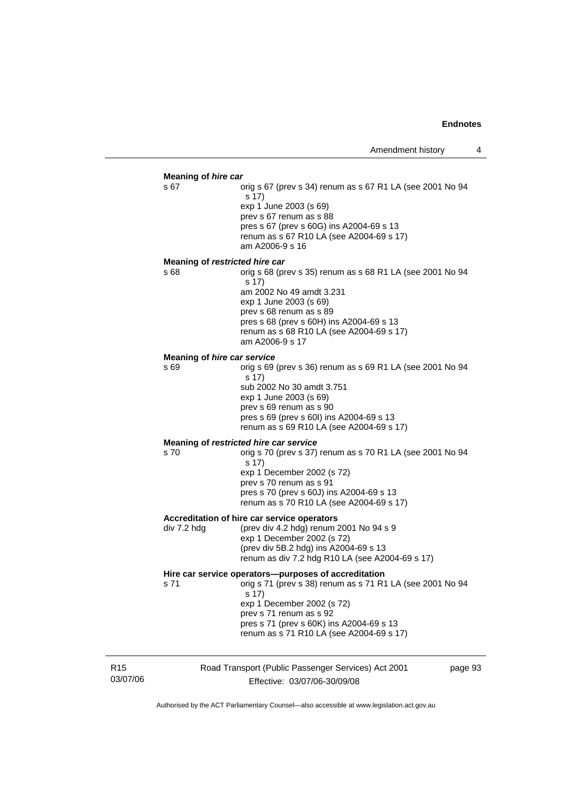#### **Meaning of** *hire car*

s 67 orig s 67 (prev s 34) renum as s 67 R1 LA (see 2001 No 94 s 17) exp 1 June 2003 (s 69) prev s 67 renum as s 88 pres s 67 (prev s 60G) ins A2004-69 s 13 renum as s 67 R10 LA (see A2004-69 s 17) am A2006-9 s 16

#### **Meaning of** *restricted hire car*

s 68 orig s 68 (prev s 35) renum as s 68 R1 LA (see 2001 No 94 s 17) am 2002 No 49 amdt 3.231 exp 1 June 2003 (s 69) prev s 68 renum as s 89 pres s 68 (prev s 60H) ins A2004-69 s 13 renum as s 68 R10 LA (see A2004-69 s 17) am A2006-9 s 17

#### **Meaning of** *hire car service*

s 69 orig s 69 (prev s 36) renum as s 69 R1 LA (see 2001 No 94 s 17) sub 2002 No 30 amdt 3.751 exp 1 June 2003 (s 69) prev s 69 renum as s 90 pres s 69 (prev s 60I) ins A2004-69 s 13 renum as s 69 R10 LA (see A2004-69 s 17) **Meaning of** *restricted hire car service* 

s 70 orig s 70 (prev s 37) renum as s 70 R1 LA (see 2001 No 94 s 17) exp 1 December 2002 (s 72) prev s 70 renum as s 91 pres s 70 (prev s 60J) ins A2004-69 s 13 renum as s 70 R10 LA (see A2004-69 s 17)

#### **Accreditation of hire car service operators**

div 7.2 hdg (prev div 4.2 hdg) renum 2001 No 94 s 9 exp 1 December 2002 (s 72) (prev div 5B.2 hdg) ins A2004-69 s 13 renum as div 7.2 hdg R10 LA (see A2004-69 s 17)

#### **Hire car service operators—purposes of accreditation**

s 71 orig s 71 (prev s 38) renum as s 71 R1 LA (see 2001 No 94 s 17) exp 1 December 2002 (s 72) prev s 71 renum as s 92

 pres s 71 (prev s 60K) ins A2004-69 s 13 renum as s 71 R10 LA (see A2004-69 s 17)

R15 03/07/06 Road Transport (Public Passenger Services) Act 2001 Effective: 03/07/06-30/09/08

page 93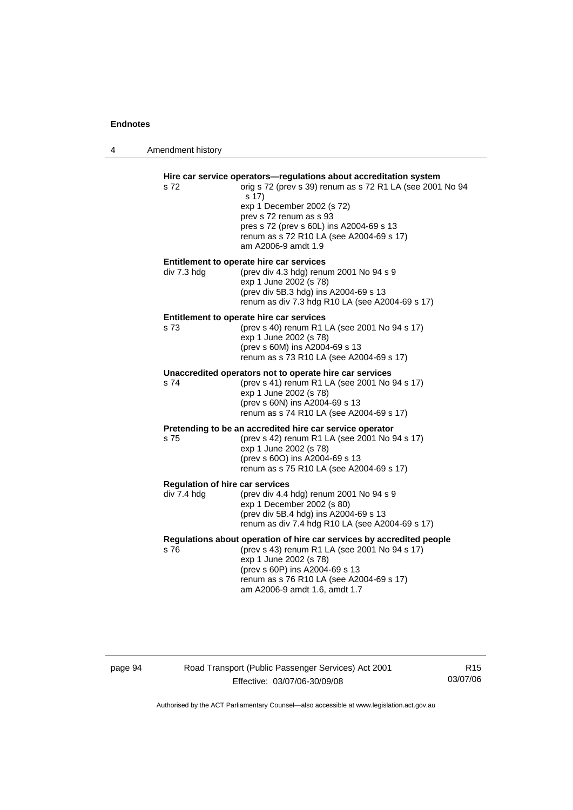4 Amendment history

| s 72                                                  | Hire car service operators-regulations about accreditation system<br>orig s 72 (prev s 39) renum as s 72 R1 LA (see 2001 No 94<br>s 17)<br>exp 1 December 2002 (s 72)<br>prev s 72 renum as s 93<br>pres s 72 (prev s 60L) ins A2004-69 s 13<br>renum as s 72 R10 LA (see A2004-69 s 17)<br>am A2006-9 amdt 1.9 |
|-------------------------------------------------------|-----------------------------------------------------------------------------------------------------------------------------------------------------------------------------------------------------------------------------------------------------------------------------------------------------------------|
| div 7.3 hdg                                           | Entitlement to operate hire car services<br>(prev div 4.3 hdg) renum 2001 No 94 s 9<br>exp 1 June 2002 (s 78)<br>(prev div 5B.3 hdg) ins A2004-69 s 13<br>renum as div 7.3 hdg R10 LA (see A2004-69 s 17)                                                                                                       |
| s 73                                                  | Entitlement to operate hire car services<br>(prev s 40) renum R1 LA (see 2001 No 94 s 17)<br>exp 1 June 2002 (s 78)<br>(prev s 60M) ins A2004-69 s 13<br>renum as s 73 R10 LA (see A2004-69 s 17)                                                                                                               |
| s 74                                                  | Unaccredited operators not to operate hire car services<br>(prev s 41) renum R1 LA (see 2001 No 94 s 17)<br>exp 1 June 2002 (s 78)<br>(prev s 60N) ins A2004-69 s 13<br>renum as s 74 R10 LA (see A2004-69 s 17)                                                                                                |
| s 75                                                  | Pretending to be an accredited hire car service operator<br>(prev s 42) renum R1 LA (see 2001 No 94 s 17)<br>exp 1 June 2002 (s 78)<br>(prev s 60O) ins A2004-69 s 13<br>renum as s 75 R10 LA (see A2004-69 s 17)                                                                                               |
| <b>Regulation of hire car services</b><br>div 7.4 hdg | (prev div 4.4 hdg) renum 2001 No 94 s 9<br>exp 1 December 2002 (s 80)<br>(prev div 5B.4 hdg) ins A2004-69 s 13<br>renum as div 7.4 hdg R10 LA (see A2004-69 s 17)                                                                                                                                               |
| s 76                                                  | Regulations about operation of hire car services by accredited people<br>(prev s 43) renum R1 LA (see 2001 No 94 s 17)<br>exp 1 June 2002 (s 78)<br>(prev s 60P) ins A2004-69 s 13<br>renum as s 76 R10 LA (see A2004-69 s 17)<br>am A2006-9 amdt 1.6, amdt 1.7                                                 |

## page 94 Road Transport (Public Passenger Services) Act 2001 Effective: 03/07/06-30/09/08

R15 03/07/06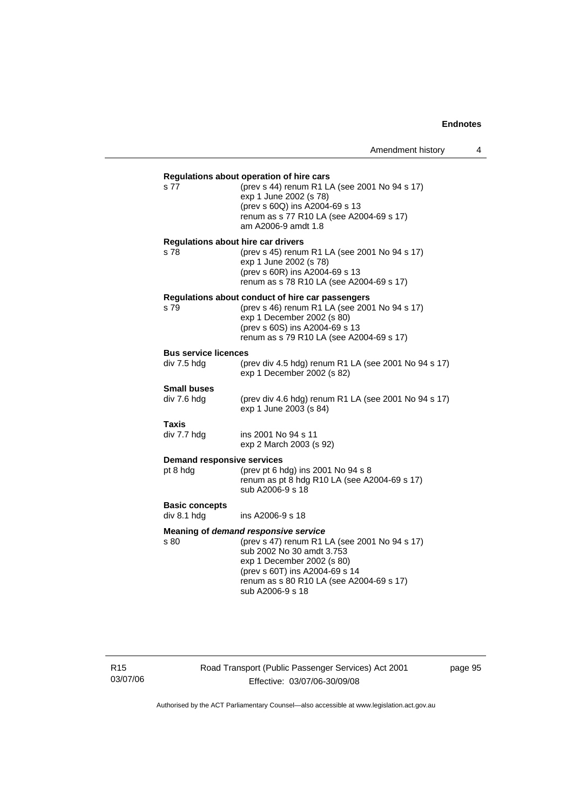| s 77                                              | Regulations about operation of hire cars<br>(prev s 44) renum R1 LA (see 2001 No 94 s 17)<br>exp 1 June 2002 (s 78)<br>(prev s 60Q) ins A2004-69 s 13<br>renum as s 77 R10 LA (see A2004-69 s 17)<br>am A2006-9 amdt 1.8                           |
|---------------------------------------------------|----------------------------------------------------------------------------------------------------------------------------------------------------------------------------------------------------------------------------------------------------|
| <b>Regulations about hire car drivers</b><br>s 78 | (prev s 45) renum R1 LA (see 2001 No 94 s 17)<br>exp 1 June 2002 (s 78)<br>(prev s 60R) ins A2004-69 s 13<br>renum as s 78 R10 LA (see A2004-69 s 17)                                                                                              |
| s 79                                              | Regulations about conduct of hire car passengers<br>(prev s 46) renum R1 LA (see 2001 No 94 s 17)<br>exp 1 December 2002 (s 80)<br>(prev s 60S) ins A2004-69 s 13<br>renum as s 79 R10 LA (see A2004-69 s 17)                                      |
| <b>Bus service licences</b><br>div 7.5 hdg        | (prev div 4.5 hdg) renum R1 LA (see 2001 No 94 s 17)<br>exp 1 December 2002 (s 82)                                                                                                                                                                 |
| <b>Small buses</b><br>div 7.6 hdg                 | (prev div 4.6 hdg) renum R1 LA (see 2001 No 94 s 17)<br>exp 1 June 2003 (s 84)                                                                                                                                                                     |
| Taxis<br>div 7.7 hdg                              | ins 2001 No 94 s 11<br>exp 2 March 2003 (s 92)                                                                                                                                                                                                     |
| <b>Demand responsive services</b><br>pt 8 hdg     | (prev pt 6 hdg) ins 2001 No 94 s 8<br>renum as pt 8 hdg R10 LA (see A2004-69 s 17)<br>sub A2006-9 s 18                                                                                                                                             |
| <b>Basic concepts</b><br>div 8.1 hdg              | ins A2006-9 s 18                                                                                                                                                                                                                                   |
| s 80                                              | Meaning of demand responsive service<br>(prev s 47) renum R1 LA (see 2001 No 94 s 17)<br>sub 2002 No 30 amdt 3.753<br>exp 1 December 2002 (s 80)<br>(prev s 60T) ins A2004-69 s 14<br>renum as s 80 R10 LA (see A2004-69 s 17)<br>sub A2006-9 s 18 |

R15 03/07/06 Road Transport (Public Passenger Services) Act 2001 Effective: 03/07/06-30/09/08

page 95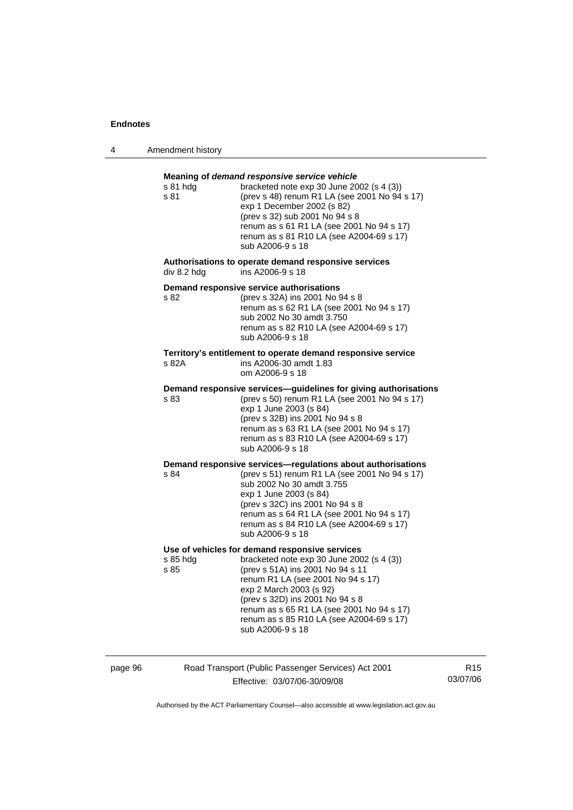4 Amendment history

| s 81 hda<br>s 81 | Meaning of demand responsive service vehicle<br>bracketed note exp 30 June 2002 (s 4 (3))<br>(prev s 48) renum R1 LA (see 2001 No 94 s 17)<br>exp 1 December 2002 (s 82)<br>(prev s 32) sub 2001 No 94 s 8<br>renum as s 61 R1 LA (see 2001 No 94 s 17)<br>renum as s 81 R10 LA (see A2004-69 s 17)<br>sub A2006-9 s 18                         |
|------------------|-------------------------------------------------------------------------------------------------------------------------------------------------------------------------------------------------------------------------------------------------------------------------------------------------------------------------------------------------|
| div 8.2 hdg      | Authorisations to operate demand responsive services<br>ins A2006-9 s 18                                                                                                                                                                                                                                                                        |
| s 82             | Demand responsive service authorisations<br>(prev s 32A) ins 2001 No 94 s 8<br>renum as s 62 R1 LA (see 2001 No 94 s 17)<br>sub 2002 No 30 amdt 3.750<br>renum as s 82 R10 LA (see A2004-69 s 17)<br>sub A2006-9 s 18                                                                                                                           |
| s 82A            | Territory's entitlement to operate demand responsive service<br>ins A2006-30 amdt 1.83<br>om A2006-9 s 18                                                                                                                                                                                                                                       |
| s 83             | Demand responsive services-guidelines for giving authorisations<br>(prev s 50) renum R1 LA (see 2001 No 94 s 17)<br>exp 1 June 2003 (s 84)<br>(prev s 32B) ins 2001 No 94 s 8<br>renum as s 63 R1 LA (see 2001 No 94 s 17)<br>renum as s 83 R10 LA (see A2004-69 s 17)<br>sub A2006-9 s 18                                                      |
| s 84             | Demand responsive services-regulations about authorisations<br>(prev s 51) renum R1 LA (see 2001 No 94 s 17)<br>sub 2002 No 30 amdt 3.755<br>exp 1 June 2003 (s 84)<br>(prev s 32C) ins 2001 No 94 s 8<br>renum as s 64 R1 LA (see 2001 No 94 s 17)<br>renum as s 84 R10 LA (see A2004-69 s 17)<br>sub A2006-9 s 18                             |
| s 85 hda<br>s 85 | Use of vehicles for demand responsive services<br>bracketed note exp 30 June 2002 (s 4 (3))<br>(prev s 51A) ins 2001 No 94 s 11<br>renum R1 LA (see 2001 No 94 s 17)<br>exp 2 March 2003 (s 92)<br>(prev s 32D) ins 2001 No 94 s 8<br>renum as s 65 R1 LA (see 2001 No 94 s 17)<br>renum as s 85 R10 LA (see A2004-69 s 17)<br>sub A2006-9 s 18 |

page 96 Road Transport (Public Passenger Services) Act 2001 Effective: 03/07/06-30/09/08

R15 03/07/06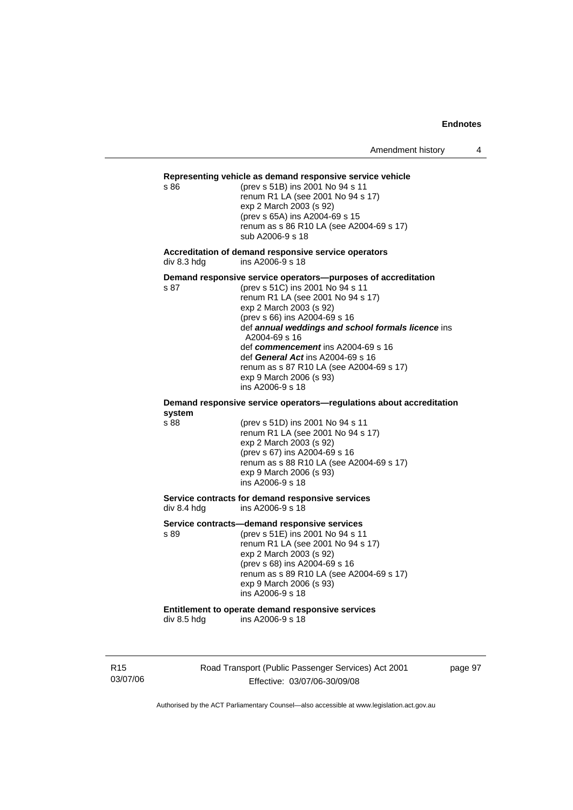#### **Representing vehicle as demand responsive service vehicle**

s 86 (prev s 51B) ins 2001 No 94 s 11 renum R1 LA (see 2001 No 94 s 17) exp 2 March 2003 (s 92) (prev s 65A) ins A2004-69 s 15 renum as s 86 R10 LA (see A2004-69 s 17) sub A2006-9 s 18

**Accreditation of demand responsive service operators**  div 8.3 hdg ins A2006-9 s 18

**Demand responsive service operators—purposes of accreditation** 

s 87 (prev s 51C) ins 2001 No 94 s 11 renum R1 LA (see 2001 No 94 s 17) exp 2 March 2003 (s 92) (prev s 66) ins A2004-69 s 16 def *annual weddings and school formals licence* ins A2004-69 s 16 def *commencement* ins A2004-69 s 16 def *General Act* ins A2004-69 s 16 renum as s 87 R10 LA (see A2004-69 s 17) exp 9 March 2006 (s 93) ins A2006-9 s 18

#### **Demand responsive service operators—regulations about accreditation system**

s 88 (prev s 51D) ins 2001 No 94 s 11 renum R1 LA (see 2001 No 94 s 17) exp 2 March 2003 (s 92) (prev s 67) ins A2004-69 s 16 renum as s 88 R10 LA (see A2004-69 s 17) exp 9 March 2006 (s 93) ins A2006-9 s 18

#### **Service contracts for demand responsive services**  div 8.4 hdg ins A2006-9 s 18

**Service contracts—demand responsive services** 

s 89 (prev s 51E) ins 2001 No 94 s 11 renum R1 LA (see 2001 No 94 s 17) exp 2 March 2003 (s 92) (prev s 68) ins A2004-69 s 16 renum as s 89 R10 LA (see A2004-69 s 17) exp 9 March 2006 (s 93) ins A2006-9 s 18

## **Entitlement to operate demand responsive services**

div 8.5 hdg ins A2006-9 s 18

R15 03/07/06 Road Transport (Public Passenger Services) Act 2001 Effective: 03/07/06-30/09/08

page 97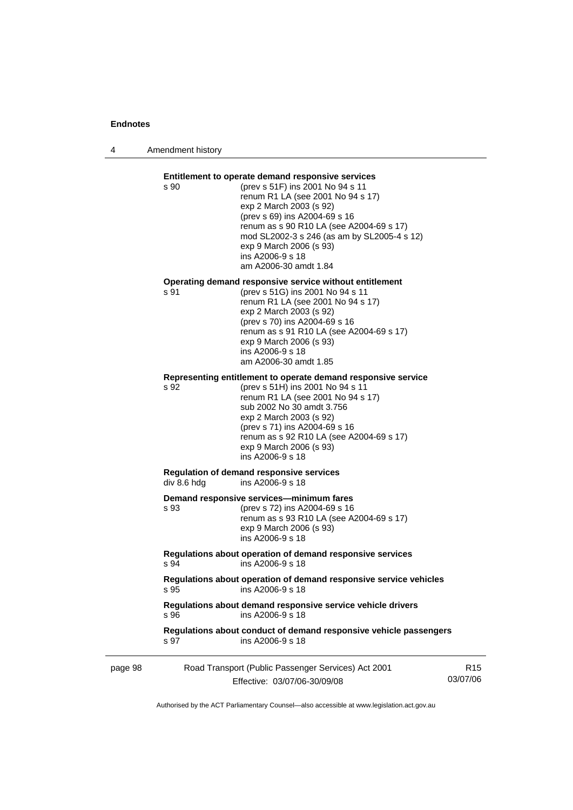4 Amendment history

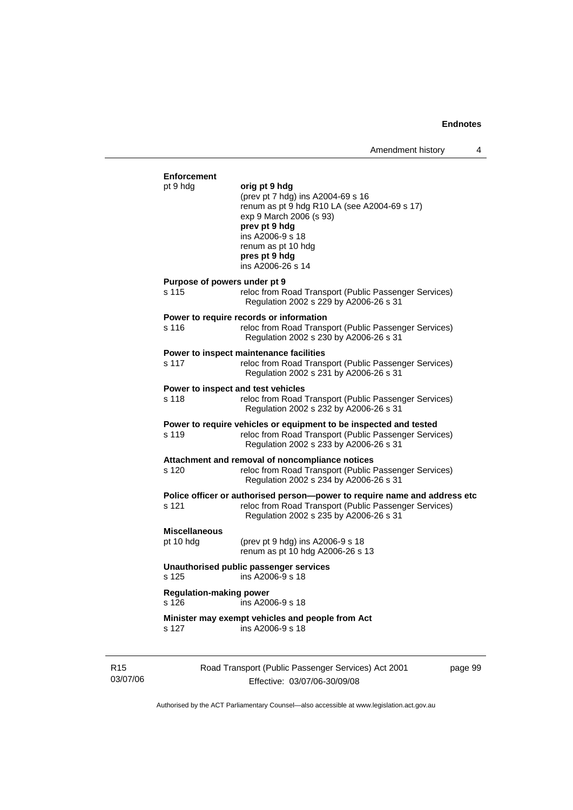| <b>Enforcement</b>                      |                                                                                                                                                                                                                                |  |
|-----------------------------------------|--------------------------------------------------------------------------------------------------------------------------------------------------------------------------------------------------------------------------------|--|
| pt 9 hdg                                | orig pt 9 hdg<br>(prev pt 7 hdg) ins A2004-69 s 16<br>renum as pt 9 hdg R10 LA (see A2004-69 s 17)<br>exp 9 March 2006 (s 93)<br>prev pt 9 hdg<br>ins A2006-9 s 18<br>renum as pt 10 hdg<br>pres pt 9 hdg<br>ins A2006-26 s 14 |  |
| Purpose of powers under pt 9<br>s 115   | reloc from Road Transport (Public Passenger Services)<br>Regulation 2002 s 229 by A2006-26 s 31                                                                                                                                |  |
| s 116                                   | Power to require records or information<br>reloc from Road Transport (Public Passenger Services)<br>Regulation 2002 s 230 by A2006-26 s 31                                                                                     |  |
| s 117                                   | Power to inspect maintenance facilities<br>reloc from Road Transport (Public Passenger Services)<br>Regulation 2002 s 231 by A2006-26 s 31                                                                                     |  |
| s 118                                   | Power to inspect and test vehicles<br>reloc from Road Transport (Public Passenger Services)<br>Regulation 2002 s 232 by A2006-26 s 31                                                                                          |  |
| s 119                                   | Power to require vehicles or equipment to be inspected and tested<br>reloc from Road Transport (Public Passenger Services)<br>Regulation 2002 s 233 by A2006-26 s 31                                                           |  |
| s 120                                   | Attachment and removal of noncompliance notices<br>reloc from Road Transport (Public Passenger Services)<br>Regulation 2002 s 234 by A2006-26 s 31                                                                             |  |
| s 121                                   | Police officer or authorised person-power to require name and address etc<br>reloc from Road Transport (Public Passenger Services)<br>Regulation 2002 s 235 by A2006-26 s 31                                                   |  |
| <b>Miscellaneous</b><br>pt 10 hdg       | (prev pt 9 hdg) ins A2006-9 s 18<br>renum as pt 10 hdg A2006-26 s 13                                                                                                                                                           |  |
| s 125                                   | Unauthorised public passenger services<br>ins A2006-9 s 18                                                                                                                                                                     |  |
| <b>Regulation-making power</b><br>s 126 | ins A2006-9 s 18                                                                                                                                                                                                               |  |
|                                         | Minister may exempt vehicles and people from Act<br>ins A2006-9 s 18                                                                                                                                                           |  |

R15 03/07/06

Effective: 03/07/06-30/09/08

page 99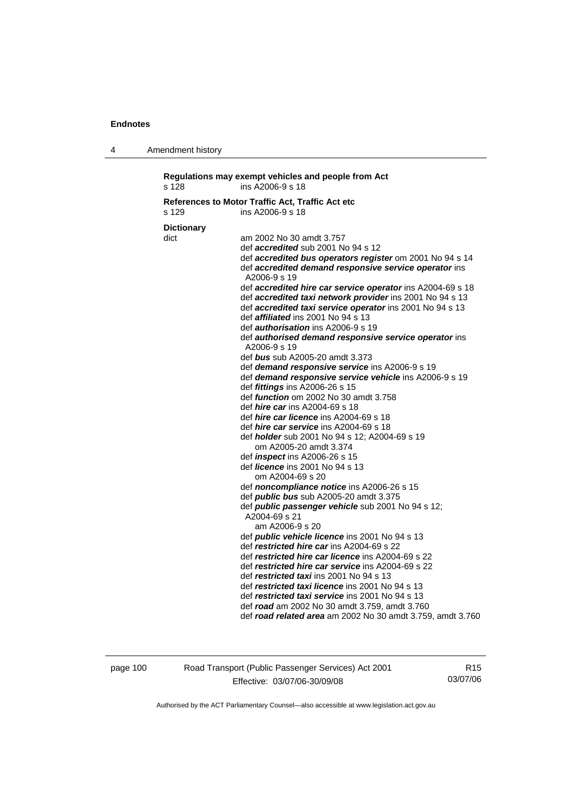4 Amendment history

| s 128             | ins A2006-9 s 18                                               |
|-------------------|----------------------------------------------------------------|
|                   | References to Motor Traffic Act, Traffic Act etc               |
| s 129             | ins A2006-9 s 18                                               |
| <b>Dictionary</b> |                                                                |
| dict              | am 2002 No 30 amdt 3.757                                       |
|                   | def <i>accredited</i> sub 2001 No 94 s 12                      |
|                   | def accredited bus operators register om 2001 No 94 s 14       |
|                   | def accredited demand responsive service operator ins          |
|                   | A2006-9 s 19                                                   |
|                   | def accredited hire car service operator ins A2004-69 s 18     |
|                   | def accredited taxi network provider ins 2001 No 94 s 13       |
|                   | def accredited taxi service operator ins 2001 No 94 s 13       |
|                   | def <i>affiliated</i> ins 2001 No 94 s 13                      |
|                   | def <i>authorisation</i> ins A2006-9 s 19                      |
|                   | def authorised demand responsive service operator ins          |
|                   | A2006-9 s 19                                                   |
|                   | def bus sub A2005-20 amdt 3.373                                |
|                   | def demand responsive service ins A2006-9 s 19                 |
|                   | def demand responsive service vehicle ins A2006-9 s 19         |
|                   | def <i>fittings</i> ins A2006-26 s 15                          |
|                   | def <i>function</i> om 2002 No 30 amdt 3.758                   |
|                   | def <i>hire car</i> ins A2004-69 s 18                          |
|                   | def <i>hire car licence</i> ins A2004-69 s 18                  |
|                   | def <i>hire car service</i> ins A2004-69 s 18                  |
|                   | def <i>holder</i> sub 2001 No 94 s 12; A2004-69 s 19           |
|                   | om A2005-20 amdt 3.374<br>def <i>inspect</i> ins A2006-26 s 15 |
|                   | def <i>licence</i> ins 2001 No 94 s 13                         |
|                   | om A2004-69 s 20                                               |
|                   | def noncompliance notice ins A2006-26 s 15                     |
|                   | def <i>public bus</i> sub A2005-20 amdt 3.375                  |
|                   | def public passenger vehicle sub 2001 No 94 s 12;              |
|                   | A2004-69 s 21                                                  |
|                   | am A2006-9 s 20                                                |
|                   | def <i>public vehicle licence</i> ins 2001 No 94 s 13          |
|                   | def restricted hire car ins A2004-69 s 22                      |
|                   | def restricted hire car licence ins A2004-69 s 22              |
|                   | def restricted hire car service ins A2004-69 s 22              |
|                   | def restricted taxi ins 2001 No 94 s 13                        |
|                   | def restricted taxi licence ins 2001 No 94 s 13                |
|                   | def restricted taxi service ins 2001 No 94 s 13                |
|                   | def road am 2002 No 30 amdt 3.759, amdt 3.760                  |
|                   | def road related area am 2002 No 30 amdt 3.759, amdt 3.760     |

page 100 Road Transport (Public Passenger Services) Act 2001 Effective: 03/07/06-30/09/08

R15 03/07/06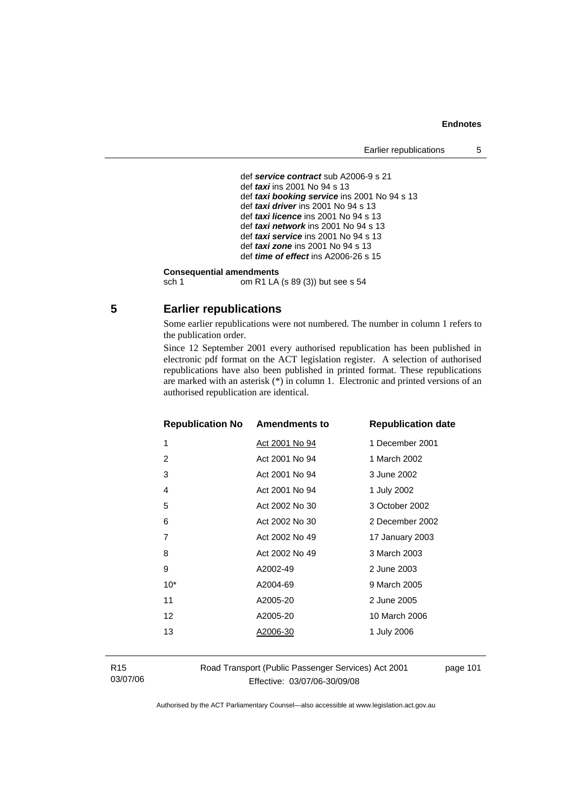#### **Endnotes**

```
 def service contract sub A2006-9 s 21 
 def taxi ins 2001 No 94 s 13 
def taxi booking service ins 2001 No 94 s 13 
def taxi driver ins 2001 No 94 s 13 
def taxi licence ins 2001 No 94 s 13
def taxi network ins 2001 No 94 s 13 
 def taxi service ins 2001 No 94 s 13 
def taxi zone ins 2001 No 94 s 13 
 def time of effect ins A2006-26 s 15
```
# **Consequential amendments**<br>sch 1 om R1 LA

om R1 LA (s 89 (3)) but see s 54

## **5 Earlier republications**

Some earlier republications were not numbered. The number in column 1 refers to the publication order.

Since 12 September 2001 every authorised republication has been published in electronic pdf format on the ACT legislation register. A selection of authorised republications have also been published in printed format. These republications are marked with an asterisk (\*) in column 1. Electronic and printed versions of an authorised republication are identical.

| <b>Republication No Amendments to</b> |                | <b>Republication date</b> |
|---------------------------------------|----------------|---------------------------|
| 1                                     | Act 2001 No 94 | 1 December 2001           |
| 2                                     | Act 2001 No 94 | 1 March 2002              |
| 3                                     | Act 2001 No 94 | 3 June 2002               |
| 4                                     | Act 2001 No 94 | 1 July 2002               |
| 5                                     | Act 2002 No 30 | 3 October 2002            |
| 6                                     | Act 2002 No 30 | 2 December 2002           |
| 7                                     | Act 2002 No 49 | 17 January 2003           |
| 8                                     | Act 2002 No 49 | 3 March 2003              |
| 9                                     | A2002-49       | 2 June 2003               |
| $10*$                                 | A2004-69       | 9 March 2005              |
| 11                                    | A2005-20       | 2 June 2005               |
| 12                                    | A2005-20       | 10 March 2006             |
| 13                                    | A2006-30       | 1 July 2006               |
|                                       |                |                           |

R15 03/07/06 Road Transport (Public Passenger Services) Act 2001 Effective: 03/07/06-30/09/08

page 101

Authorised by the ACT Parliamentary Counsel—also accessible at www.legislation.act.gov.au